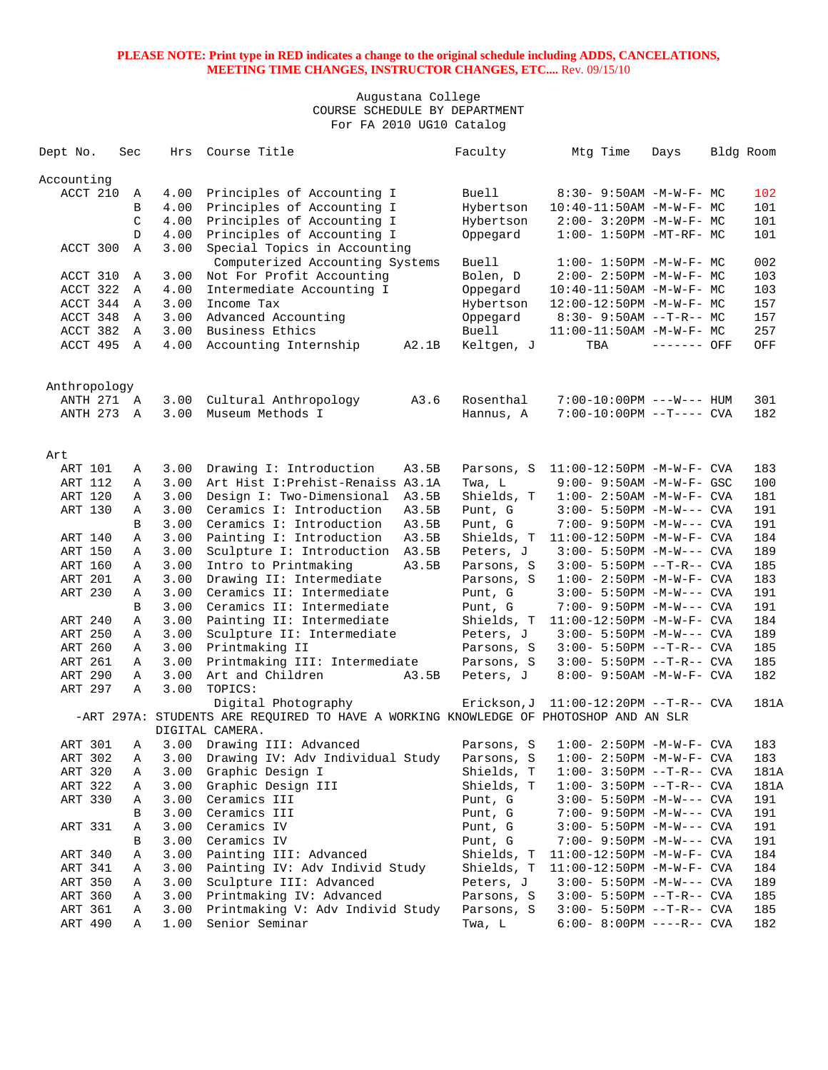| Dept No.           | Sec            | Hrs  | Course Title                                                                         | Faculty              | Mtg Time                                              | Days        | Bldg Room  |
|--------------------|----------------|------|--------------------------------------------------------------------------------------|----------------------|-------------------------------------------------------|-------------|------------|
| Accounting         |                |      |                                                                                      |                      |                                                       |             |            |
| ACCT 210           | Α              | 4.00 | Principles of Accounting I                                                           | Buell                | $8:30 - 9:50AM - M - W - F - MC$                      |             | 102        |
|                    | B              | 4.00 | Principles of Accounting I                                                           | Hybertson            | 10:40-11:50AM -M-W-F- MC                              |             | 101        |
|                    | $\mathcal{C}$  | 4.00 | Principles of Accounting I                                                           | Hybertson            | $2:00 - 3:20PM -M-W-F - MC$                           |             | 101        |
|                    | D              | 4.00 | Principles of Accounting I                                                           | Oppegard             | $1:00-1:50PM -MT-RF-MC$                               |             | 101        |
| ACCT 300           | A              | 3.00 | Special Topics in Accounting                                                         |                      |                                                       |             |            |
|                    |                |      | Computerized Accounting Systems                                                      | <b>Buell</b>         | $1:00 - 1:50PM - M - W - F - MC$                      |             | 002        |
| ACCT 310           | Α              | 3.00 | Not For Profit Accounting                                                            | Bolen, D             | $2:00 - 2:50PM -M-W-F - MC$                           |             | 103        |
| ACCT 322           | Α              | 4.00 | Intermediate Accounting I                                                            | Oppegard             | 10:40-11:50AM -M-W-F- MC                              |             | 103        |
| ACCT 344           | $\overline{A}$ | 3.00 | Income Tax                                                                           | Hybertson            | 12:00-12:50PM -M-W-F- MC                              |             | 157        |
| ACCT 348           | Α              | 3.00 | Advanced Accounting                                                                  | Oppegard             | $8:30 - 9:50AM -T-R-- MC$                             |             | 157        |
| ACCT 382           | A              | 3.00 | Business Ethics                                                                      | <b>Buell</b>         | 11:00-11:50AM -M-W-F- MC                              |             | 257        |
| ACCT 495           | $\mathbb{A}$   | 4.00 | Accounting Internship<br>A2.1B                                                       | Keltgen, J           | TBA                                                   | ------- OFF | OFF        |
| Anthropology       |                |      |                                                                                      |                      |                                                       |             |            |
| ANTH 271 A         |                | 3.00 | Cultural Anthropology                                                                | A3.6<br>Rosenthal    | $7:00-10:00PM$ ---W--- HUM                            |             | 301        |
| ANTH 273           | A              | 3.00 | Museum Methods I                                                                     | Hannus, A            | $7:00-10:00PM$ --T---- CVA                            |             | 182        |
|                    |                |      |                                                                                      |                      |                                                       |             |            |
| Art                |                | 3.00 |                                                                                      |                      |                                                       |             |            |
| ART 101            | Α              | 3.00 | Drawing I: Introduction<br>A3.5B<br>Art Hist I: Prehist-Renaiss A3.1A                | Parsons, S           | 11:00-12:50PM -M-W-F- CVA<br>9:00- 9:50AM -M-W-F- GSC |             | 183<br>100 |
| ART 112<br>ART 120 | Α              | 3.00 | Design I: Two-Dimensional<br>A3.5B                                                   | Twa, L<br>Shields, T | $1:00 - 2:50AM - M - W - F - CVA$                     |             | 181        |
| ART 130            | Α<br>Α         | 3.00 | Ceramics I: Introduction<br>A3.5B                                                    | Punt, G              | $3:00 - 5:50PM -M-W---$ CVA                           |             | 191        |
|                    | B              | 3.00 | Ceramics I: Introduction<br>A3.5B                                                    | Punt, G              | 7:00- 9:50PM -M-W--- CVA                              |             | 191        |
| ART 140            | Α              | 3.00 | Painting I: Introduction<br>A3.5B                                                    | Shields, T           | $11:00-12:50PM -M-W-F-CVA$                            |             | 184        |
| ART 150            | Α              | 3.00 | Sculpture I: Introduction<br>A3.5B                                                   | Peters, J            | $3:00 - 5:50PM -M-W---$ CVA                           |             | 189        |
| ART 160            | Α              | 3.00 | Intro to Printmaking<br>A3.5B                                                        | Parsons, S           | $3:00 - 5:50PM -T-R--CVA$                             |             | 185        |
| ART 201            | Α              | 3.00 | Drawing II: Intermediate                                                             | Parsons, S           | $1:00 - 2:50PM -M-W-F - CVA$                          |             | 183        |
| ART 230            | Α              | 3.00 | Ceramics II: Intermediate                                                            | Punt, G              | $3:00 - 5:50PM -M-W---$ CVA                           |             | 191        |
|                    | B              | 3.00 | Ceramics II: Intermediate                                                            | Punt, G              | 7:00- 9:50PM -M-W--- CVA                              |             | 191        |
| ART 240            | Α              | 3.00 | Painting II: Intermediate                                                            | Shields, T           | $11:00-12:50PM -M-W-F-CVA$                            |             | 184        |
| ART 250            | Α              | 3.00 | Sculpture II: Intermediate                                                           | Peters, J            | $3:00 - 5:50PM -M-W---$ CVA                           |             | 189        |
| ART 260            | Α              | 3.00 | Printmaking II                                                                       | Parsons, S           | $3:00 - 5:50PM -T-R--CVA$                             |             | 185        |
| ART 261            | Α              | 3.00 | Printmaking III: Intermediate                                                        | Parsons, S           | $3:00 - 5:50PM -T-R--CVA$                             |             | 185        |
| ART 290            | Α              | 3.00 | Art and Children<br>A3.5B                                                            | Peters, J            | 8:00- 9:50AM -M-W-F- CVA                              |             | 182        |
| ART 297            | Α              | 3.00 | TOPICS:                                                                              |                      |                                                       |             |            |
|                    |                |      | Digital Photography                                                                  |                      | Erickson, J 11:00-12:20PM --T-R-- CVA                 |             | 181A       |
|                    |                |      | -ART 297A: STUDENTS ARE REQUIRED TO HAVE A WORKING KNOWLEDGE OF PHOTOSHOP AND AN SLR |                      |                                                       |             |            |
|                    |                |      | DIGITAL CAMERA.                                                                      |                      |                                                       |             |            |
| ART 301            | Α              | 3.00 | Drawing III: Advanced                                                                | Parsons, S           | $1:00 - 2:50PM -M-W-F - CVA$                          |             | 183        |
| ART 302            | А              | 3.00 | Drawing IV: Adv Individual Study                                                     | Parsons, S           | $1:00-2:50PM -M-W-F-CVA$                              |             | 183        |
| ART 320            | Α              | 3.00 | Graphic Design I                                                                     | Shields, T           | $1:00-3:50PM -T-R--CVA$                               |             | 181A       |
| ART 322            | Α              | 3.00 | Graphic Design III                                                                   | Shields, T           | $1:00-3:50PM -T-R--CVA$                               |             | 181A       |
| ART 330            | Α              | 3.00 | Ceramics III                                                                         | Punt, G              | 3:00- 5:50PM -M-W--- CVA                              |             | 191        |
|                    | В              | 3.00 | Ceramics III                                                                         | Punt, G              | $7:00-9:50PM -M-W---$ CVA                             |             | 191        |
| ART 331            | Α              | 3.00 | Ceramics IV                                                                          | Punt, G              | 3:00- 5:50PM -M-W--- CVA                              |             | 191        |
|                    | В              | 3.00 | Ceramics IV                                                                          | Punt, G              | 7:00- 9:50PM -M-W--- CVA                              |             | 191        |
| ART 340            | Α              | 3.00 | Painting III: Advanced                                                               | Shields, T           | $11:00-12:50PM -M-W-F-CVA$                            |             | 184        |
| ART 341            | Α              | 3.00 | Painting IV: Adv Individ Study                                                       | Shields, T           | $11:00-12:50PM$ -M-W-F- CVA                           |             | 184        |
| ART 350            | Α              | 3.00 | Sculpture III: Advanced                                                              | Peters, J            | $3:00 - 5:50PM -M-W---$ CVA                           |             | 189        |
| ART 360            | А              | 3.00 | Printmaking IV: Advanced                                                             | Parsons, S           | $3:00 - 5:50PM -T-R--CVA$                             |             | 185        |
| ART 361            | Α              | 3.00 | Printmaking V: Adv Individ Study                                                     | Parsons, S           | $3:00 - 5:50PM -T-R--CVA$                             |             | 185        |
| ART 490            | Α              | 1.00 | Senior Seminar                                                                       | Twa, L               | $6:00 - 8:00PM$ ----R-- CVA                           |             | 182        |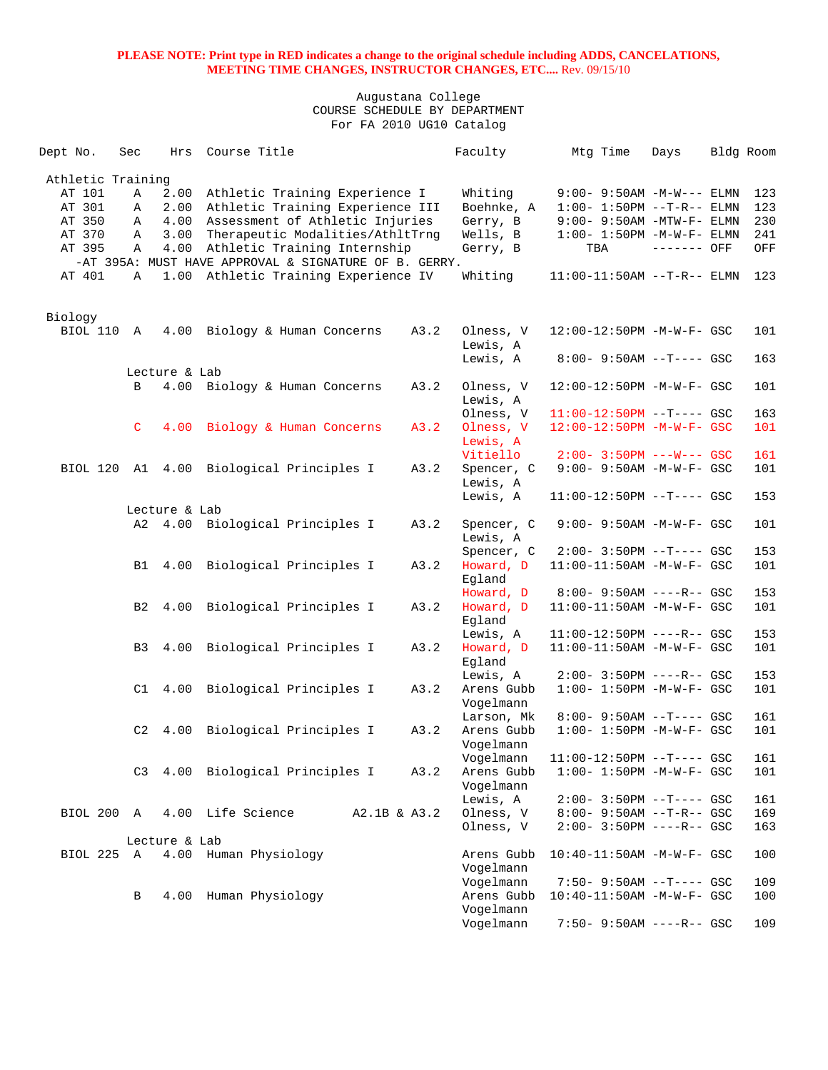| Dept No.          | Sec            | Hrs           | Course Title                                          |      | Faculty    | Mtg Time                          | Days        | Bldg Room |     |
|-------------------|----------------|---------------|-------------------------------------------------------|------|------------|-----------------------------------|-------------|-----------|-----|
| Athletic Training |                |               |                                                       |      |            |                                   |             |           |     |
| AT 101            | Α              | 2.00          | Athletic Training Experience I                        |      | Whiting    | $9:00 - 9:50AM -M-W---$ ELMN      |             |           | 123 |
| AT 301            | Α              | 2.00          | Athletic Training Experience III                      |      | Boehnke, A | $1:00-1:50PM -T-R--ELMN$          |             |           | 123 |
| AT 350            | Α              | 4.00          | Assessment of Athletic Injuries                       |      | Gerry, B   | $9:00-9:50AM -MTW-F-ELMN$         |             |           | 230 |
| AT 370            | Α              | 3.00          | Therapeutic Modalities/AthltTrng                      |      | Wells, B   | $1:00-1:50PM -M-W-F-ELMN$         |             |           | 241 |
| AT 395            | Α              |               | 4.00 Athletic Training Internship                     |      | Gerry, B   | TBA                               | ------- OFF |           | OFF |
|                   |                |               | -AT 395A: MUST HAVE APPROVAL & SIGNATURE OF B. GERRY. |      |            |                                   |             |           |     |
| AT 401            | Α              |               | 1.00 Athletic Training Experience IV                  |      | Whiting    | $11:00-11:50AM$ --T-R-- ELMN      |             |           | 123 |
|                   |                |               |                                                       |      |            |                                   |             |           |     |
| Biology           |                |               |                                                       |      |            |                                   |             |           |     |
| BIOL 110 A        |                | 4.00          | Biology & Human Concerns                              | A3.2 | Olness, V  | 12:00-12:50PM -M-W-F- GSC         |             |           | 101 |
|                   |                |               |                                                       |      | Lewis, A   |                                   |             |           |     |
|                   |                |               |                                                       |      | Lewis, A   | $8:00 - 9:50AM$ --T---- GSC       |             |           | 163 |
|                   |                | Lecture & Lab |                                                       |      |            |                                   |             |           |     |
|                   | B              |               | 4.00 Biology & Human Concerns                         | A3.2 | Olness, V  | 12:00-12:50PM -M-W-F- GSC         |             |           | 101 |
|                   |                |               |                                                       |      | Lewis, A   |                                   |             |           |     |
|                   |                |               |                                                       |      |            |                                   |             |           |     |
|                   |                |               |                                                       |      | Olness, V  | $11:00-12:50PM$ --T---- GSC       |             |           | 163 |
|                   | $\mathsf{C}$   | 4.00          | Biology & Human Concerns                              | A3.2 | Olness, V  | 12:00-12:50PM -M-W-F- GSC         |             |           | 101 |
|                   |                |               |                                                       |      | Lewis, A   |                                   |             |           |     |
|                   |                |               |                                                       |      | Vitiello   | $2:00 - 3:50PM$ ---W--- GSC       |             |           | 161 |
|                   |                |               | BIOL 120 A1 4.00 Biological Principles I              | A3.2 | Spencer, C | 9:00- 9:50AM -M-W-F- GSC          |             |           | 101 |
|                   |                |               |                                                       |      | Lewis, A   |                                   |             |           |     |
|                   |                |               |                                                       |      | Lewis, A   | $11:00-12:50PM$ --T---- GSC       |             |           | 153 |
|                   |                | Lecture & Lab |                                                       |      |            |                                   |             |           |     |
|                   |                |               | A2 4.00 Biological Principles I                       | A3.2 | Spencer, C | 9:00- 9:50AM -M-W-F- GSC          |             |           | 101 |
|                   |                |               |                                                       |      | Lewis, A   |                                   |             |           |     |
|                   |                |               |                                                       |      | Spencer, C | $2:00-3:50PM --T---GSC$           |             |           | 153 |
|                   | B1             |               | 4.00 Biological Principles I                          | A3.2 | Howard, D  | 11:00-11:50AM -M-W-F- GSC         |             |           | 101 |
|                   |                |               |                                                       |      | Eqland     |                                   |             |           |     |
|                   |                |               |                                                       |      | Howard, D  | $8:00 - 9:50AM$ ----R-- GSC       |             |           | 153 |
|                   | B <sub>2</sub> | 4.00          | Biological Principles I                               | A3.2 | Howard, D  | $11:00-11:50AM$ -M-W-F- GSC       |             |           | 101 |
|                   |                |               |                                                       |      | Eqland     |                                   |             |           |     |
|                   |                |               |                                                       |      | Lewis, A   | $11:00-12:50PM$ ----R-- GSC       |             |           | 153 |
|                   | B <sub>3</sub> |               | 4.00 Biological Principles I                          | A3.2 | Howard, D  | $11:00-11:50AM$ -M-W-F- GSC       |             |           | 101 |
|                   |                |               |                                                       |      | Eqland     |                                   |             |           |     |
|                   |                |               |                                                       |      | Lewis, A   | $2:00 - 3:50PM$ ----R-- GSC       |             |           | 153 |
|                   |                |               | C1 4.00 Biological Principles I                       | A3.2 | Arens Gubb | $1:00 - 1:50PM - M - W - F - GSC$ |             |           | 101 |
|                   |                |               |                                                       |      | Vogelmann  |                                   |             |           |     |
|                   |                |               |                                                       |      | Larson, Mk | 8:00- 9:50AM --T---- GSC          |             |           | 161 |
|                   | C2             | 4.00          | Biological Principles I                               | A3.2 | Arens Gubb | $1:00 - 1:50PM - M - W - F - GSC$ |             |           | 101 |
|                   |                |               |                                                       |      | Vogelmann  |                                   |             |           |     |
|                   |                |               |                                                       |      | Vogelmann  | $11:00-12:50PM$ --T---- GSC       |             |           | 161 |
|                   | C <sub>3</sub> |               | 4.00 Biological Principles I                          | A3.2 | Arens Gubb | $1:00 - 1:50PM - M - W - F - GSC$ |             |           | 101 |
|                   |                |               |                                                       |      | Vogelmann  |                                   |             |           |     |
|                   |                |               |                                                       |      | Lewis, A   | 2:00- 3:50PM --T---- GSC          |             |           | 161 |
| BIOL 200 A        |                |               | 4.00 Life Science<br>A2.1B & A3.2                     |      | Olness, V  | 8:00- 9:50AM --T-R-- GSC          |             |           | 169 |
|                   |                |               |                                                       |      | Olness, V  | $2:00 - 3:50PM$ ----R-- GSC       |             |           | 163 |
|                   |                | Lecture & Lab |                                                       |      |            |                                   |             |           |     |
| BIOL 225          | A              | 4.00          | Human Physiology                                      |      | Arens Gubb | 10:40-11:50AM -M-W-F- GSC         |             |           | 100 |
|                   |                |               |                                                       |      | Vogelmann  |                                   |             |           |     |
|                   |                |               |                                                       |      | Vogelmann  | 7:50- 9:50AM --T---- GSC          |             |           | 109 |
|                   | В              | 4.00          | Human Physiology                                      |      | Arens Gubb | 10:40-11:50AM -M-W-F- GSC         |             |           | 100 |
|                   |                |               |                                                       |      | Vogelmann  |                                   |             |           |     |
|                   |                |               |                                                       |      |            |                                   |             |           |     |
|                   |                |               |                                                       |      | Vogelmann  | 7:50- 9:50AM ----R-- GSC          |             |           | 109 |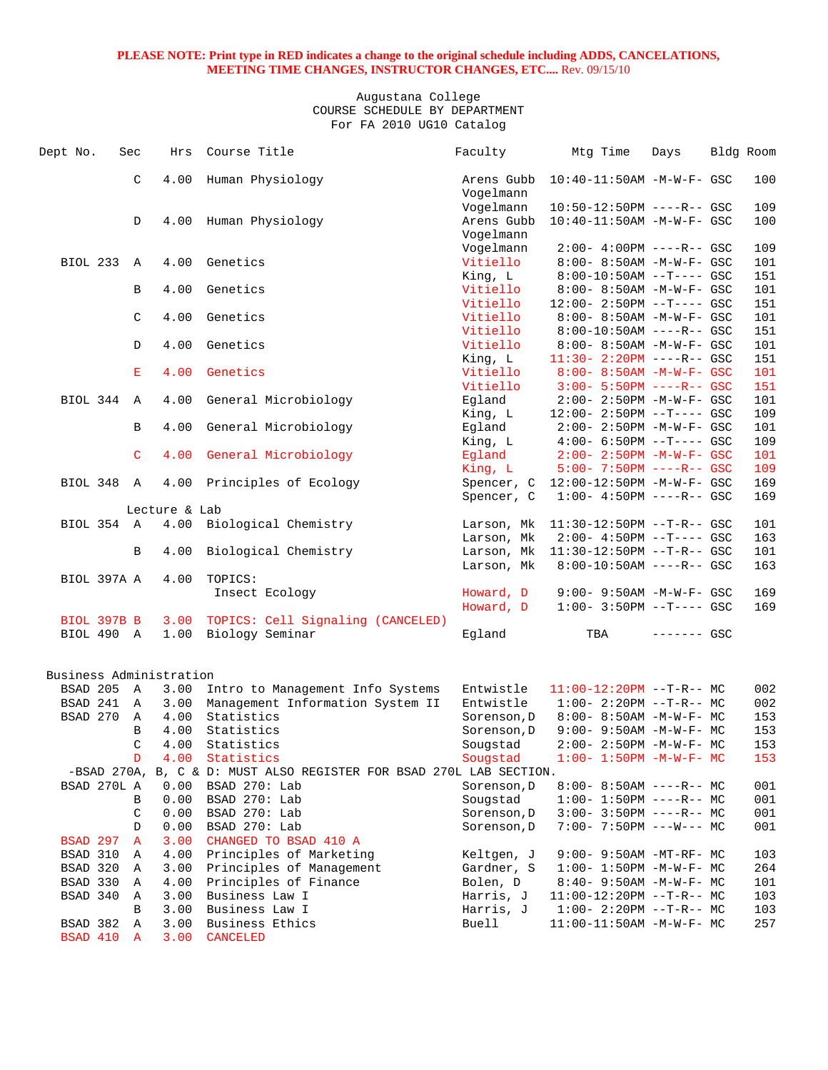| Dept No.                  | Sec                | Hrs           | Course Title                                                                           | Faculty                 | Mtg Time                                                 | Days         | Bldg Room  |
|---------------------------|--------------------|---------------|----------------------------------------------------------------------------------------|-------------------------|----------------------------------------------------------|--------------|------------|
|                           | C                  | 4.00          | Human Physiology                                                                       | Arens Gubb<br>Vogelmann | 10:40-11:50AM -M-W-F- GSC                                |              | 100        |
|                           |                    |               |                                                                                        | Vogelmann               | $10:50-12:50PM$ ----R-- GSC                              |              | 109        |
|                           | D                  | 4.00          | Human Physiology                                                                       | Arens Gubb              | 10:40-11:50AM -M-W-F- GSC                                |              | 100        |
|                           |                    |               |                                                                                        | Vogelmann               |                                                          |              |            |
|                           |                    |               |                                                                                        | Vogelmann               | $2:00-4:00PM$ ----R-- GSC                                |              | 109        |
| BIOL 233 A                |                    | 4.00          | Genetics                                                                               | Vitiello                | 8:00- 8:50AM -M-W-F- GSC                                 |              | 101        |
|                           |                    |               |                                                                                        | King, L                 | $8:00-10:50AM$ --T---- GSC                               |              | 151        |
|                           | B                  | 4.00          | Genetics                                                                               | Vitiello                | 8:00- 8:50AM -M-W-F- GSC                                 |              | 101        |
|                           |                    |               |                                                                                        | Vitiello                | $12:00 - 2:50PM -T--- GSC$                               |              | 151        |
|                           | C                  | 4.00          | Genetics                                                                               | Vitiello                | 8:00- 8:50AM -M-W-F- GSC                                 |              | 101        |
|                           |                    | 4.00          |                                                                                        | Vitiello                | $8:00-10:50AM$ ----R-- GSC                               |              | 151        |
|                           | D                  |               | Genetics                                                                               | Vitiello<br>King, L     | 8:00- 8:50AM -M-W-F- GSC<br>$11:30 - 2:20PM$ ----R-- GSC |              | 101<br>151 |
|                           | E                  | 4.00          | Genetics                                                                               | Vitiello                | 8:00- 8:50AM -M-W-F- GSC                                 |              | 101        |
|                           |                    |               |                                                                                        | Vitiello                | $3:00 - 5:50PM$ ----R-- GSC                              |              | 151        |
| BIOL 344 A                |                    | 4.00          | General Microbiology                                                                   | Eqland                  | $2:00 - 2:50PM - M - W - F - GSC$                        |              | 101        |
|                           |                    |               |                                                                                        | King, L                 | 12:00- 2:50PM --T---- GSC                                |              | 109        |
|                           | B                  | 4.00          | General Microbiology                                                                   | Egland                  | 2:00- 2:50PM -M-W-F- GSC                                 |              | 101        |
|                           |                    |               |                                                                                        | King, L                 | $4:00-6:50PM --T---GSC$                                  |              | 109        |
|                           | $\mathsf{C}$       | 4.00          | General Microbiology                                                                   | Eqland                  | 2:00- 2:50PM -M-W-F- GSC                                 |              | 101        |
|                           |                    |               |                                                                                        | King, L                 | $5:00 - 7:50PM$ ----R-- GSC                              |              | 109        |
| BIOL 348 A                |                    |               | 4.00 Principles of Ecology                                                             |                         | Spencer, C 12:00-12:50PM -M-W-F- GSC                     |              | 169        |
|                           |                    |               |                                                                                        | Spencer, C              | $1:00-4:50PM$ ----R-- GSC                                |              | 169        |
|                           |                    | Lecture & Lab |                                                                                        |                         |                                                          |              |            |
| BIOL 354 A                |                    |               | 4.00 Biological Chemistry                                                              |                         | Larson, Mk 11:30-12:50PM --T-R-- GSC                     |              | 101        |
|                           |                    |               |                                                                                        | Larson, Mk              | $2:00-4:50PM --T---GSC$                                  |              | 163        |
|                           | B                  | 4.00          | Biological Chemistry                                                                   | Larson, Mk              | 11:30-12:50PM --T-R-- GSC                                |              | 101        |
|                           |                    |               |                                                                                        | Larson, Mk              | $8:00-10:50AM$ ----R-- GSC                               |              | 163        |
| BIOL 397A A               |                    | 4.00          | TOPICS:                                                                                |                         |                                                          |              |            |
|                           |                    |               | Insect Ecology                                                                         | Howard, D               | 9:00- 9:50AM -M-W-F- GSC                                 |              | 169        |
|                           |                    |               |                                                                                        | Howard, D               | $1:00-3:50PM --T---GSC$                                  |              | 169        |
| BIOL 397B B<br>BIOL 490 A |                    | 3.00<br>1.00  | TOPICS: Cell Signaling (CANCELED)<br>Biology Seminar                                   | Egland                  | TBA                                                      | $------$ GSC |            |
|                           |                    |               |                                                                                        |                         |                                                          |              |            |
|                           |                    |               |                                                                                        |                         |                                                          |              |            |
| Business Administration   |                    |               |                                                                                        |                         |                                                          |              |            |
| BSAD 205 A                |                    | 3.00          | Intro to Management Info Systems                                                       | Entwistle               | $11:00-12:20PM$ --T-R-- MC                               |              | 002        |
| BSAD 241 A                |                    |               | 3.00 Management Information System II                                                  | Entwistle               | $1:00-2:20PM --T-R--MC$                                  |              | 002        |
| BSAD 270                  | $\mathbb{A}$       | 4.00          | Statistics                                                                             | Sorenson, D             | $8:00 - 8:50AM - M - W - F - MC$                         |              | 153        |
|                           | B<br>$\mathcal{C}$ | 4.00<br>4.00  | Statistics                                                                             | Sorenson, D             | $9:00 - 9:50AM - M - W - F - MC$                         |              | 153        |
|                           |                    |               | Statistics                                                                             | Sougstad                | $2:00 - 2:50PM -M-W-F - MC$                              |              | 153<br>153 |
|                           | D                  |               | 4.00 Statistics<br>-BSAD 270A, B, C & D: MUST ALSO REGISTER FOR BSAD 270L LAB SECTION. | Sougstad                | $1:00-1:50PM -M-W-F-MC$                                  |              |            |
| BSAD 270L A               |                    | 0.00          | BSAD 270: Lab                                                                          | Sorenson, D             | $8:00-8:50AM$ ----R-- MC                                 |              | 001        |
|                           | B                  | 0.00          | BSAD 270: Lab                                                                          | Sougstad                | $1:00-1:50PM$ ----R-- MC                                 |              | 001        |
|                           | C                  | 0.00          | BSAD 270: Lab                                                                          | Sorenson, D             | $3:00-3:50PM$ ----R-- MC                                 |              | 001        |
|                           | D                  | 0.00          | BSAD 270: Lab                                                                          | Sorenson, D             | $7:00 - 7:50PM$ ---W--- MC                               |              | 001        |
| <b>BSAD 297</b>           | $\mathbf{A}$       | 3.00          | CHANGED TO BSAD 410 A                                                                  |                         |                                                          |              |            |
| BSAD 310                  | Α                  | 4.00          | Principles of Marketing                                                                | Keltgen, J              | 9:00- 9:50AM -MT-RF- MC                                  |              | 103        |
| BSAD 320                  | Α                  | 3.00          | Principles of Management                                                               | Gardner, S              | $1:00 - 1:50PM - M - W - F - MC$                         |              | 264        |
| BSAD 330 A                |                    | 4.00          | Principles of Finance                                                                  | Bolen, D                | $8:40 - 9:50AM - M - W - F - MC$                         |              | 101        |
| BSAD 340                  | A                  | 3.00          | Business Law I                                                                         | Harris, J               | $11:00-12:20PM -T-R-- MC$                                |              | 103        |
|                           | В                  | 3.00          | Business Law I                                                                         | Harris, J               | $1:00-2:20PM -T-R--MC$                                   |              | 103        |
| BSAD 382                  | A                  | 3.00          | Business Ethics                                                                        | <b>Buell</b>            | $11:00-11:50AM$ -M-W-F- MC                               |              | 257        |
| BSAD 410 A                |                    | 3.00          | <b>CANCELED</b>                                                                        |                         |                                                          |              |            |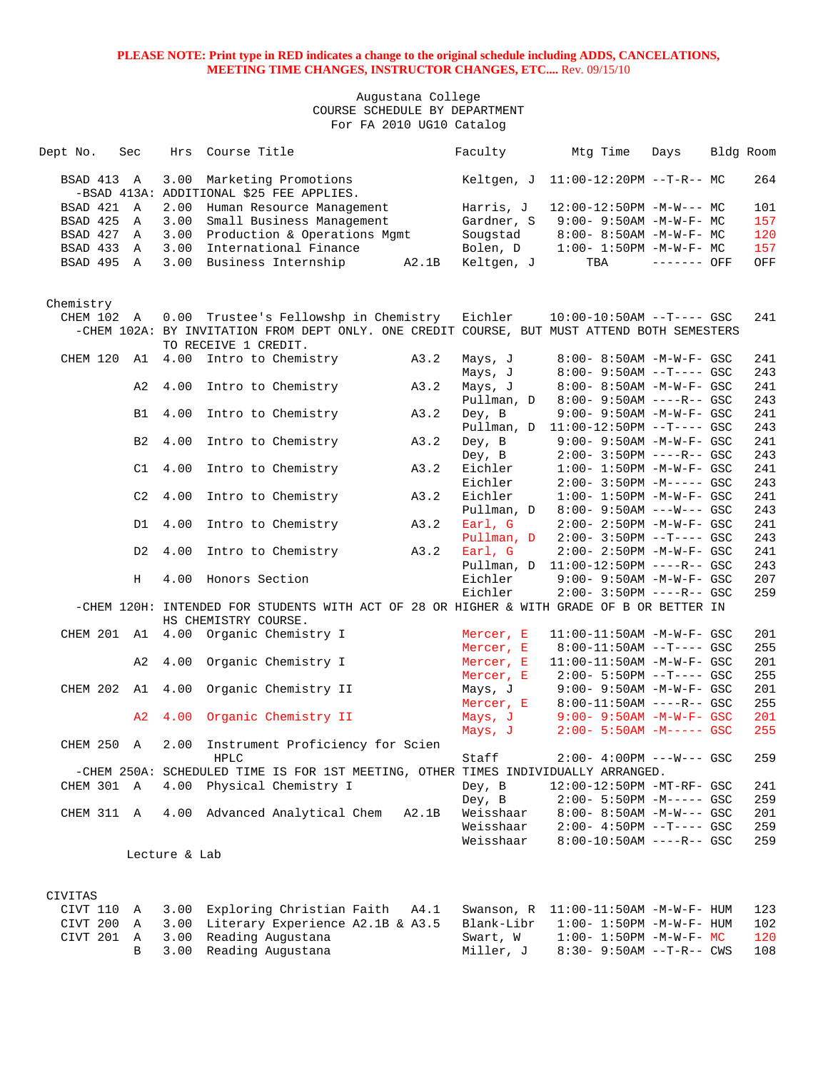### Augustana College COURSE SCHEDULE BY DEPARTMENT For FA 2010 UG10 Catalog

| Dept No.    | Sec            | Hrs           | Course Title                                                                                                        |       | Faculty    | Mtg Time                             | Days        | Bldg Room |     |
|-------------|----------------|---------------|---------------------------------------------------------------------------------------------------------------------|-------|------------|--------------------------------------|-------------|-----------|-----|
| BSAD 413 A  |                | 3.00          | Marketing Promotions<br>-BSAD 413A: ADDITIONAL \$25 FEE APPLIES.                                                    |       |            | Keltgen, J 11:00-12:20PM --T-R-- MC  |             |           | 264 |
| BSAD 421 A  |                | 2.00          | Human Resource Management                                                                                           |       | Harris, J  | $12:00-12:50PM -M-W--- MC$           |             |           | 101 |
| BSAD 425    | $\overline{A}$ | 3.00          | Small Business Management                                                                                           |       | Gardner, S | $9:00 - 9:50AM - M - W - F - MC$     |             |           | 157 |
| BSAD 427 A  |                | 3.00          | Production & Operations Mgmt                                                                                        |       | Sougstad   | $8:00 - 8:50AM - M - W - F - MC$     |             |           | 120 |
| BSAD 433 A  |                | 3.00          | International Finance                                                                                               |       | Bolen, D   | $1:00 - 1:50PM -M-W-F - MC$          |             |           | 157 |
| BSAD 495 A  |                | 3.00          | Business Internship                                                                                                 | A2.1B | Keltgen, J | TBA                                  | ------- OFF |           | OFF |
|             |                |               |                                                                                                                     |       |            |                                      |             |           |     |
| Chemistry   |                |               |                                                                                                                     |       |            |                                      |             |           |     |
| CHEM 102 A  |                |               | 0.00 Trustee's Fellowshp in Chemistry                                                                               |       | Eichler    | $10:00-10:50AM$ --T---- GSC          |             |           | 241 |
|             |                |               | -CHEM 102A: BY INVITATION FROM DEPT ONLY. ONE CREDIT COURSE, BUT MUST ATTEND BOTH SEMESTERS<br>TO RECEIVE 1 CREDIT. |       |            |                                      |             |           |     |
| CHEM 120    | A1             | 4.00          | Intro to Chemistry                                                                                                  | A3.2  | Mays, J    | 8:00- 8:50AM -M-W-F- GSC             |             |           | 241 |
|             |                |               |                                                                                                                     |       | Mays, J    | $8:00 - 9:50AM -T--- GSC$            |             |           | 243 |
|             | A2             | 4.00          | Intro to Chemistry                                                                                                  | A3.2  | Mays, J    | 8:00- 8:50AM -M-W-F- GSC             |             |           | 241 |
|             |                |               |                                                                                                                     |       | Pullman, D | 8:00- 9:50AM ----R-- GSC             |             |           | 243 |
|             | B1             | 4.00          | Intro to Chemistry                                                                                                  | A3.2  | Dey, B     | 9:00- 9:50AM -M-W-F- GSC             |             |           | 241 |
|             |                |               |                                                                                                                     |       | Pullman, D | $11:00-12:50PM$ --T---- GSC          |             |           | 243 |
|             | B <sub>2</sub> | 4.00          | Intro to Chemistry                                                                                                  | A3.2  | Dey, B     | 9:00- 9:50AM -M-W-F- GSC             |             |           | 241 |
|             |                |               |                                                                                                                     |       | Dey, B     | $2:00 - 3:50PM$ ----R-- GSC          |             |           | 243 |
|             | C1             | 4.00          | Intro to Chemistry                                                                                                  | A3.2  | Eichler    | $1:00 - 1:50PM - M - W - F - GSC$    |             |           | 241 |
|             |                |               |                                                                                                                     |       | Eichler    | $2:00-3:50PM -M---GSC$               |             |           | 243 |
|             | C2             | 4.00          | Intro to Chemistry                                                                                                  | A3.2  | Eichler    | $1:00 - 1:50PM - M - W - F - GSC$    |             |           | 241 |
|             |                |               |                                                                                                                     |       | Pullman, D | $8:00 - 9:50AM$ ---W--- GSC          |             |           | 243 |
|             | D1             | 4.00          | Intro to Chemistry                                                                                                  | A3.2  | Earl, G    | 2:00- 2:50PM -M-W-F- GSC             |             |           | 241 |
|             |                |               |                                                                                                                     |       | Pullman, D | $2:00-3:50PM --T---GSC$              |             |           | 243 |
|             | D <sub>2</sub> | 4.00          | Intro to Chemistry                                                                                                  | A3.2  | Earl, G    | $2:00 - 2:50PM - M - W - F - GSC$    |             |           | 241 |
|             |                |               |                                                                                                                     |       |            | Pullman, D 11:00-12:50PM ----R-- GSC |             |           | 243 |
|             | H              | 4.00          | Honors Section                                                                                                      |       | Eichler    | 9:00- 9:50AM -M-W-F- GSC             |             |           | 207 |
|             |                |               |                                                                                                                     |       | Eichler    | $2:00-3:50PM$ ----R-- GSC            |             |           | 259 |
|             |                |               | -CHEM 120H: INTENDED FOR STUDENTS WITH ACT OF 28 OR HIGHER & WITH GRADE OF B OR BETTER IN                           |       |            |                                      |             |           |     |
|             |                |               | HS CHEMISTRY COURSE.                                                                                                |       |            |                                      |             |           |     |
| CHEM 201 A1 |                |               | 4.00 Organic Chemistry I                                                                                            |       | Mercer, E  | $11:00-11:50AM$ -M-W-F- GSC          |             |           | 201 |
|             |                |               |                                                                                                                     |       | Mercer, E  | $8:00-11:50AM$ --T---- GSC           |             |           | 255 |
|             | A2             | 4.00          | Organic Chemistry I                                                                                                 |       | Mercer, E  | 11:00-11:50AM -M-W-F- GSC            |             |           | 201 |
|             |                |               |                                                                                                                     |       | Mercer, E  | $2:00 - 5:50PM -T--- GSC$            |             |           | 255 |
| CHEM 202 A1 |                | 4.00          | Organic Chemistry II                                                                                                |       | Mays, J    | $9:00 - 9:50AM - M - W - F - GSC$    |             |           | 201 |
|             |                |               |                                                                                                                     |       | Mercer, E  | $8:00-11:50AM$ ----R-- GSC           |             |           | 255 |
|             | A2             | 4.00          | Organic Chemistry II                                                                                                |       | Mays, J    | $9:00 - 9:50AM - M - W - F - GSC$    |             |           | 201 |
|             |                |               |                                                                                                                     |       | Mays, J    | $2:00 - 5:50AM - M---$ GSC           |             |           | 255 |
| CHEM 250 A  |                | 2.00          | Instrument Proficiency for Scien                                                                                    |       |            |                                      |             |           |     |
|             |                |               | <b>HPLC</b>                                                                                                         |       | Staff      | $2:00 - 4:00PM$ ---W--- GSC          |             |           | 259 |
|             |                |               | -CHEM 250A: SCHEDULED TIME IS FOR 1ST MEETING, OTHER TIMES INDIVIDUALLY ARRANGED.                                   |       |            |                                      |             |           |     |
| CHEM 301 A  |                | 4.00          | Physical Chemistry I                                                                                                |       | Dey, B     | 12:00-12:50PM -MT-RF- GSC            |             |           | 241 |
|             |                |               |                                                                                                                     |       | Dey, B     | $2:00 - 5:50PM -M--- GSC$            |             |           | 259 |
| CHEM 311 A  |                | 4.00          | Advanced Analytical Chem                                                                                            | A2.1B | Weisshaar  | 8:00- 8:50AM -M-W--- GSC             |             |           | 201 |
|             |                |               |                                                                                                                     |       | Weisshaar  | $2:00-4:50PM -T---GSC$               |             |           | 259 |
|             |                |               |                                                                                                                     |       | Weisshaar  | $8:00-10:50AM$ ----R-- GSC           |             |           | 259 |
|             |                | Lecture & Lab |                                                                                                                     |       |            |                                      |             |           |     |
|             |                |               |                                                                                                                     |       |            |                                      |             |           |     |
| CIVITAS     |                |               |                                                                                                                     |       |            |                                      |             |           |     |
| CIVT 110    | Α              | 3.00          | Exploring Christian Faith                                                                                           | A4.1  | Swanson, R | $11:00-11:50AM$ -M-W-F- HUM          |             |           | 123 |
| CIVT 200    | Α              | 3.00          | Literary Experience A2.1B & A3.5                                                                                    |       | Blank-Libr | $1:00 - 1:50PM - M - W - F - HUM$    |             |           | 102 |
| CIVT 201    | $\mathbb A$    | 3.00          | Reading Augustana                                                                                                   |       | Swart, W   | $1:00 - 1:50PM - M - W - F - MC$     |             |           | 120 |
|             | B              | 3.00          | Reading Augustana                                                                                                   |       | Miller, J  | $8:30 - 9:50AM -T-R--CWS$            |             |           | 108 |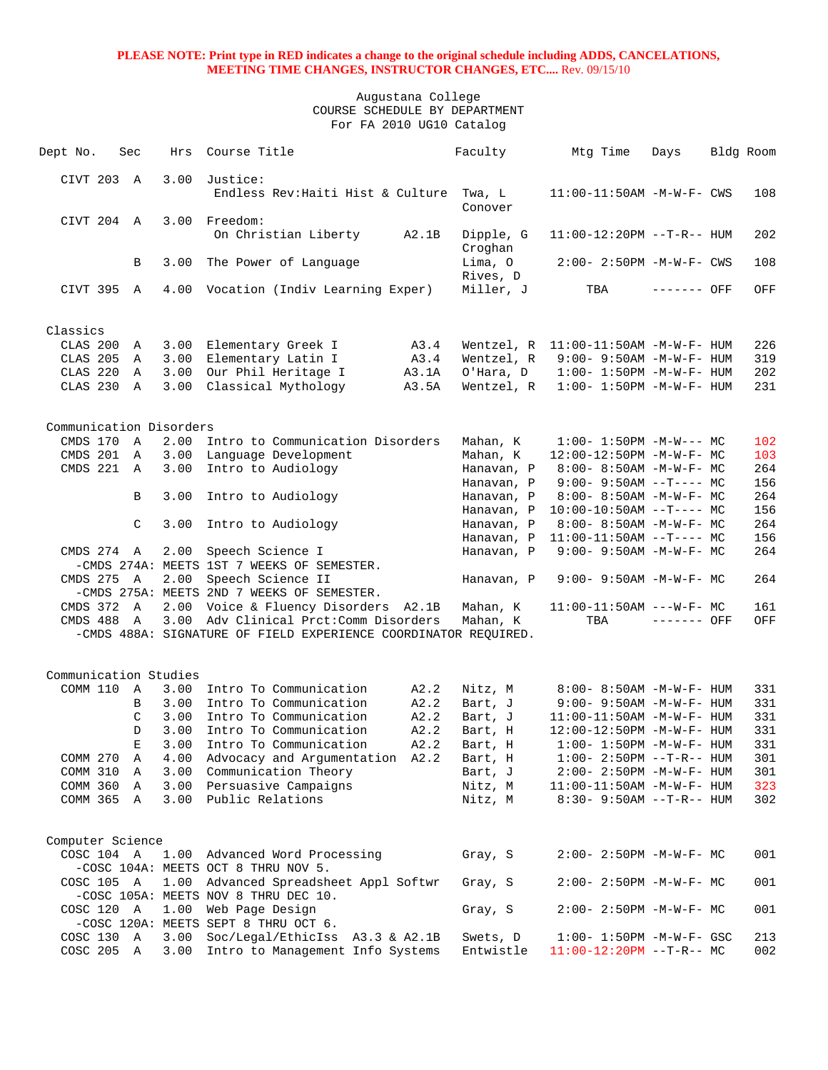| CIVT 203 A<br>3.00<br>Justice:<br>Endless Rev: Haiti Hist & Culture<br>Twa, L<br>$11:00-11:50AM$ -M-W-F- CWS<br>108<br>Conover<br>CIVT 204 A<br>3.00 Freedom:<br>On Christian Liberty<br>A2.1B<br>$11:00-12:20PM$ --T-R-- HUM<br>202<br>Dipple, G<br>Croghan<br>Lima, 0<br>$2:00 - 2:50PM -M-W-F - CWS$<br>108<br>3.00<br>The Power of Language<br>B<br>Rives, D<br>Miller, J<br>CIVT 395 A<br>4.00 Vocation (Indiv Learning Exper)<br>TBA<br>------- OFF<br>OFF<br>Classics<br>CLAS 200<br>11:00-11:50AM -M-W-F- HUM<br>226<br>3.00 Elementary Greek I<br>A3.4<br>Wentzel, R<br>Α<br>CLAS 205<br>3.00 Elementary Latin I<br>A3.4<br>319<br>Α<br>Wentzel, R<br>$9:00 - 9:50AM - M - W - F - HUM$<br>3.00 Our Phil Heritage I<br>O'Hara, D<br>202<br>CLAS 220<br>Α<br>A3.1A<br>$1:00 - 1:50PM - M - W - F - HUM$<br>CLAS 230<br>3.00<br>Classical Mythology<br>A3.5A<br>231<br>A<br>Wentzel, R<br>$1:00 - 1:50PM - M - W - F - HUM$<br>Communication Disorders<br>CMDS 170 A<br>2.00<br>Intro to Communication Disorders<br>Mahan, K<br>$1:00-1:50PM -M-W--- MC$<br>102<br>CMDS 201 A<br>3.00 Language Development<br>103<br>Mahan, K<br>12:00-12:50PM -M-W-F- MC<br>CMDS 221<br>3.00<br>Intro to Audiology<br>264<br>$\mathbf{A}$<br>Hanavan, P<br>8:00- 8:50AM -M-W-F- MC<br>156<br>Hanavan, P<br>$9:00 - 9:50AM -T--- MC$<br>264<br>3.00<br>Intro to Audiology<br>Hanavan, P<br>$8:00 - 8:50AM - M - W - F - MC$<br>B<br>156<br>Hanavan, P<br>$10:00-10:50AM$ --T---- MC<br>C<br>3.00<br>264<br>Intro to Audiology<br>Hanavan, P<br>$8:00 - 8:50AM$ -M-W-F- MC<br>$11:00-11:50AM$ --T---- MC<br>156<br>Hanavan, P<br>264<br>CMDS 274 A<br>2.00<br>Speech Science I<br>Hanavan, P<br>$9:00 - 9:50AM - M - W - F - MC$<br>-CMDS 274A: MEETS 1ST 7 WEEKS OF SEMESTER.<br>CMDS 275 A<br>2.00 Speech Science II<br>264<br>Hanavan, P<br>$9:00 - 9:50AM - M - W - F - MC$<br>-CMDS 275A: MEETS 2ND 7 WEEKS OF SEMESTER.<br>2.00 Voice & Fluency Disorders A2.1B<br>CMDS 372 A<br>Mahan, K<br>$11:00-11:50AM$ ---W-F- MC<br>161<br>CMDS 488 A<br>Adv Clinical Prct: Comm Disorders<br>Mahan, K<br><b>TBA</b><br>------- OFF<br>3.00<br>OFF<br>-CMDS 488A: SIGNATURE OF FIELD EXPERIENCE COORDINATOR REQUIRED.<br>Communication Studies<br>COMM 110<br>$\mathbf{A}$<br>3.00<br>Intro To Communication<br>A2.2<br>Nitz, M<br>8:00- 8:50AM -M-W-F- HUM<br>331<br>A2.2<br>3.00<br>Intro To Communication<br>Bart, J<br>331<br>$9:00 - 9:50AM - M - W - F - HUM$<br>В<br>Intro To Communication<br>3.00<br>A2.2<br>331<br>C<br>Bart, J<br>$11:00-11:50AM$ -M-W-F- HUM<br>Intro To Communication<br>A2.2<br>$\mathbf{D}$<br>3.00<br>Bart, H<br>12:00-12:50PM -M-W-F- HUM<br>331<br>E<br>3.00<br>Intro To Communication<br>A2.2<br>331<br>Bart, H<br>$1:00 - 1:50PM - M - W - F - HUM$<br>COMM 270<br>4.00 Advocacy and Argumentation A2.2<br>Bart, H<br>$1:00 - 2:50PM -T-R-- HUM$<br>301<br>A<br>COMM 310 A<br>3.00 Communication Theory<br>301<br>Bart, J<br>2:00- 2:50PM -M-W-F- HUM<br>3.00<br>Persuasive Campaigns<br>Nitz, M<br>323<br>COMM 360 A<br>11:00-11:50AM -M-W-F- HUM<br>COMM 365 A<br>3.00 Public Relations<br>Nitz, M<br>302<br>$8:30 - 9:50AM -T-R-- HUM$<br>Computer Science<br>COSC 104 A<br>1.00 Advanced Word Processing<br>Gray, S<br>$2:00 - 2:50PM -M-W-F - MC$<br>001<br>-COSC 104A: MEETS OCT 8 THRU NOV 5.<br>1.00 Advanced Spreadsheet Appl Softwr<br>COSC 105 A<br>Gray, S<br>$2:00 - 2:50PM -M-W-F - MC$<br>001<br>-COSC 105A: MEETS NOV 8 THRU DEC 10.<br>1.00 Web Page Design<br>COSC 120 A<br>Gray, S<br>$2:00 - 2:50PM - M - W - F - MC$<br>001<br>-COSC 120A: MEETS SEPT 8 THRU OCT 6.<br>COSC 130 A<br>3.00 Soc/Legal/EthicIss A3.3 & A2.1B<br>213<br>Swets, D<br>$1:00 - 1:50PM - M - W - F - GSC$<br>COSC 205 A<br>3.00<br>Intro to Management Info Systems<br>Entwistle<br>$11:00-12:20PM$ --T-R-- MC<br>002 | Dept No. | Sec | Hrs | Course Title | Faculty | Mtg Time | Days | Bldg Room |  |
|-------------------------------------------------------------------------------------------------------------------------------------------------------------------------------------------------------------------------------------------------------------------------------------------------------------------------------------------------------------------------------------------------------------------------------------------------------------------------------------------------------------------------------------------------------------------------------------------------------------------------------------------------------------------------------------------------------------------------------------------------------------------------------------------------------------------------------------------------------------------------------------------------------------------------------------------------------------------------------------------------------------------------------------------------------------------------------------------------------------------------------------------------------------------------------------------------------------------------------------------------------------------------------------------------------------------------------------------------------------------------------------------------------------------------------------------------------------------------------------------------------------------------------------------------------------------------------------------------------------------------------------------------------------------------------------------------------------------------------------------------------------------------------------------------------------------------------------------------------------------------------------------------------------------------------------------------------------------------------------------------------------------------------------------------------------------------------------------------------------------------------------------------------------------------------------------------------------------------------------------------------------------------------------------------------------------------------------------------------------------------------------------------------------------------------------------------------------------------------------------------------------------------------------------------------------------------------------------------------------------------------------------------------------------------------------------------------------------------------------------------------------------------------------------------------------------------------------------------------------------------------------------------------------------------------------------------------------------------------------------------------------------------------------------------------------------------------------------------------------------------------------------------------------------------------------------------------------------------------------------------------------------------------------------------------------------------------------------------------------------------------------------------------------------------------------------------------------------------------------------------------------------------------------------------------------------------------------------------------------------------------------------------------------------------------------------------------------------------------------------------------------------------------------------------------------------------------------------|----------|-----|-----|--------------|---------|----------|------|-----------|--|
|                                                                                                                                                                                                                                                                                                                                                                                                                                                                                                                                                                                                                                                                                                                                                                                                                                                                                                                                                                                                                                                                                                                                                                                                                                                                                                                                                                                                                                                                                                                                                                                                                                                                                                                                                                                                                                                                                                                                                                                                                                                                                                                                                                                                                                                                                                                                                                                                                                                                                                                                                                                                                                                                                                                                                                                                                                                                                                                                                                                                                                                                                                                                                                                                                                                                                                                                                                                                                                                                                                                                                                                                                                                                                                                                                                                                                                           |          |     |     |              |         |          |      |           |  |
|                                                                                                                                                                                                                                                                                                                                                                                                                                                                                                                                                                                                                                                                                                                                                                                                                                                                                                                                                                                                                                                                                                                                                                                                                                                                                                                                                                                                                                                                                                                                                                                                                                                                                                                                                                                                                                                                                                                                                                                                                                                                                                                                                                                                                                                                                                                                                                                                                                                                                                                                                                                                                                                                                                                                                                                                                                                                                                                                                                                                                                                                                                                                                                                                                                                                                                                                                                                                                                                                                                                                                                                                                                                                                                                                                                                                                                           |          |     |     |              |         |          |      |           |  |
|                                                                                                                                                                                                                                                                                                                                                                                                                                                                                                                                                                                                                                                                                                                                                                                                                                                                                                                                                                                                                                                                                                                                                                                                                                                                                                                                                                                                                                                                                                                                                                                                                                                                                                                                                                                                                                                                                                                                                                                                                                                                                                                                                                                                                                                                                                                                                                                                                                                                                                                                                                                                                                                                                                                                                                                                                                                                                                                                                                                                                                                                                                                                                                                                                                                                                                                                                                                                                                                                                                                                                                                                                                                                                                                                                                                                                                           |          |     |     |              |         |          |      |           |  |
|                                                                                                                                                                                                                                                                                                                                                                                                                                                                                                                                                                                                                                                                                                                                                                                                                                                                                                                                                                                                                                                                                                                                                                                                                                                                                                                                                                                                                                                                                                                                                                                                                                                                                                                                                                                                                                                                                                                                                                                                                                                                                                                                                                                                                                                                                                                                                                                                                                                                                                                                                                                                                                                                                                                                                                                                                                                                                                                                                                                                                                                                                                                                                                                                                                                                                                                                                                                                                                                                                                                                                                                                                                                                                                                                                                                                                                           |          |     |     |              |         |          |      |           |  |
|                                                                                                                                                                                                                                                                                                                                                                                                                                                                                                                                                                                                                                                                                                                                                                                                                                                                                                                                                                                                                                                                                                                                                                                                                                                                                                                                                                                                                                                                                                                                                                                                                                                                                                                                                                                                                                                                                                                                                                                                                                                                                                                                                                                                                                                                                                                                                                                                                                                                                                                                                                                                                                                                                                                                                                                                                                                                                                                                                                                                                                                                                                                                                                                                                                                                                                                                                                                                                                                                                                                                                                                                                                                                                                                                                                                                                                           |          |     |     |              |         |          |      |           |  |
|                                                                                                                                                                                                                                                                                                                                                                                                                                                                                                                                                                                                                                                                                                                                                                                                                                                                                                                                                                                                                                                                                                                                                                                                                                                                                                                                                                                                                                                                                                                                                                                                                                                                                                                                                                                                                                                                                                                                                                                                                                                                                                                                                                                                                                                                                                                                                                                                                                                                                                                                                                                                                                                                                                                                                                                                                                                                                                                                                                                                                                                                                                                                                                                                                                                                                                                                                                                                                                                                                                                                                                                                                                                                                                                                                                                                                                           |          |     |     |              |         |          |      |           |  |
|                                                                                                                                                                                                                                                                                                                                                                                                                                                                                                                                                                                                                                                                                                                                                                                                                                                                                                                                                                                                                                                                                                                                                                                                                                                                                                                                                                                                                                                                                                                                                                                                                                                                                                                                                                                                                                                                                                                                                                                                                                                                                                                                                                                                                                                                                                                                                                                                                                                                                                                                                                                                                                                                                                                                                                                                                                                                                                                                                                                                                                                                                                                                                                                                                                                                                                                                                                                                                                                                                                                                                                                                                                                                                                                                                                                                                                           |          |     |     |              |         |          |      |           |  |
|                                                                                                                                                                                                                                                                                                                                                                                                                                                                                                                                                                                                                                                                                                                                                                                                                                                                                                                                                                                                                                                                                                                                                                                                                                                                                                                                                                                                                                                                                                                                                                                                                                                                                                                                                                                                                                                                                                                                                                                                                                                                                                                                                                                                                                                                                                                                                                                                                                                                                                                                                                                                                                                                                                                                                                                                                                                                                                                                                                                                                                                                                                                                                                                                                                                                                                                                                                                                                                                                                                                                                                                                                                                                                                                                                                                                                                           |          |     |     |              |         |          |      |           |  |
|                                                                                                                                                                                                                                                                                                                                                                                                                                                                                                                                                                                                                                                                                                                                                                                                                                                                                                                                                                                                                                                                                                                                                                                                                                                                                                                                                                                                                                                                                                                                                                                                                                                                                                                                                                                                                                                                                                                                                                                                                                                                                                                                                                                                                                                                                                                                                                                                                                                                                                                                                                                                                                                                                                                                                                                                                                                                                                                                                                                                                                                                                                                                                                                                                                                                                                                                                                                                                                                                                                                                                                                                                                                                                                                                                                                                                                           |          |     |     |              |         |          |      |           |  |
|                                                                                                                                                                                                                                                                                                                                                                                                                                                                                                                                                                                                                                                                                                                                                                                                                                                                                                                                                                                                                                                                                                                                                                                                                                                                                                                                                                                                                                                                                                                                                                                                                                                                                                                                                                                                                                                                                                                                                                                                                                                                                                                                                                                                                                                                                                                                                                                                                                                                                                                                                                                                                                                                                                                                                                                                                                                                                                                                                                                                                                                                                                                                                                                                                                                                                                                                                                                                                                                                                                                                                                                                                                                                                                                                                                                                                                           |          |     |     |              |         |          |      |           |  |
|                                                                                                                                                                                                                                                                                                                                                                                                                                                                                                                                                                                                                                                                                                                                                                                                                                                                                                                                                                                                                                                                                                                                                                                                                                                                                                                                                                                                                                                                                                                                                                                                                                                                                                                                                                                                                                                                                                                                                                                                                                                                                                                                                                                                                                                                                                                                                                                                                                                                                                                                                                                                                                                                                                                                                                                                                                                                                                                                                                                                                                                                                                                                                                                                                                                                                                                                                                                                                                                                                                                                                                                                                                                                                                                                                                                                                                           |          |     |     |              |         |          |      |           |  |
|                                                                                                                                                                                                                                                                                                                                                                                                                                                                                                                                                                                                                                                                                                                                                                                                                                                                                                                                                                                                                                                                                                                                                                                                                                                                                                                                                                                                                                                                                                                                                                                                                                                                                                                                                                                                                                                                                                                                                                                                                                                                                                                                                                                                                                                                                                                                                                                                                                                                                                                                                                                                                                                                                                                                                                                                                                                                                                                                                                                                                                                                                                                                                                                                                                                                                                                                                                                                                                                                                                                                                                                                                                                                                                                                                                                                                                           |          |     |     |              |         |          |      |           |  |
|                                                                                                                                                                                                                                                                                                                                                                                                                                                                                                                                                                                                                                                                                                                                                                                                                                                                                                                                                                                                                                                                                                                                                                                                                                                                                                                                                                                                                                                                                                                                                                                                                                                                                                                                                                                                                                                                                                                                                                                                                                                                                                                                                                                                                                                                                                                                                                                                                                                                                                                                                                                                                                                                                                                                                                                                                                                                                                                                                                                                                                                                                                                                                                                                                                                                                                                                                                                                                                                                                                                                                                                                                                                                                                                                                                                                                                           |          |     |     |              |         |          |      |           |  |
|                                                                                                                                                                                                                                                                                                                                                                                                                                                                                                                                                                                                                                                                                                                                                                                                                                                                                                                                                                                                                                                                                                                                                                                                                                                                                                                                                                                                                                                                                                                                                                                                                                                                                                                                                                                                                                                                                                                                                                                                                                                                                                                                                                                                                                                                                                                                                                                                                                                                                                                                                                                                                                                                                                                                                                                                                                                                                                                                                                                                                                                                                                                                                                                                                                                                                                                                                                                                                                                                                                                                                                                                                                                                                                                                                                                                                                           |          |     |     |              |         |          |      |           |  |
|                                                                                                                                                                                                                                                                                                                                                                                                                                                                                                                                                                                                                                                                                                                                                                                                                                                                                                                                                                                                                                                                                                                                                                                                                                                                                                                                                                                                                                                                                                                                                                                                                                                                                                                                                                                                                                                                                                                                                                                                                                                                                                                                                                                                                                                                                                                                                                                                                                                                                                                                                                                                                                                                                                                                                                                                                                                                                                                                                                                                                                                                                                                                                                                                                                                                                                                                                                                                                                                                                                                                                                                                                                                                                                                                                                                                                                           |          |     |     |              |         |          |      |           |  |
|                                                                                                                                                                                                                                                                                                                                                                                                                                                                                                                                                                                                                                                                                                                                                                                                                                                                                                                                                                                                                                                                                                                                                                                                                                                                                                                                                                                                                                                                                                                                                                                                                                                                                                                                                                                                                                                                                                                                                                                                                                                                                                                                                                                                                                                                                                                                                                                                                                                                                                                                                                                                                                                                                                                                                                                                                                                                                                                                                                                                                                                                                                                                                                                                                                                                                                                                                                                                                                                                                                                                                                                                                                                                                                                                                                                                                                           |          |     |     |              |         |          |      |           |  |
|                                                                                                                                                                                                                                                                                                                                                                                                                                                                                                                                                                                                                                                                                                                                                                                                                                                                                                                                                                                                                                                                                                                                                                                                                                                                                                                                                                                                                                                                                                                                                                                                                                                                                                                                                                                                                                                                                                                                                                                                                                                                                                                                                                                                                                                                                                                                                                                                                                                                                                                                                                                                                                                                                                                                                                                                                                                                                                                                                                                                                                                                                                                                                                                                                                                                                                                                                                                                                                                                                                                                                                                                                                                                                                                                                                                                                                           |          |     |     |              |         |          |      |           |  |
|                                                                                                                                                                                                                                                                                                                                                                                                                                                                                                                                                                                                                                                                                                                                                                                                                                                                                                                                                                                                                                                                                                                                                                                                                                                                                                                                                                                                                                                                                                                                                                                                                                                                                                                                                                                                                                                                                                                                                                                                                                                                                                                                                                                                                                                                                                                                                                                                                                                                                                                                                                                                                                                                                                                                                                                                                                                                                                                                                                                                                                                                                                                                                                                                                                                                                                                                                                                                                                                                                                                                                                                                                                                                                                                                                                                                                                           |          |     |     |              |         |          |      |           |  |
|                                                                                                                                                                                                                                                                                                                                                                                                                                                                                                                                                                                                                                                                                                                                                                                                                                                                                                                                                                                                                                                                                                                                                                                                                                                                                                                                                                                                                                                                                                                                                                                                                                                                                                                                                                                                                                                                                                                                                                                                                                                                                                                                                                                                                                                                                                                                                                                                                                                                                                                                                                                                                                                                                                                                                                                                                                                                                                                                                                                                                                                                                                                                                                                                                                                                                                                                                                                                                                                                                                                                                                                                                                                                                                                                                                                                                                           |          |     |     |              |         |          |      |           |  |
|                                                                                                                                                                                                                                                                                                                                                                                                                                                                                                                                                                                                                                                                                                                                                                                                                                                                                                                                                                                                                                                                                                                                                                                                                                                                                                                                                                                                                                                                                                                                                                                                                                                                                                                                                                                                                                                                                                                                                                                                                                                                                                                                                                                                                                                                                                                                                                                                                                                                                                                                                                                                                                                                                                                                                                                                                                                                                                                                                                                                                                                                                                                                                                                                                                                                                                                                                                                                                                                                                                                                                                                                                                                                                                                                                                                                                                           |          |     |     |              |         |          |      |           |  |
|                                                                                                                                                                                                                                                                                                                                                                                                                                                                                                                                                                                                                                                                                                                                                                                                                                                                                                                                                                                                                                                                                                                                                                                                                                                                                                                                                                                                                                                                                                                                                                                                                                                                                                                                                                                                                                                                                                                                                                                                                                                                                                                                                                                                                                                                                                                                                                                                                                                                                                                                                                                                                                                                                                                                                                                                                                                                                                                                                                                                                                                                                                                                                                                                                                                                                                                                                                                                                                                                                                                                                                                                                                                                                                                                                                                                                                           |          |     |     |              |         |          |      |           |  |
|                                                                                                                                                                                                                                                                                                                                                                                                                                                                                                                                                                                                                                                                                                                                                                                                                                                                                                                                                                                                                                                                                                                                                                                                                                                                                                                                                                                                                                                                                                                                                                                                                                                                                                                                                                                                                                                                                                                                                                                                                                                                                                                                                                                                                                                                                                                                                                                                                                                                                                                                                                                                                                                                                                                                                                                                                                                                                                                                                                                                                                                                                                                                                                                                                                                                                                                                                                                                                                                                                                                                                                                                                                                                                                                                                                                                                                           |          |     |     |              |         |          |      |           |  |
|                                                                                                                                                                                                                                                                                                                                                                                                                                                                                                                                                                                                                                                                                                                                                                                                                                                                                                                                                                                                                                                                                                                                                                                                                                                                                                                                                                                                                                                                                                                                                                                                                                                                                                                                                                                                                                                                                                                                                                                                                                                                                                                                                                                                                                                                                                                                                                                                                                                                                                                                                                                                                                                                                                                                                                                                                                                                                                                                                                                                                                                                                                                                                                                                                                                                                                                                                                                                                                                                                                                                                                                                                                                                                                                                                                                                                                           |          |     |     |              |         |          |      |           |  |
|                                                                                                                                                                                                                                                                                                                                                                                                                                                                                                                                                                                                                                                                                                                                                                                                                                                                                                                                                                                                                                                                                                                                                                                                                                                                                                                                                                                                                                                                                                                                                                                                                                                                                                                                                                                                                                                                                                                                                                                                                                                                                                                                                                                                                                                                                                                                                                                                                                                                                                                                                                                                                                                                                                                                                                                                                                                                                                                                                                                                                                                                                                                                                                                                                                                                                                                                                                                                                                                                                                                                                                                                                                                                                                                                                                                                                                           |          |     |     |              |         |          |      |           |  |
|                                                                                                                                                                                                                                                                                                                                                                                                                                                                                                                                                                                                                                                                                                                                                                                                                                                                                                                                                                                                                                                                                                                                                                                                                                                                                                                                                                                                                                                                                                                                                                                                                                                                                                                                                                                                                                                                                                                                                                                                                                                                                                                                                                                                                                                                                                                                                                                                                                                                                                                                                                                                                                                                                                                                                                                                                                                                                                                                                                                                                                                                                                                                                                                                                                                                                                                                                                                                                                                                                                                                                                                                                                                                                                                                                                                                                                           |          |     |     |              |         |          |      |           |  |
|                                                                                                                                                                                                                                                                                                                                                                                                                                                                                                                                                                                                                                                                                                                                                                                                                                                                                                                                                                                                                                                                                                                                                                                                                                                                                                                                                                                                                                                                                                                                                                                                                                                                                                                                                                                                                                                                                                                                                                                                                                                                                                                                                                                                                                                                                                                                                                                                                                                                                                                                                                                                                                                                                                                                                                                                                                                                                                                                                                                                                                                                                                                                                                                                                                                                                                                                                                                                                                                                                                                                                                                                                                                                                                                                                                                                                                           |          |     |     |              |         |          |      |           |  |
|                                                                                                                                                                                                                                                                                                                                                                                                                                                                                                                                                                                                                                                                                                                                                                                                                                                                                                                                                                                                                                                                                                                                                                                                                                                                                                                                                                                                                                                                                                                                                                                                                                                                                                                                                                                                                                                                                                                                                                                                                                                                                                                                                                                                                                                                                                                                                                                                                                                                                                                                                                                                                                                                                                                                                                                                                                                                                                                                                                                                                                                                                                                                                                                                                                                                                                                                                                                                                                                                                                                                                                                                                                                                                                                                                                                                                                           |          |     |     |              |         |          |      |           |  |
|                                                                                                                                                                                                                                                                                                                                                                                                                                                                                                                                                                                                                                                                                                                                                                                                                                                                                                                                                                                                                                                                                                                                                                                                                                                                                                                                                                                                                                                                                                                                                                                                                                                                                                                                                                                                                                                                                                                                                                                                                                                                                                                                                                                                                                                                                                                                                                                                                                                                                                                                                                                                                                                                                                                                                                                                                                                                                                                                                                                                                                                                                                                                                                                                                                                                                                                                                                                                                                                                                                                                                                                                                                                                                                                                                                                                                                           |          |     |     |              |         |          |      |           |  |
|                                                                                                                                                                                                                                                                                                                                                                                                                                                                                                                                                                                                                                                                                                                                                                                                                                                                                                                                                                                                                                                                                                                                                                                                                                                                                                                                                                                                                                                                                                                                                                                                                                                                                                                                                                                                                                                                                                                                                                                                                                                                                                                                                                                                                                                                                                                                                                                                                                                                                                                                                                                                                                                                                                                                                                                                                                                                                                                                                                                                                                                                                                                                                                                                                                                                                                                                                                                                                                                                                                                                                                                                                                                                                                                                                                                                                                           |          |     |     |              |         |          |      |           |  |
|                                                                                                                                                                                                                                                                                                                                                                                                                                                                                                                                                                                                                                                                                                                                                                                                                                                                                                                                                                                                                                                                                                                                                                                                                                                                                                                                                                                                                                                                                                                                                                                                                                                                                                                                                                                                                                                                                                                                                                                                                                                                                                                                                                                                                                                                                                                                                                                                                                                                                                                                                                                                                                                                                                                                                                                                                                                                                                                                                                                                                                                                                                                                                                                                                                                                                                                                                                                                                                                                                                                                                                                                                                                                                                                                                                                                                                           |          |     |     |              |         |          |      |           |  |
|                                                                                                                                                                                                                                                                                                                                                                                                                                                                                                                                                                                                                                                                                                                                                                                                                                                                                                                                                                                                                                                                                                                                                                                                                                                                                                                                                                                                                                                                                                                                                                                                                                                                                                                                                                                                                                                                                                                                                                                                                                                                                                                                                                                                                                                                                                                                                                                                                                                                                                                                                                                                                                                                                                                                                                                                                                                                                                                                                                                                                                                                                                                                                                                                                                                                                                                                                                                                                                                                                                                                                                                                                                                                                                                                                                                                                                           |          |     |     |              |         |          |      |           |  |
|                                                                                                                                                                                                                                                                                                                                                                                                                                                                                                                                                                                                                                                                                                                                                                                                                                                                                                                                                                                                                                                                                                                                                                                                                                                                                                                                                                                                                                                                                                                                                                                                                                                                                                                                                                                                                                                                                                                                                                                                                                                                                                                                                                                                                                                                                                                                                                                                                                                                                                                                                                                                                                                                                                                                                                                                                                                                                                                                                                                                                                                                                                                                                                                                                                                                                                                                                                                                                                                                                                                                                                                                                                                                                                                                                                                                                                           |          |     |     |              |         |          |      |           |  |
|                                                                                                                                                                                                                                                                                                                                                                                                                                                                                                                                                                                                                                                                                                                                                                                                                                                                                                                                                                                                                                                                                                                                                                                                                                                                                                                                                                                                                                                                                                                                                                                                                                                                                                                                                                                                                                                                                                                                                                                                                                                                                                                                                                                                                                                                                                                                                                                                                                                                                                                                                                                                                                                                                                                                                                                                                                                                                                                                                                                                                                                                                                                                                                                                                                                                                                                                                                                                                                                                                                                                                                                                                                                                                                                                                                                                                                           |          |     |     |              |         |          |      |           |  |
|                                                                                                                                                                                                                                                                                                                                                                                                                                                                                                                                                                                                                                                                                                                                                                                                                                                                                                                                                                                                                                                                                                                                                                                                                                                                                                                                                                                                                                                                                                                                                                                                                                                                                                                                                                                                                                                                                                                                                                                                                                                                                                                                                                                                                                                                                                                                                                                                                                                                                                                                                                                                                                                                                                                                                                                                                                                                                                                                                                                                                                                                                                                                                                                                                                                                                                                                                                                                                                                                                                                                                                                                                                                                                                                                                                                                                                           |          |     |     |              |         |          |      |           |  |
|                                                                                                                                                                                                                                                                                                                                                                                                                                                                                                                                                                                                                                                                                                                                                                                                                                                                                                                                                                                                                                                                                                                                                                                                                                                                                                                                                                                                                                                                                                                                                                                                                                                                                                                                                                                                                                                                                                                                                                                                                                                                                                                                                                                                                                                                                                                                                                                                                                                                                                                                                                                                                                                                                                                                                                                                                                                                                                                                                                                                                                                                                                                                                                                                                                                                                                                                                                                                                                                                                                                                                                                                                                                                                                                                                                                                                                           |          |     |     |              |         |          |      |           |  |
|                                                                                                                                                                                                                                                                                                                                                                                                                                                                                                                                                                                                                                                                                                                                                                                                                                                                                                                                                                                                                                                                                                                                                                                                                                                                                                                                                                                                                                                                                                                                                                                                                                                                                                                                                                                                                                                                                                                                                                                                                                                                                                                                                                                                                                                                                                                                                                                                                                                                                                                                                                                                                                                                                                                                                                                                                                                                                                                                                                                                                                                                                                                                                                                                                                                                                                                                                                                                                                                                                                                                                                                                                                                                                                                                                                                                                                           |          |     |     |              |         |          |      |           |  |
|                                                                                                                                                                                                                                                                                                                                                                                                                                                                                                                                                                                                                                                                                                                                                                                                                                                                                                                                                                                                                                                                                                                                                                                                                                                                                                                                                                                                                                                                                                                                                                                                                                                                                                                                                                                                                                                                                                                                                                                                                                                                                                                                                                                                                                                                                                                                                                                                                                                                                                                                                                                                                                                                                                                                                                                                                                                                                                                                                                                                                                                                                                                                                                                                                                                                                                                                                                                                                                                                                                                                                                                                                                                                                                                                                                                                                                           |          |     |     |              |         |          |      |           |  |
|                                                                                                                                                                                                                                                                                                                                                                                                                                                                                                                                                                                                                                                                                                                                                                                                                                                                                                                                                                                                                                                                                                                                                                                                                                                                                                                                                                                                                                                                                                                                                                                                                                                                                                                                                                                                                                                                                                                                                                                                                                                                                                                                                                                                                                                                                                                                                                                                                                                                                                                                                                                                                                                                                                                                                                                                                                                                                                                                                                                                                                                                                                                                                                                                                                                                                                                                                                                                                                                                                                                                                                                                                                                                                                                                                                                                                                           |          |     |     |              |         |          |      |           |  |
|                                                                                                                                                                                                                                                                                                                                                                                                                                                                                                                                                                                                                                                                                                                                                                                                                                                                                                                                                                                                                                                                                                                                                                                                                                                                                                                                                                                                                                                                                                                                                                                                                                                                                                                                                                                                                                                                                                                                                                                                                                                                                                                                                                                                                                                                                                                                                                                                                                                                                                                                                                                                                                                                                                                                                                                                                                                                                                                                                                                                                                                                                                                                                                                                                                                                                                                                                                                                                                                                                                                                                                                                                                                                                                                                                                                                                                           |          |     |     |              |         |          |      |           |  |
|                                                                                                                                                                                                                                                                                                                                                                                                                                                                                                                                                                                                                                                                                                                                                                                                                                                                                                                                                                                                                                                                                                                                                                                                                                                                                                                                                                                                                                                                                                                                                                                                                                                                                                                                                                                                                                                                                                                                                                                                                                                                                                                                                                                                                                                                                                                                                                                                                                                                                                                                                                                                                                                                                                                                                                                                                                                                                                                                                                                                                                                                                                                                                                                                                                                                                                                                                                                                                                                                                                                                                                                                                                                                                                                                                                                                                                           |          |     |     |              |         |          |      |           |  |
|                                                                                                                                                                                                                                                                                                                                                                                                                                                                                                                                                                                                                                                                                                                                                                                                                                                                                                                                                                                                                                                                                                                                                                                                                                                                                                                                                                                                                                                                                                                                                                                                                                                                                                                                                                                                                                                                                                                                                                                                                                                                                                                                                                                                                                                                                                                                                                                                                                                                                                                                                                                                                                                                                                                                                                                                                                                                                                                                                                                                                                                                                                                                                                                                                                                                                                                                                                                                                                                                                                                                                                                                                                                                                                                                                                                                                                           |          |     |     |              |         |          |      |           |  |
|                                                                                                                                                                                                                                                                                                                                                                                                                                                                                                                                                                                                                                                                                                                                                                                                                                                                                                                                                                                                                                                                                                                                                                                                                                                                                                                                                                                                                                                                                                                                                                                                                                                                                                                                                                                                                                                                                                                                                                                                                                                                                                                                                                                                                                                                                                                                                                                                                                                                                                                                                                                                                                                                                                                                                                                                                                                                                                                                                                                                                                                                                                                                                                                                                                                                                                                                                                                                                                                                                                                                                                                                                                                                                                                                                                                                                                           |          |     |     |              |         |          |      |           |  |
|                                                                                                                                                                                                                                                                                                                                                                                                                                                                                                                                                                                                                                                                                                                                                                                                                                                                                                                                                                                                                                                                                                                                                                                                                                                                                                                                                                                                                                                                                                                                                                                                                                                                                                                                                                                                                                                                                                                                                                                                                                                                                                                                                                                                                                                                                                                                                                                                                                                                                                                                                                                                                                                                                                                                                                                                                                                                                                                                                                                                                                                                                                                                                                                                                                                                                                                                                                                                                                                                                                                                                                                                                                                                                                                                                                                                                                           |          |     |     |              |         |          |      |           |  |
|                                                                                                                                                                                                                                                                                                                                                                                                                                                                                                                                                                                                                                                                                                                                                                                                                                                                                                                                                                                                                                                                                                                                                                                                                                                                                                                                                                                                                                                                                                                                                                                                                                                                                                                                                                                                                                                                                                                                                                                                                                                                                                                                                                                                                                                                                                                                                                                                                                                                                                                                                                                                                                                                                                                                                                                                                                                                                                                                                                                                                                                                                                                                                                                                                                                                                                                                                                                                                                                                                                                                                                                                                                                                                                                                                                                                                                           |          |     |     |              |         |          |      |           |  |
|                                                                                                                                                                                                                                                                                                                                                                                                                                                                                                                                                                                                                                                                                                                                                                                                                                                                                                                                                                                                                                                                                                                                                                                                                                                                                                                                                                                                                                                                                                                                                                                                                                                                                                                                                                                                                                                                                                                                                                                                                                                                                                                                                                                                                                                                                                                                                                                                                                                                                                                                                                                                                                                                                                                                                                                                                                                                                                                                                                                                                                                                                                                                                                                                                                                                                                                                                                                                                                                                                                                                                                                                                                                                                                                                                                                                                                           |          |     |     |              |         |          |      |           |  |
|                                                                                                                                                                                                                                                                                                                                                                                                                                                                                                                                                                                                                                                                                                                                                                                                                                                                                                                                                                                                                                                                                                                                                                                                                                                                                                                                                                                                                                                                                                                                                                                                                                                                                                                                                                                                                                                                                                                                                                                                                                                                                                                                                                                                                                                                                                                                                                                                                                                                                                                                                                                                                                                                                                                                                                                                                                                                                                                                                                                                                                                                                                                                                                                                                                                                                                                                                                                                                                                                                                                                                                                                                                                                                                                                                                                                                                           |          |     |     |              |         |          |      |           |  |
|                                                                                                                                                                                                                                                                                                                                                                                                                                                                                                                                                                                                                                                                                                                                                                                                                                                                                                                                                                                                                                                                                                                                                                                                                                                                                                                                                                                                                                                                                                                                                                                                                                                                                                                                                                                                                                                                                                                                                                                                                                                                                                                                                                                                                                                                                                                                                                                                                                                                                                                                                                                                                                                                                                                                                                                                                                                                                                                                                                                                                                                                                                                                                                                                                                                                                                                                                                                                                                                                                                                                                                                                                                                                                                                                                                                                                                           |          |     |     |              |         |          |      |           |  |
|                                                                                                                                                                                                                                                                                                                                                                                                                                                                                                                                                                                                                                                                                                                                                                                                                                                                                                                                                                                                                                                                                                                                                                                                                                                                                                                                                                                                                                                                                                                                                                                                                                                                                                                                                                                                                                                                                                                                                                                                                                                                                                                                                                                                                                                                                                                                                                                                                                                                                                                                                                                                                                                                                                                                                                                                                                                                                                                                                                                                                                                                                                                                                                                                                                                                                                                                                                                                                                                                                                                                                                                                                                                                                                                                                                                                                                           |          |     |     |              |         |          |      |           |  |
|                                                                                                                                                                                                                                                                                                                                                                                                                                                                                                                                                                                                                                                                                                                                                                                                                                                                                                                                                                                                                                                                                                                                                                                                                                                                                                                                                                                                                                                                                                                                                                                                                                                                                                                                                                                                                                                                                                                                                                                                                                                                                                                                                                                                                                                                                                                                                                                                                                                                                                                                                                                                                                                                                                                                                                                                                                                                                                                                                                                                                                                                                                                                                                                                                                                                                                                                                                                                                                                                                                                                                                                                                                                                                                                                                                                                                                           |          |     |     |              |         |          |      |           |  |
|                                                                                                                                                                                                                                                                                                                                                                                                                                                                                                                                                                                                                                                                                                                                                                                                                                                                                                                                                                                                                                                                                                                                                                                                                                                                                                                                                                                                                                                                                                                                                                                                                                                                                                                                                                                                                                                                                                                                                                                                                                                                                                                                                                                                                                                                                                                                                                                                                                                                                                                                                                                                                                                                                                                                                                                                                                                                                                                                                                                                                                                                                                                                                                                                                                                                                                                                                                                                                                                                                                                                                                                                                                                                                                                                                                                                                                           |          |     |     |              |         |          |      |           |  |
|                                                                                                                                                                                                                                                                                                                                                                                                                                                                                                                                                                                                                                                                                                                                                                                                                                                                                                                                                                                                                                                                                                                                                                                                                                                                                                                                                                                                                                                                                                                                                                                                                                                                                                                                                                                                                                                                                                                                                                                                                                                                                                                                                                                                                                                                                                                                                                                                                                                                                                                                                                                                                                                                                                                                                                                                                                                                                                                                                                                                                                                                                                                                                                                                                                                                                                                                                                                                                                                                                                                                                                                                                                                                                                                                                                                                                                           |          |     |     |              |         |          |      |           |  |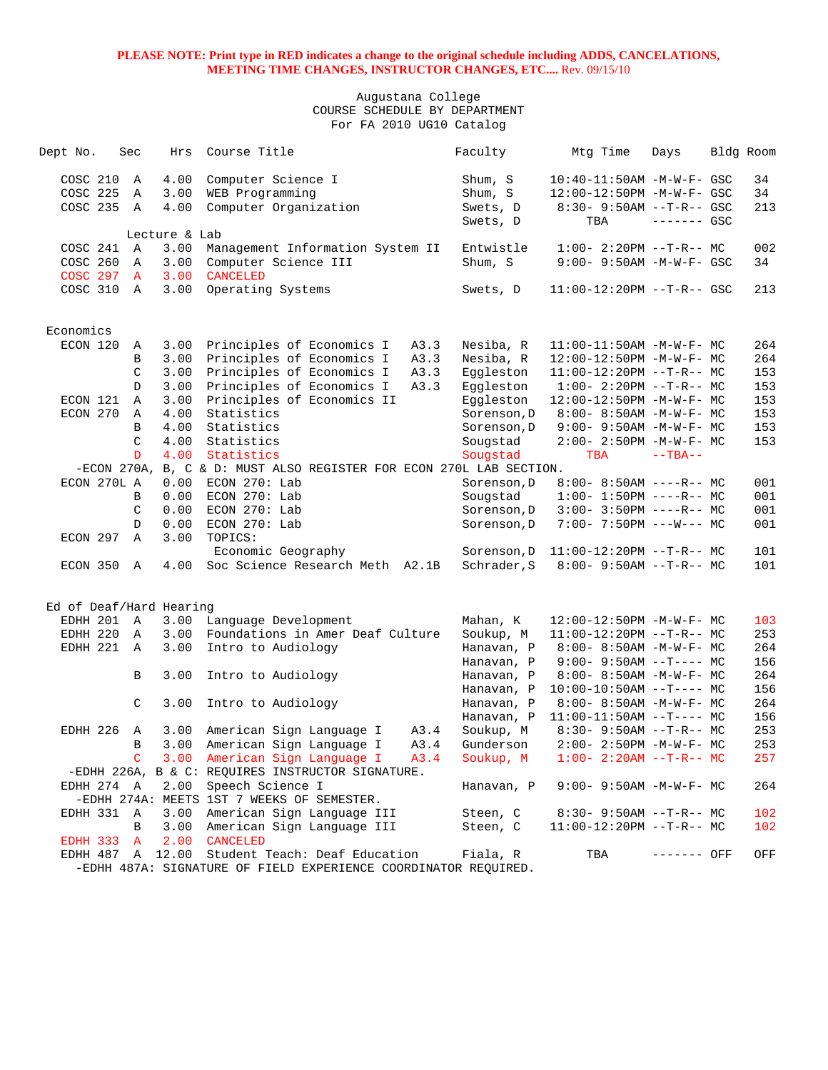| Dept No.                |             | Sec           | Hrs           | Course Title                                                        | Faculty     | Mtg Time                         | Days         | Bldg Room |
|-------------------------|-------------|---------------|---------------|---------------------------------------------------------------------|-------------|----------------------------------|--------------|-----------|
|                         | COSC 210    | A             | 4.00          | Computer Science I                                                  | Shum, S     | $10:40 - 11:50AM$ -M-W-F- GSC    |              | 34        |
|                         | COSC 225    | A             | 3.00          | WEB Programming                                                     | Shum, S     | 12:00-12:50PM -M-W-F- GSC        |              | 34        |
|                         | COSC 235 A  |               | 4.00          | Computer Organization                                               | Swets, D    | 8:30- 9:50AM --T-R-- GSC         |              | 213       |
|                         |             |               |               |                                                                     | Swets, D    | TBA                              | $------$ GSC |           |
|                         |             |               | Lecture & Lab |                                                                     |             |                                  |              |           |
|                         | COSC 241 A  |               | 3.00          | Management Information System II                                    | Entwistle   | $1:00-2:20PM --T-R--MC$          |              | 002       |
|                         | COSC 260    | Α             | 3.00          | Computer Science III                                                | Shum, S     | 9:00- 9:50AM -M-W-F- GSC         |              | 34        |
|                         | COSC 297 A  |               | 3.00          | <b>CANCELED</b>                                                     |             |                                  |              |           |
|                         | COSC 310 A  |               | 3.00          | Operating Systems                                                   | Swets, D    | $11:00-12:20PM$ --T-R-- GSC      |              | 213       |
|                         |             |               |               |                                                                     |             |                                  |              |           |
| Economics               |             |               |               |                                                                     |             |                                  |              |           |
|                         | ECON 120    | Α             | 3.00          | Principles of Economics I<br>A3.3                                   | Nesiba, R   | 11:00-11:50AM -M-W-F- MC         |              | 264       |
|                         |             | B             | 3.00          | Principles of Economics I<br>A3.3                                   | Nesiba, R   | 12:00-12:50PM -M-W-F- MC         |              | 264       |
|                         |             | $\mathsf C$   | 3.00          | Principles of Economics I<br>A3.3                                   | Eqqleston   | $11:00-12:20PM$ --T-R-- MC       |              | 153       |
|                         |             | D             | 3.00          | Principles of Economics I<br>A3.3                                   | Eggleston   | $1:00-2:20PM -T-R--MC$           |              | 153       |
|                         | ECON 121    | Α             | 3.00          | Principles of Economics II                                          | Eggleston   | 12:00-12:50PM -M-W-F- MC         |              | 153       |
|                         | ECON 270    | Α             | 4.00          | Statistics                                                          | Sorenson, D | 8:00- 8:50AM -M-W-F- MC          |              | 153       |
|                         |             | B             | 4.00          | Statistics                                                          | Sorenson, D | $9:00 - 9:50AM - M - W - F - MC$ |              | 153       |
|                         |             | C             | 4.00          | Statistics                                                          | Sougstad    | $2:00-2:50PM -M-W-F-MC$          |              | 153       |
|                         |             | $\mathbb{D}$  | 4.00          | Statistics                                                          | Sougstad    | TBA                              | $--TBA--$    |           |
|                         |             |               |               | -ECON 270A, B, C & D: MUST ALSO REGISTER FOR ECON 270L LAB SECTION. |             |                                  |              |           |
|                         | ECON 270L A |               | 0.00          | $ECON$ 270: Lab                                                     | Sorenson, D | $8:00 - 8:50AM$ ----R-- MC       |              | 001       |
|                         |             | B             | 0.00          | $ECON$ 270: Lab                                                     | Sougstad    | $1:00 - 1:50PM$ ----R-- MC       |              | 001       |
|                         |             | C             | 0.00          | $ECON$ 270: Lab                                                     | Sorenson, D | $3:00 - 3:50PM$ ----R-- MC       |              | 001       |
|                         |             | D             | 0.00          | ECON 270: Lab                                                       | Sorenson, D | $7:00 - 7:50PM$ ---W--- MC       |              | 001       |
|                         | ECON 297    | $\mathbb{A}$  | 3.00          | TOPICS:                                                             |             |                                  |              |           |
|                         |             |               |               | Economic Geography                                                  | Sorenson, D | $11:00-12:20PM$ --T-R-- MC       |              | 101       |
|                         | ECON 350 A  |               | 4.00          | Soc Science Research Meth A2.1B                                     | Schrader, S | $8:00 - 9:50AM -T-R--MC$         |              | 101       |
| Ed of Deaf/Hard Hearing |             |               |               |                                                                     |             |                                  |              |           |
|                         | EDHH 201 A  |               | 3.00          | Language Development                                                | Mahan, K    | 12:00-12:50PM -M-W-F- MC         |              | 103       |
|                         | EDHH 220    | A             | 3.00          | Foundations in Amer Deaf Culture                                    | Soukup, M   | $11:00-12:20PM$ --T-R-- MC       |              | 253       |
|                         | EDHH 221    | $\mathbb{A}$  | 3.00          | Intro to Audiology                                                  | Hanavan, P  | $8:00 - 8:50AM - M - W - F - MC$ |              | 264       |
|                         |             |               |               |                                                                     | Hanavan, P  | $9:00 - 9:50AM -T--- MC$         |              | 156       |
|                         |             | B             | 3.00          | Intro to Audiology                                                  | Hanavan, P  | $8:00 - 8:50AM - M - W - F - MC$ |              | 264       |
|                         |             |               |               |                                                                     | Hanavan, P  | $10:00-10:50AM$ --T---- MC       |              | 156       |
|                         |             | $\mathcal{C}$ | 3.00          | Intro to Audiology                                                  | Hanavan, P  | $8:00 - 8:50AM - M - W - F - MC$ |              | 264       |
|                         |             |               |               |                                                                     | Hanavan, P  | $11:00-11:50AM$ --T---- MC       |              | 156       |
|                         | EDHH 226    | Α             | 3.00          | American Sign Language I<br>A3.4                                    | Soukup, M   | $8:30 - 9:50AM -T-R-- MC$        |              | 253       |
|                         |             | B             | 3.00          | American Sign Language I<br>A3.4                                    | Gunderson   | $2:00-2:50PM -M-W-F-MC$          |              | 253       |
|                         |             | C             |               | 3.00 American Sign Language I A3.4                                  | Soukup, M   | $1:00-2:20AM --T-R--MC$          |              | 257       |
|                         |             |               |               | -EDHH 226A, B & C: REQUIRES INSTRUCTOR SIGNATURE.                   |             |                                  |              |           |
|                         | EDHH 274 A  |               |               | 2.00 Speech Science I                                               | Hanavan, P  | $9:00 - 9:50AM - M - W - F - MC$ |              | 264       |
|                         |             |               |               | -EDHH 274A: MEETS 1ST 7 WEEKS OF SEMESTER.                          |             |                                  |              |           |
|                         | EDHH 331 A  |               | 3.00          | American Sign Language III                                          | Steen, C    | $8:30 - 9:50AM -T-R-- MC$        |              | 102       |
|                         |             | В             | 3.00          | American Sign Language III                                          | Steen, C    | $11:00-12:20PM$ --T-R-- MC       |              | 102       |
|                         | EDHH 333 A  |               |               | 2.00 CANCELED                                                       |             |                                  |              |           |
|                         |             |               |               | EDHH 487 A 12.00 Student Teach: Deaf Education                      | Fiala, R    | TBA                              | ------- OFF  | OFF       |
|                         |             |               |               | -EDHH 487A: SIGNATURE OF FIELD EXPERIENCE COORDINATOR REQUIRED.     |             |                                  |              |           |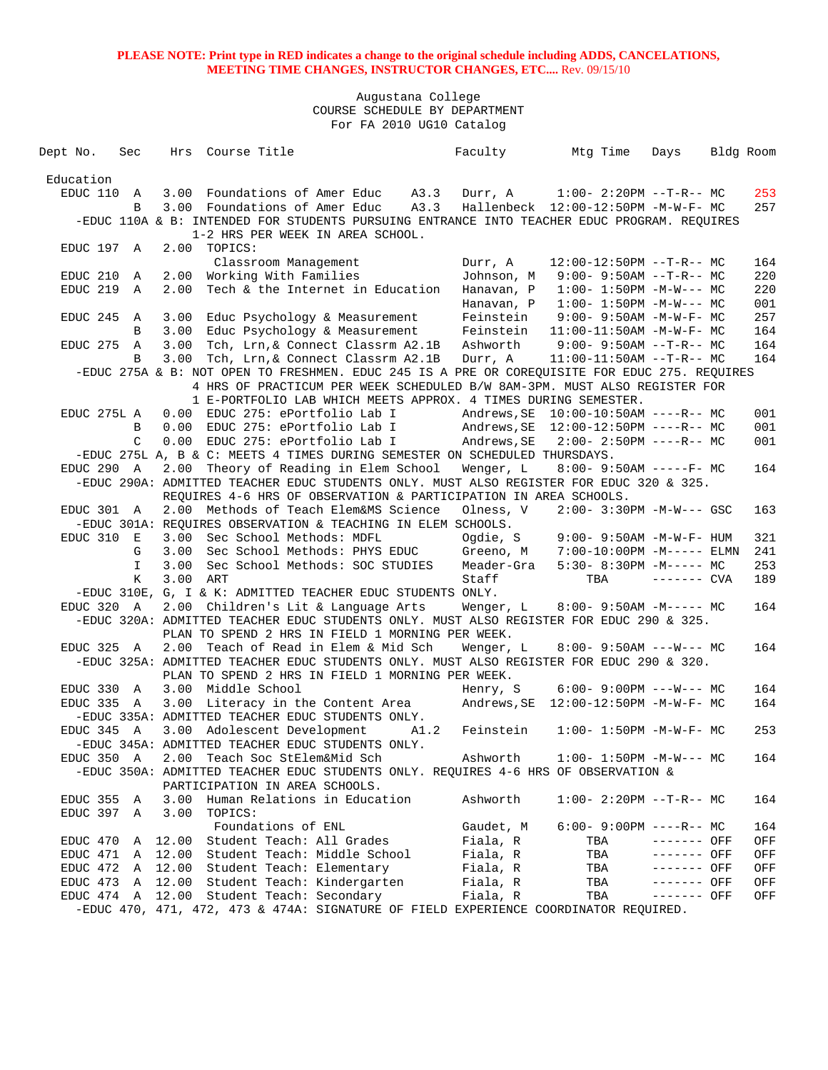| Dept No.         | Sec          | Hrs   | Course Title                                                                                                                    | Faculty     | Mtg Time                               | Days         | Bldg Room |     |
|------------------|--------------|-------|---------------------------------------------------------------------------------------------------------------------------------|-------------|----------------------------------------|--------------|-----------|-----|
| Education        |              |       |                                                                                                                                 |             |                                        |              |           |     |
| EDUC 110         | A            |       | 3.00 Foundations of Amer Educ<br>A3.3                                                                                           | Durr, A     | $1:00-2:20PM -T-R--MC$                 |              |           | 253 |
|                  | B            | 3.00  | A3.3<br>Foundations of Amer Educ                                                                                                |             | Hallenbeck 12:00-12:50PM -M-W-F- MC    |              |           | 257 |
|                  |              |       | -EDUC 110A & B: INTENDED FOR STUDENTS PURSUING ENTRANCE INTO TEACHER EDUC PROGRAM. REQUIRES<br>1-2 HRS PER WEEK IN AREA SCHOOL. |             |                                        |              |           |     |
| EDUC 197 A       |              | 2.00  | TOPICS:                                                                                                                         |             |                                        |              |           |     |
|                  |              |       | Classroom Management                                                                                                            | Durr, A     | $12:00-12:50PM$ --T-R-- MC             |              |           | 164 |
| EDUC 210         | Α            | 2.00  | Working With Families                                                                                                           | Johnson, M  | $9:00 - 9:50AM -T-R--MC$               |              |           | 220 |
| EDUC 219         | $\mathbb{A}$ | 2.00  | Tech & the Internet in Education                                                                                                | Hanavan, P  | $1:00-1:50PM -M-W--- MC$               |              |           | 220 |
|                  |              |       |                                                                                                                                 | Hanavan, P  | $1:00-1:50PM -M-W--- MC$               |              |           | 001 |
| EDUC 245 A       |              | 3.00  | Educ Psychology & Measurement                                                                                                   | Feinstein   | $9:00 - 9:50AM - M - W - F - MC$       |              |           | 257 |
|                  | B            | 3.00  | Educ Psychology & Measurement                                                                                                   | Feinstein   | $11:00-11:50AM$ -M-W-F- MC             |              |           | 164 |
| EDUC 275         | A            | 3.00  | Tch, Lrn, & Connect Classrm A2.1B                                                                                               | Ashworth    | 9:00- 9:50AM --T-R-- MC                |              |           | 164 |
|                  | B            | 3.00  | Tch, Lrn, & Connect Classrm A2.1B                                                                                               | Durr, A     | $11:00-11:50AM$ --T-R-- MC             |              |           | 164 |
|                  |              |       | -EDUC 275A & B: NOT OPEN TO FRESHMEN. EDUC 245 IS A PRE OR COREQUISITE FOR EDUC 275. REQUIRES                                   |             |                                        |              |           |     |
|                  |              |       | 4 HRS OF PRACTICUM PER WEEK SCHEDULED B/W 8AM-3PM. MUST ALSO REGISTER FOR                                                       |             |                                        |              |           |     |
|                  |              |       | 1 E-PORTFOLIO LAB WHICH MEETS APPROX. 4 TIMES DURING SEMESTER.                                                                  |             |                                        |              |           |     |
| EDUC 275L A      |              | 0.00  | EDUC 275: ePortfolio Lab I                                                                                                      |             | Andrews, SE   10:00-10:50AM ----R-- MC |              |           | 001 |
|                  | B            | 0.00  | EDUC 275: ePortfolio Lab I                                                                                                      |             |                                        |              |           | 001 |
|                  | C            | 0.00  | EDUC 275: ePortfolio Lab I                                                                                                      | Andrews, SE | $2:00-2:50PM$ ----R-- MC               |              |           | 001 |
|                  |              |       | -EDUC 275L A, B & C: MEETS 4 TIMES DURING SEMESTER ON SCHEDULED THURSDAYS.                                                      |             |                                        |              |           |     |
| EDUC 290 A       |              | 2.00  | Theory of Reading in Elem School                                                                                                | Wenger, L   | $8:00-9:50AM$ -----F- MC               |              |           | 164 |
|                  |              |       | -EDUC 290A: ADMITTED TEACHER EDUC STUDENTS ONLY. MUST ALSO REGISTER FOR EDUC 320 & 325.                                         |             |                                        |              |           |     |
|                  |              |       | REQUIRES 4-6 HRS OF OBSERVATION & PARTICIPATION IN AREA SCHOOLS.                                                                |             |                                        |              |           |     |
| EDUC 301 A       |              | 2.00  | Methods of Teach Elem&MS Science<br>-EDUC 301A: REQUIRES OBSERVATION & TEACHING IN ELEM SCHOOLS.                                | Olness, V   | $2:00 - 3:30PM -M-W--- GSC$            |              |           | 163 |
| EDUC 310         | E            | 3.00  | Sec School Methods: MDFL                                                                                                        | Ogdie, S    | $9:00 - 9:50AM - M - W - F - HUM$      |              |           | 321 |
|                  | G            | 3.00  | Sec School Methods: PHYS EDUC                                                                                                   | Greeno, M   | 7:00-10:00PM -M----- ELMN              |              |           | 241 |
|                  | I.           | 3.00  | Sec School Methods: SOC STUDIES                                                                                                 | Meader-Gra  | $5:30-8:30PM -M--- MC$                 |              |           | 253 |
|                  | K            | 3.00  | ART<br>-EDUC 310E, G, I & K: ADMITTED TEACHER EDUC STUDENTS ONLY.                                                               | Staff       | TBA                                    | $------$ CVA |           | 189 |
| EDUC 320 A       |              | 2.00  | Children's Lit & Language Arts                                                                                                  | Wenger, L   | $8:00 - 9:50AM - M--- M$               |              |           | 164 |
|                  |              |       | -EDUC 320A: ADMITTED TEACHER EDUC STUDENTS ONLY. MUST ALSO REGISTER FOR EDUC 290 & 325.                                         |             |                                        |              |           |     |
|                  |              |       | PLAN TO SPEND 2 HRS IN FIELD 1 MORNING PER WEEK.                                                                                |             |                                        |              |           |     |
| EDUC 325 A       |              | 2.00  | Teach of Read in Elem & Mid Sch                                                                                                 | Wenger, L   | $8:00 - 9:50AM$ ---W--- MC             |              |           | 164 |
|                  |              |       | -EDUC 325A: ADMITTED TEACHER EDUC STUDENTS ONLY. MUST ALSO REGISTER FOR EDUC 290 & 320.                                         |             |                                        |              |           |     |
|                  |              |       | PLAN TO SPEND 2 HRS IN FIELD 1 MORNING PER WEEK.                                                                                |             |                                        |              |           |     |
| EDUC 330         | A            | 3.00  | Middle School                                                                                                                   | Henry, S    | 6:00- 9:00PM ---W--- MC                |              |           | 164 |
| EDUC 335         | A            | 3.00  | Literacy in the Content Area                                                                                                    |             |                                        |              |           | 164 |
|                  |              |       | -EDUC 335A: ADMITTED TEACHER EDUC STUDENTS ONLY.                                                                                |             |                                        |              |           |     |
| EDUC 345 A       |              | 3.00  | Adolescent Development<br>A1.2                                                                                                  | Feinstein   | $1:00 - 1:50PM - M - W - F - MC$       |              |           | 253 |
|                  |              |       | -EDUC 345A: ADMITTED TEACHER EDUC STUDENTS ONLY.                                                                                |             |                                        |              |           |     |
| EDUC 350 A       |              | 2.00  | Teach Soc StElem&Mid Sch                                                                                                        | Ashworth    | $1:00-1:50PM -M-W--- MC$               |              |           | 164 |
|                  |              |       | -EDUC 350A: ADMITTED TEACHER EDUC STUDENTS ONLY. REQUIRES 4-6 HRS OF OBSERVATION &                                              |             |                                        |              |           |     |
|                  |              |       | PARTICIPATION IN AREA SCHOOLS.                                                                                                  |             |                                        |              |           |     |
| EDUC 355         | A            | 3.00  | Human Relations in Education                                                                                                    | Ashworth    | $1:00-2:20PM -T-R--MC$                 |              |           | 164 |
| EDUC 397         | A            | 3.00  | TOPICS:                                                                                                                         |             |                                        |              |           |     |
|                  |              |       | Foundations of ENL                                                                                                              | Gaudet, M   | $6:00 - 9:00PM$ ----R-- MC             |              |           | 164 |
| EDUC 470         | Α            | 12.00 | Student Teach: All Grades                                                                                                       | Fiala, R    | TBA                                    | ------- OFF  |           | OFF |
| EDUC 471         | A            | 12.00 | Student Teach: Middle School                                                                                                    | Fiala, R    | TBA                                    | ------- OFF  |           | OFF |
| EDUC 472         | A            | 12.00 | Student Teach: Elementary                                                                                                       | Fiala, R    | TBA                                    | ------- OFF  |           | OFF |
| EDUC 473 A 12.00 |              |       | Student Teach: Kindergarten                                                                                                     | Fiala, R    | TBA                                    | ------- OFF  |           | OFF |
| EDUC 474 A 12.00 |              |       | Student Teach: Secondary                                                                                                        | Fiala, R    | TBA                                    | ------- OFF  |           | OFF |
|                  |              |       | -EDUC 470, 471, 472, 473 & 474A: SIGNATURE OF FIELD EXPERIENCE COORDINATOR REQUIRED.                                            |             |                                        |              |           |     |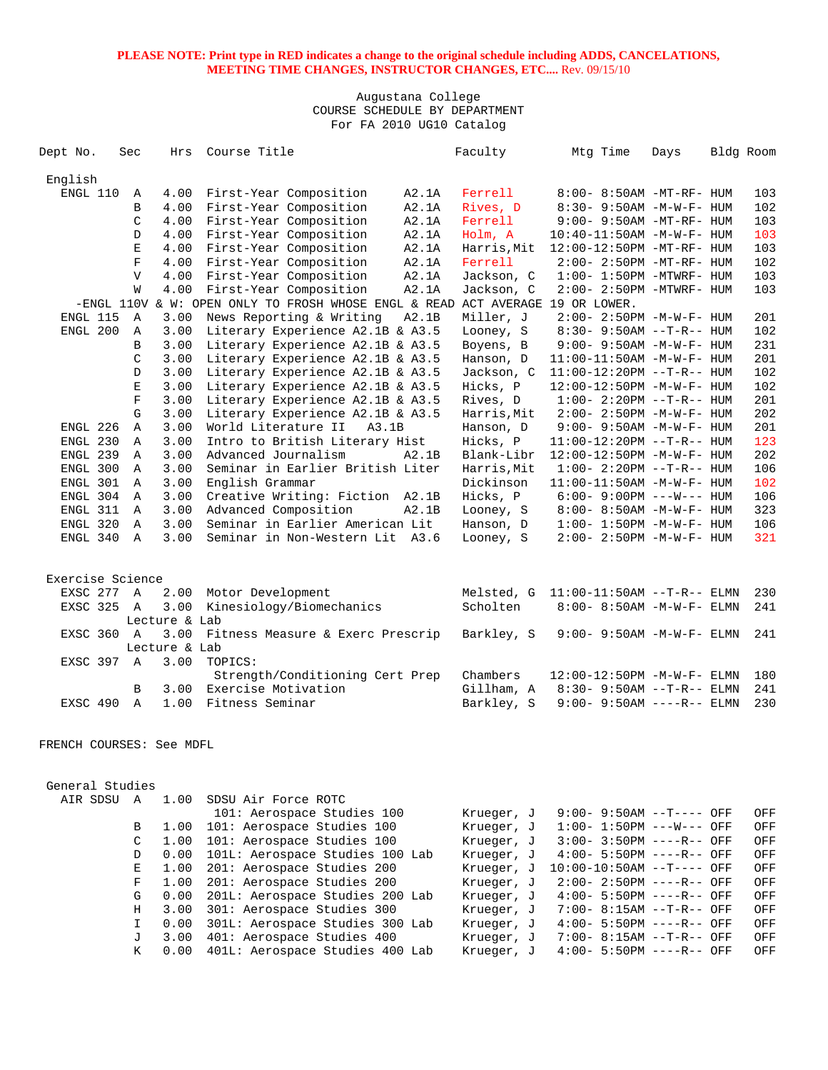| Dept No.                       | Sec          | Hrs                   | Course Title                                                                  |       | Faculty     | Mtg Time                                  | Days | Bldg Room |     |
|--------------------------------|--------------|-----------------------|-------------------------------------------------------------------------------|-------|-------------|-------------------------------------------|------|-----------|-----|
| English                        |              |                       |                                                                               |       |             |                                           |      |           |     |
| ENGL 110                       | Α            | 4.00                  | First-Year Composition                                                        | A2.1A | Ferrell     | 8:00- 8:50AM -MT-RF- HUM                  |      |           | 103 |
|                                | B            | 4.00                  | First-Year Composition                                                        | A2.1A | Rives, D    | 8:30- 9:50AM -M-W-F- HUM                  |      |           | 102 |
|                                | C            | 4.00                  | First-Year Composition                                                        | A2.1A | Ferrell     | 9:00- 9:50AM -MT-RF- HUM                  |      |           | 103 |
|                                | D            | 4.00                  | First-Year Composition                                                        | A2.1A | Holm, A     | 10:40-11:50AM -M-W-F- HUM                 |      |           | 103 |
|                                | Е            | 4.00                  | First-Year Composition                                                        | A2.1A | Harris, Mit | 12:00-12:50PM -MT-RF- HUM                 |      |           | 103 |
|                                | $\mathbf F$  | 4.00                  | First-Year Composition                                                        | A2.1A | Ferrell     | 2:00- 2:50PM -MT-RF- HUM                  |      |           | 102 |
|                                | $\mathbf V$  | 4.00                  | First-Year Composition                                                        | A2.1A | Jackson, C  | $1:00-1:50PM -MTWRF-HUM$                  |      |           | 103 |
|                                | W            | 4.00                  | First-Year Composition                                                        | A2.1A | Jackson, C  |                                           |      |           | 103 |
|                                |              |                       |                                                                               |       |             | 2:00- 2:50PM -MTWRF- HUM                  |      |           |     |
|                                |              |                       | -ENGL 110V & W: OPEN ONLY TO FROSH WHOSE ENGL & READ ACT AVERAGE 19 OR LOWER. |       |             |                                           |      |           |     |
| ENGL 115                       | A            | 3.00                  | News Reporting & Writing                                                      | A2.1B | Miller, J   | 2:00- 2:50PM -M-W-F- HUM                  |      |           | 201 |
| ENGL 200                       | Α            | 3.00                  | Literary Experience A2.1B & A3.5                                              |       | Looney, S   | $8:30 - 9:50AM -T-R-- HUM$                |      |           | 102 |
|                                | В            | 3.00                  | Literary Experience A2.1B & A3.5                                              |       | Boyens, B   | 9:00- 9:50AM -M-W-F- HUM                  |      |           | 231 |
|                                | C            | 3.00                  | Literary Experience A2.1B & A3.5                                              |       | Hanson, D   | $11:00-11:50AM$ -M-W-F- HUM               |      |           | 201 |
|                                | D            | 3.00                  | Literary Experience A2.1B & A3.5                                              |       | Jackson, C  | $11:00-12:20PM$ --T-R-- HUM               |      |           | 102 |
|                                | E            | 3.00                  | Literary Experience A2.1B & A3.5                                              |       | Hicks, P    | 12:00-12:50PM -M-W-F- HUM                 |      |           | 102 |
|                                | $\mathbf F$  | 3.00                  | Literary Experience A2.1B & A3.5                                              |       | Rives, D    | $1:00 - 2:20PM -T-R--HUM$                 |      |           | 201 |
|                                | G            | 3.00                  | Literary Experience A2.1B & A3.5                                              |       | Harris, Mit | 2:00- 2:50PM -M-W-F- HUM                  |      |           | 202 |
| ENGL 226                       | $\mathbb A$  | 3.00                  | World Literature II<br>A3.1B                                                  |       | Hanson, D   | 9:00- 9:50AM -M-W-F- HUM                  |      |           | 201 |
| ENGL 230                       | Α            | 3.00                  | Intro to British Literary Hist                                                |       | Hicks, P    | $11:00-12:20PM -T-R--HUM$                 |      |           | 123 |
| ENGL 239                       | Α            | 3.00                  | Advanced Journalism                                                           | A2.1B | Blank-Libr  | 12:00-12:50PM -M-W-F- HUM                 |      |           | 202 |
| ENGL 300                       | Α            | 3.00                  | Seminar in Earlier British Liter                                              |       | Harris, Mit | $1:00 - 2:20PM -T-R--HUM$                 |      |           | 106 |
| ENGL 301                       | Α            | 3.00                  | English Grammar                                                               |       | Dickinson   | 11:00-11:50AM -M-W-F- HUM                 |      |           | 102 |
| ENGL 304                       | Α            | 3.00                  | Creative Writing: Fiction A2.1B                                               |       | Hicks, P    | $6:00 - 9:00PM$ ---W--- HUM               |      |           | 106 |
| ENGL 311                       | Α            | 3.00                  | Advanced Composition                                                          | A2.1B | Looney, S   | 8:00- 8:50AM -M-W-F- HUM                  |      |           | 323 |
| ENGL 320                       | Α            | 3.00                  | Seminar in Earlier American Lit                                               |       | Hanson, D   | $1:00 - 1:50PM - M - W - F - HUM$         |      |           | 106 |
| ENGL 340                       | Α            | 3.00                  | Seminar in Non-Western Lit A3.6                                               |       | Looney, S   | 2:00- 2:50PM -M-W-F- HUM                  |      |           | 321 |
| Exercise Science<br>EXSC 277 A |              | 2.00                  | Motor Development                                                             |       |             | Melsted, $G$ $11:00-11:50AM$ --T-R-- ELMN |      |           | 230 |
| EXSC 325 A                     |              | 3.00                  | Kinesiology/Biomechanics                                                      |       | Scholten    | 8:00- 8:50AM -M-W-F- ELMN                 |      |           | 241 |
|                                |              | Lecture & Lab         |                                                                               |       |             |                                           |      |           |     |
| EXSC 360 A                     |              | 3.00                  | Fitness Measure & Exerc Prescrip                                              |       | Barkley, S  | $9:00 - 9:50AM - M - W - F - ELMN$        |      |           | 241 |
|                                |              |                       |                                                                               |       |             |                                           |      |           |     |
| EXSC 397 A                     |              | Lecture & Lab<br>3.00 | TOPICS:                                                                       |       |             |                                           |      |           |     |
|                                |              |                       |                                                                               |       |             |                                           |      |           |     |
|                                |              |                       | Strength/Conditioning Cert Prep                                               |       | Chambers    | 12:00-12:50PM -M-W-F- ELMN                |      |           | 180 |
|                                | В            | 3.00                  | Exercise Motivation                                                           |       | Gillham, A  | 8:30- 9:50AM --T-R-- ELMN                 |      |           | 241 |
| EXSC 490                       | A            | 1.00                  | Fitness Seminar                                                               |       | Barkley, S  | $9:00 - 9:50AM$ ----R-- ELMN              |      |           | 230 |
| FRENCH COURSES: See MDFL       |              |                       |                                                                               |       |             |                                           |      |           |     |
| General Studies                |              |                       |                                                                               |       |             |                                           |      |           |     |
| AIR SDSU A                     |              | 1.00                  | SDSU Air Force ROTC                                                           |       |             |                                           |      |           |     |
|                                |              |                       | 101: Aerospace Studies 100                                                    |       | Krueger, J  | 9:00- 9:50AM --T---- OFF                  |      |           | OFF |
|                                | В            | 1.00                  | 101: Aerospace Studies 100                                                    |       | Krueger, J  | $1:00-1:50PM$ ---W--- OFF                 |      |           | OFF |
|                                | C            | 1.00                  | 101: Aerospace Studies 100                                                    |       | Krueger, J  | 3:00- 3:50PM ----R-- OFF                  |      |           | OFF |
|                                | D            | 0.00                  | 101L: Aerospace Studies 100 Lab                                               |       | Krueger, J  | 4:00- 5:50PM ----R-- OFF                  |      |           | OFF |
|                                | Е            | 1.00                  | 201: Aerospace Studies 200                                                    |       | Krueger, J  | $10:00-10:50AM$ --T---- OFF               |      |           | OFF |
|                                | F            | 1.00                  | 201: Aerospace Studies 200                                                    |       | Krueger, J  | 2:00- 2:50PM ----R-- OFF                  |      |           | OFF |
|                                | G            | 0.00                  | 201L: Aerospace Studies 200 Lab                                               |       | Krueger, J  | $4:00 - 5:50PM$ ----R-- OFF               |      |           | OFF |
|                                | Η            | 3.00                  | 301: Aerospace Studies 300                                                    |       | Krueger, J  | 7:00- 8:15AM --T-R-- OFF                  |      |           | OFF |
|                                | $\mathbf{I}$ | 0.00                  | 301L: Aerospace Studies 300 Lab                                               |       | Krueger, J  | $4:00 - 5:50PM$ ----R-- OFF               |      |           | OFF |
|                                | J            | 3.00                  | 401: Aerospace Studies 400                                                    |       | Krueger, J  |                                           |      |           |     |
|                                | Κ            | 0.00                  |                                                                               |       |             | 7:00- 8:15AM --T-R-- OFF                  |      |           | OFF |
|                                |              |                       | 401L: Aerospace Studies 400 Lab                                               |       | Krueger, J  | $4:00 - 5:50PM$ ----R-- OFF               |      |           | OFF |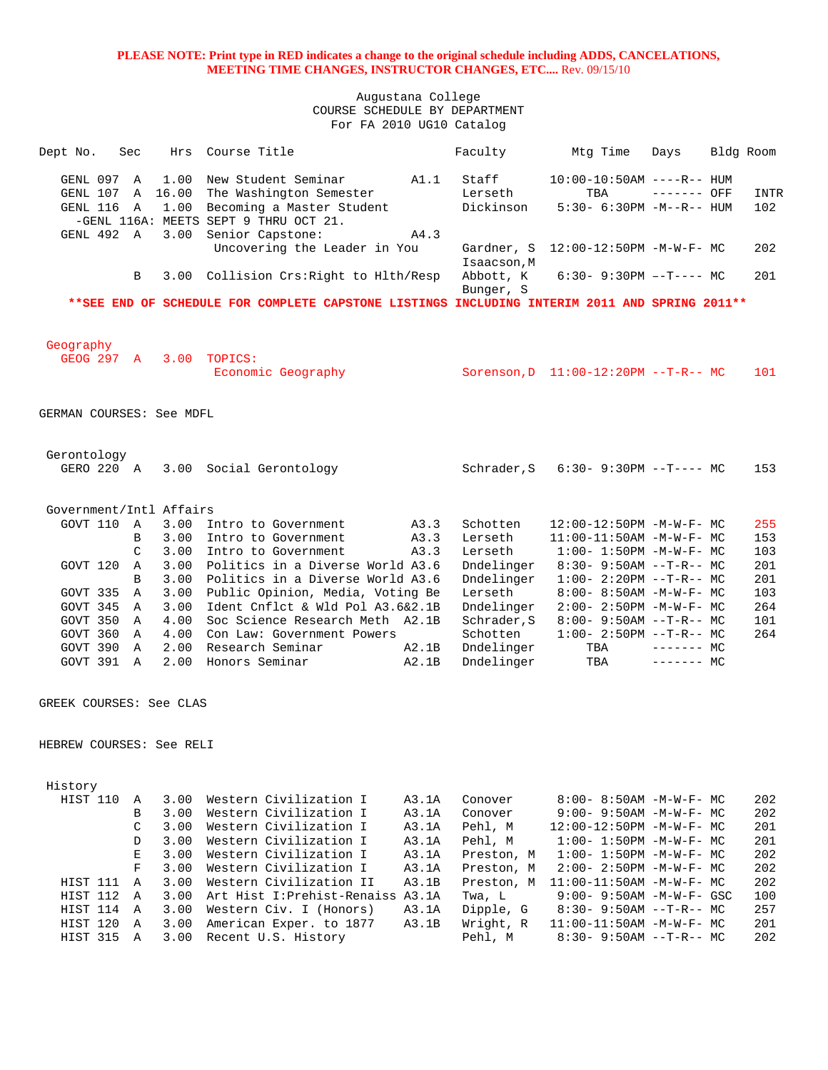Augustana College COURSE SCHEDULE BY DEPARTMENT For FA 2010 UG10 Catalog

| Dept No.                  | Sec           |      | Hrs Course Title                                                                                             |       | Faculty                       | Mtg Time                                                         | Days           | Bldg Room |             |
|---------------------------|---------------|------|--------------------------------------------------------------------------------------------------------------|-------|-------------------------------|------------------------------------------------------------------|----------------|-----------|-------------|
| GENL 097 A                |               | 1.00 | New Student Seminar<br>GENL 107 A 16.00 The Washington Semester<br>GENL 116 A 1.00 Becoming a Master Student | A1.1  | Staff<br>Lerseth<br>Dickinson | $10:00-10:50AM$ ----R-- HUM<br>TBA<br>$5:30 - 6:30PM -M--R--HUM$ | ------- OFF    |           | INTR<br>102 |
| GENL 492 A                |               | 3.00 | -GENL 116A: MEETS SEPT 9 THRU OCT 21.<br>Senior Capstone:                                                    | A4.3  |                               |                                                                  |                |           |             |
|                           |               |      | Uncovering the Leader in You                                                                                 |       | Isaacson, M                   | Gardner, S 12:00-12:50PM -M-W-F- MC                              |                |           | 202         |
|                           | B             |      | 3.00 Collision Crs: Right to Hlth/Resp                                                                       |       | Abbott, K<br>Bunger, S        | $6:30-9:30PM$ --T---- MC                                         |                |           | 201         |
|                           |               |      | ** SEE END OF SCHEDULE FOR COMPLETE CAPSTONE LISTINGS INCLUDING INTERIM 2011 AND SPRING 2011 **              |       |                               |                                                                  |                |           |             |
| Geography                 |               |      |                                                                                                              |       |                               |                                                                  |                |           |             |
| GEOG 297 A 3.00 TOPICS:   |               |      | Economic Geography                                                                                           |       |                               | Sorenson, $D = 11:00-12:20PM -T-R--MC$                           |                |           | 101         |
| GERMAN COURSES: See MDFL  |               |      |                                                                                                              |       |                               |                                                                  |                |           |             |
| Gerontology<br>GERO 220 A |               |      | 3.00 Social Gerontology                                                                                      |       | Schrader,S                    | $6:30-9:30PM --T---MC$                                           |                |           | 153         |
| Government/Intl Affairs   |               |      |                                                                                                              |       |                               |                                                                  |                |           |             |
| GOVT 110 A                |               | 3.00 | Intro to Government                                                                                          | A3.3  | Schotten                      | 12:00-12:50PM -M-W-F- MC                                         |                |           | 255         |
|                           | B             | 3.00 | Intro to Government                                                                                          | A3.3  | Lerseth                       | 11:00-11:50AM -M-W-F- MC                                         |                |           | 153         |
|                           | $\mathcal{C}$ | 3.00 | Intro to Government                                                                                          | A3.3  | Lerseth                       | $1:00 - 1:50PM -M-W-F-MC$                                        |                |           | 103         |
| GOVT 120 A                |               | 3.00 | Politics in a Diverse World A3.6                                                                             |       | Dndelinger                    | $8:30 - 9:50AM -T-R - M$                                         |                |           | 201         |
|                           | $\mathbf{B}$  | 3.00 | Politics in a Diverse World A3.6                                                                             |       | Dndelinger                    | $1:00-2:20PM -T-R--MC$                                           |                |           | 201         |
| GOVT 335 A                |               | 3.00 | Public Opinion, Media, Voting Be                                                                             |       | Lerseth                       | $8:00 - 8:50AM - M - W - F - MC$                                 |                |           | 103         |
| GOVT 345 A                |               | 3.00 | Ident Cnflct & Wld Pol A3.6&2.1B                                                                             |       | Dndelinger                    | $2:00 - 2:50PM -M-W-F-MC$                                        |                |           | 264         |
| GOVT 350 A                |               | 4.00 | Soc Science Research Meth A2.1B                                                                              |       | Schrader, S                   | $8:00 - 9:50AM -T-R-- MC$                                        |                |           | 101         |
| GOVT 360 A                |               | 4.00 | Con Law: Government Powers                                                                                   |       | Schotten                      | $1:00-2:50PM --T-R--MC$                                          |                |           | 264         |
| GOVT 390 A                |               | 2.00 | Research Seminar                                                                                             | A2.1B | Dndelinger                    | TBA                                                              | $------$ MC    |           |             |
| GOVT 391 A                |               | 2.00 | Honors Seminar                                                                                               | A2.1B | Dndelinger                    | TBA                                                              | $--- - - -$ MC |           |             |
| GREEK COURSES: See CLAS   |               |      |                                                                                                              |       |                               |                                                                  |                |           |             |

HEBREW COURSES: See RELI

| History  |                |      |                                   |       |            |                                   |     |
|----------|----------------|------|-----------------------------------|-------|------------|-----------------------------------|-----|
| HIST 110 | A              | 3.00 | Western Civilization I            | A3.1A | Conover    | $8:00 - 8:50AM - M - W - F - MC$  | 202 |
|          | <sub>R</sub>   | 3.00 | Western Civilization I            | A3.1A | Conover    | $9:00 - 9:50AM - M - W - F - MC$  | 202 |
|          | $\mathcal{C}$  | 3.00 | Western Civilization I            | A3.1A | Pehl, M    | 12:00-12:50PM -M-W-F- MC          | 201 |
|          | $\mathcal{D}$  | 3.00 | Western Civilization I            | A3.1A | Pehl, M    | $1:00-1:50PM -M-W-F-MC$           | 201 |
|          | F.,            | 3.00 | Western Civilization I            | A3.1A | Preston, M | $1:00-1:50PM -M-W-F-MC$           | 202 |
|          | F.             | 3.00 | Western Civilization I            | A3.1A | Preston, M | $2:00 - 2:50PM -M-W-F - MC$       | 202 |
| HIST 111 | $\overline{A}$ | 3.00 | Western Civilization II           | A3.1B | Preston, M | 11:00-11:50AM -M-W-F- MC          | 202 |
| HIST 112 | $\overline{A}$ | 3.00 | Art Hist I: Prehist-Renaiss A3.1A |       | Twa, L     | $9:00 - 9:50AM - M - W - F - GSC$ | 100 |
| HIST 114 | $\overline{A}$ | 3.00 | Western Civ. I (Honors)           | A3.1A | Dipple, G  | 8:30- 9:50AM --T-R-- MC           | 257 |
| HIST 120 | A              | 3.00 | American Exper. to 1877           | A3.1B | Wright, R  | $11:00-11:50AM - M-W-F - MC$      | 201 |
| HIST 315 | A              | 3.00 | Recent U.S. History               |       | Pehl, M    | $8:30 - 9:50AM -T-R-- MC$         | 202 |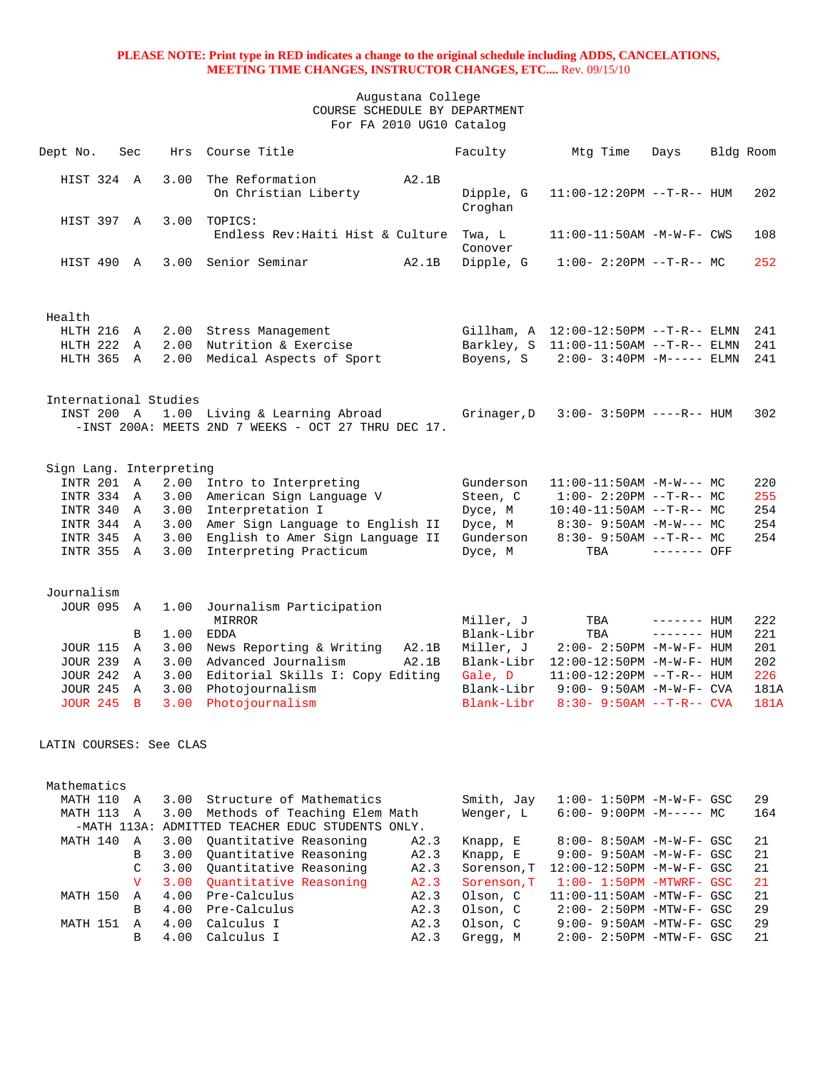| Dept No.                              | Sec            | Hrs          | Course Title                                                               |       | Faculty               | Mtg Time                                                 | Days         | Bldg Room |            |
|---------------------------------------|----------------|--------------|----------------------------------------------------------------------------|-------|-----------------------|----------------------------------------------------------|--------------|-----------|------------|
| HIST 324 A                            |                | 3.00         | The Reformation<br>On Christian Liberty                                    | A2.1B | Dipple, G             | $11:00-12:20PM$ --T-R-- HUM                              |              |           | 202        |
| HIST 397 A                            |                | 3.00         | TOPICS:                                                                    |       | Croghan               |                                                          |              |           |            |
|                                       |                |              | Endless Rev: Haiti Hist & Culture                                          |       | Twa, L<br>Conover     | $11:00-11:50AM$ -M-W-F- CWS                              |              |           | 108        |
| HIST 490 A                            |                | 3.00         | Senior Seminar                                                             | A2.1B | Dipple, G             | $1:00-2:20PM -T-R--MC$                                   |              |           | 252        |
| Health<br>HLTH 216 A                  |                |              | 2.00 Stress Management                                                     |       |                       | $Gillham, A 12:00-12:50PM -T-R-- ELMN$                   |              |           | 241        |
| HLTH 222 A                            |                | 2.00         | Nutrition & Exercise                                                       |       |                       | Barkley, S 11:00-11:50AM --T-R-- ELMN                    |              |           | 241        |
| HLTH 365 A                            |                | 2.00         | Medical Aspects of Sport                                                   |       | Boyens, S             | $2:00 - 3:40PM -M--- -$ ELMN                             |              |           | 241        |
| International Studies<br>INST 200 A   |                |              | 1.00 Living & Learning Abroad                                              |       | Grinager,D            | $3:00 - 3:50PM$ ----R-- HUM                              |              |           | 302        |
|                                       |                |              | -INST 200A: MEETS 2ND 7 WEEKS - OCT 27 THRU DEC 17.                        |       |                       |                                                          |              |           |            |
| Sign Lang. Interpreting<br>INTR 201 A |                | 2.00         | Intro to Interpreting                                                      |       | Gunderson             | $11:00-11:50AM$ -M-W--- MC                               |              |           | 220        |
| INTR 334 A                            |                | 3.00         | American Sign Language V                                                   |       | Steen, C              | $1:00-2:20PM -T-R--MC$                                   |              |           | 255        |
| INTR 340 A                            |                | 3.00         | Interpretation I                                                           |       | Dyce, M               | $10:40-11:50AM$ --T-R-- MC                               |              |           | 254        |
| INTR 344 A                            |                | 3.00         | Amer Sign Language to English II                                           |       | Dyce, M               | $8:30 - 9:50AM - M-W--- MC$                              |              |           | 254        |
| INTR 345 A                            |                | 3.00         | English to Amer Sign Language II                                           |       | Gunderson             | $8:30 - 9:50AM -T-R-- MC$                                |              |           | 254        |
| INTR 355 A                            |                | 3.00         | Interpreting Practicum                                                     |       | Dyce, M               | TBA                                                      | ------- OFF  |           |            |
| Journalism                            |                |              |                                                                            |       |                       |                                                          |              |           |            |
| JOUR 095 A                            |                | 1.00         | Journalism Participation<br>MIRROR                                         |       | Miller, J             | TBA                                                      | $------$ HUM |           | 222        |
|                                       | В              | 1.00         | EDDA                                                                       |       | Blank-Libr            | TBA                                                      | $------$ HUM |           | 221        |
| <b>JOUR 115</b>                       | A              | 3.00         | News Reporting & Writing                                                   | A2.1B | Miller, J             | 2:00- 2:50PM -M-W-F- HUM                                 |              |           | 201        |
| JOUR 239 A<br><b>JOUR 242 A</b>       |                | 3.00<br>3.00 | Advanced Journalism<br>Editorial Skills I: Copy Editing                    | A2.1B | Blank-Libr<br>Gale, D | 12:00-12:50PM -M-W-F- HUM<br>$11:00-12:20PM$ --T-R-- HUM |              |           | 202<br>226 |
| <b>JOUR 245</b>                       | $\overline{A}$ | 3.00         | Photojournalism                                                            |       | Blank-Libr            | $9:00 - 9:50AM - M - W - F - CVA$                        |              |           | 181A       |
| <b>JOUR 245</b>                       | $\mathbf{B}$   | 3.00         | Photojournalism                                                            |       | Blank-Libr            | $8:30 - 9:50AM -T-R--CVA$                                |              |           | 181A       |
| LATIN COURSES: See CLAS               |                |              |                                                                            |       |                       |                                                          |              |           |            |
| Mathematics                           |                |              |                                                                            |       |                       |                                                          |              |           |            |
| MATH 110 A                            |                | 3.00         | Structure of Mathematics                                                   |       | Smith, Jay            | $1:00 - 1:50PM - M - W - F - GSC$                        |              |           | 29         |
| MATH 113                              | A              | 3.00         | Methods of Teaching Elem Math                                              |       | Wenger, L             | $6:00-9:00PM -M----- MC$                                 |              |           | 164        |
| MATH 140                              | Α              | 3.00         | -MATH 113A: ADMITTED TEACHER EDUC STUDENTS ONLY.<br>Quantitative Reasoning | A2.3  | Knapp, E              | 8:00- 8:50AM -M-W-F- GSC                                 |              |           | 21         |
|                                       | B              | 3.00         | Quantitative Reasoning                                                     | A2.3  | Knapp, E              | 9:00- 9:50AM -M-W-F- GSC                                 |              |           | 21         |
|                                       | C              | 3.00         | Ouantitative Reasoning                                                     | A2.3  | Sorenson, T           | 12:00-12:50PM -M-W-F- GSC                                |              |           | 21         |
|                                       | $\mathbf{V}$   | 3.00         | Quantitative Reasoning                                                     | A2.3  | Sorenson, T           | $1:00-1:50PM -MTWRF-GSC$                                 |              |           | 21         |
| MATH 150                              | Α              | 4.00         | Pre-Calculus                                                               | A2.3  | Olson, C              | 11:00-11:50AM -MTW-F- GSC                                |              |           | 21         |
|                                       | B              | 4.00         | Pre-Calculus                                                               | A2.3  | Olson, C              | 2:00- 2:50PM -MTW-F- GSC                                 |              |           | 29         |
| MATH 151                              | $\mathbf{A}$   | 4.00         | Calculus I                                                                 | A2.3  | Olson, C              | 9:00- 9:50AM -MTW-F- GSC                                 |              |           | 29         |
|                                       | B              | 4.00         | Calculus I                                                                 | A2.3  | Gregg, M              | 2:00- 2:50PM -MTW-F- GSC                                 |              |           | 21         |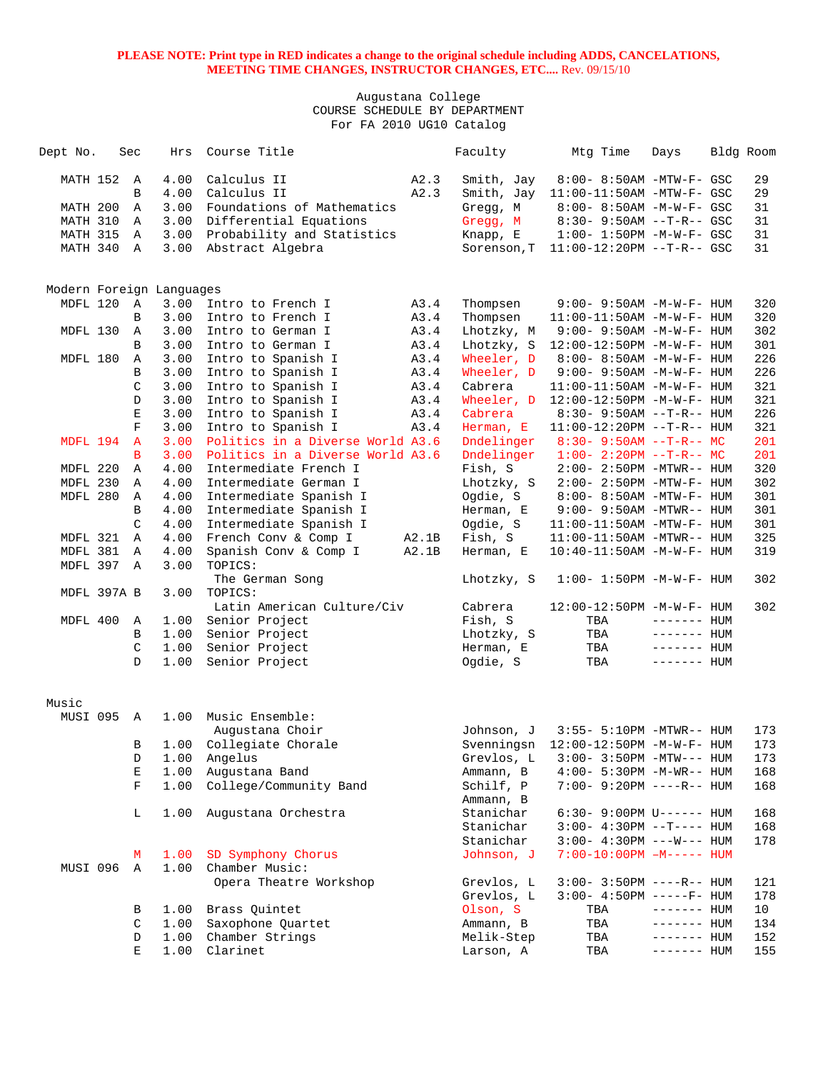| Dept No.    | Sec            | Hrs                      | Course Title                     |       | Faculty                | Mtg Time                                | Days         | Bldg Room |
|-------------|----------------|--------------------------|----------------------------------|-------|------------------------|-----------------------------------------|--------------|-----------|
| MATH 152    | A              | 4.00                     | Calculus II                      | A2.3  | Smith, Jay             | 8:00- 8:50AM -MTW-F- GSC                |              | 29        |
|             | B              | 4.00                     | Calculus II                      | A2.3  | Smith, Jay             | 11:00-11:50AM -MTW-F- GSC               |              | 29        |
| MATH 200    | Α              | 3.00                     | Foundations of Mathematics       |       | Gregg, M               | 8:00- 8:50AM -M-W-F- GSC                |              | 31        |
| MATH 310    | A              | 3.00                     | Differential Equations           |       | Gregg, M               | $8:30 - 9:50AM -T-R - GSC$              |              | 31        |
| MATH 315    | Α              | 3.00                     | Probability and Statistics       |       | Knapp, E               | $1:00 - 1:50PM - M - W - F - GSC$       |              | 31        |
| MATH 340    | Α              | 3.00                     | Abstract Algebra                 |       |                        | Sorenson, $T$ 11:00-12:20PM --T-R-- GSC |              | 31        |
|             |                |                          |                                  |       |                        |                                         |              |           |
|             |                | Modern Foreign Languages |                                  |       |                        |                                         |              |           |
| MDFL 120    | $\overline{A}$ | 3.00                     | Intro to French I                | A3.4  | Thompsen               | $9:00 - 9:50AM - M - W - F - HUM$       |              | 320       |
|             | B              | 3.00                     | Intro to French I                | A3.4  | Thompsen               | 11:00-11:50AM -M-W-F- HUM               |              | 320       |
| MDFL 130    | A              | 3.00                     | Intro to German I                | A3.4  | Lhotzky, M             | $9:00 - 9:50AM - M - W - F - HUM$       |              | 302       |
|             | B              | 3.00                     | Intro to German I                | A3.4  | Lhotzky, S             | 12:00-12:50PM -M-W-F- HUM               |              | 301       |
| MDFL 180    | Α              | 3.00                     | Intro to Spanish I               | A3.4  | Wheeler, D             | 8:00- 8:50AM -M-W-F- HUM                |              | 226       |
|             | B              | 3.00                     | Intro to Spanish I               | A3.4  | Wheeler, D             | $9:00 - 9:50AM - M - W - F - HUM$       |              | 226       |
|             | C              | 3.00                     | Intro to Spanish I               | A3.4  | Cabrera                | $11:00-11:50AM$ -M-W-F- HUM             |              | 321       |
|             | $\mathbb D$    | 3.00                     | Intro to Spanish I               | A3.4  | Wheeler, D             | 12:00-12:50PM -M-W-F- HUM               |              | 321       |
|             | E              | 3.00                     | Intro to Spanish I               | A3.4  | Cabrera                | $8:30 - 9:50AM -T-R-- HUM$              |              | 226       |
|             | $\mathbf F$    | 3.00                     | Intro to Spanish I               | A3.4  | Herman, E              | $11:00-12:20PM$ --T-R-- HUM             |              | 321       |
| MDFL 194    | $\mathbf{A}$   | 3.00                     | Politics in a Diverse World A3.6 |       | Dndelinger             | $8:30 - 9:50AM -T-R-- MC$               |              | 201       |
|             | B              | 3.00                     | Politics in a Diverse World A3.6 |       | Dndelinger             | $1:00-2:20PM -T-R--MC$                  |              | 201       |
| MDFL 220    | Α              | 4.00                     | Intermediate French I            |       | Fish, S                | $2:00 - 2:50PM - MTWR - - HUM$          |              | 320       |
| MDFL 230    | Α              | 4.00                     | Intermediate German I            |       | Lhotzky, S             | 2:00- 2:50PM -MTW-F- HUM                |              | 302       |
| MDFL 280    | Α              | 4.00                     | Intermediate Spanish I           |       | Oqdie, S               | 8:00- 8:50AM -MTW-F- HUM                |              | 301       |
|             | B              | 4.00                     | Intermediate Spanish I           |       | Herman, E              | 9:00- 9:50AM -MTWR-- HUM                |              | 301       |
|             | C              | 4.00                     | Intermediate Spanish I           |       | Ogdie, S               | $11:00-11:50AM$ -MTW-F- HUM             |              | 301       |
| MDFL 321    | Α              | 4.00                     | French Conv & Comp I             | A2.1B | Fish, S                | $11:00-11:50AM - MTWR--HUM$             |              | 325       |
| MDFL 381    | Α              | 4.00                     | Spanish Conv & Comp I            | A2.1B | Herman, E              | 10:40-11:50AM -M-W-F- HUM               |              | 319       |
| MDFL 397    | $\mathbb{A}$   | 3.00                     | TOPICS:                          |       |                        |                                         |              |           |
| MDFL 397A B |                | 3.00                     | The German Song<br>TOPICS:       |       | Lhotzky, S             | $1:00 - 1:50PM - M - W - F - HUM$       |              | 302       |
|             |                |                          | Latin American Culture/Civ       |       | Cabrera                | 12:00-12:50PM -M-W-F- HUM               |              | 302       |
| MDFL 400    | Α              | 1.00                     | Senior Project                   |       | Fish, S                | TBA                                     | $------$ HUM |           |
|             | B              | 1.00                     | Senior Project                   |       | Lhotzky, S             | TBA                                     | $------$ HUM |           |
|             | $\mathsf C$    | 1.00                     | Senior Project                   |       | Herman, E              | TBA                                     | $------$ HUM |           |
|             | D              | 1.00                     | Senior Project                   |       | Ogdie, S               | TBA                                     | ------- HUM  |           |
|             |                |                          |                                  |       |                        |                                         |              |           |
| Music       |                |                          |                                  |       |                        |                                         |              |           |
| MUSI 095    | A              | 1.00                     | Music Ensemble:                  |       |                        |                                         |              |           |
|             |                |                          | Augustana Choir                  |       | Johnson, J             | 3:55- 5:10PM -MTWR-- HUM                |              | 173       |
|             | B              | 1.00                     | Collegiate Chorale               |       | Svenningsn             | 12:00-12:50PM -M-W-F- HUM               |              | 173       |
|             | $\mathbb D$    | 1.00                     | Angelus                          |       | Grevlos, L             | 3:00- 3:50PM -MTW--- HUM                |              | 173       |
|             | Ε              | 1.00                     | Augustana Band                   |       | Ammann, B              | $4:00 - 5:30PM -M-WR-- HUM$             |              | 168       |
|             | $\mathbf F$    | 1.00                     | College/Community Band           |       | Schilf, P<br>Ammann, B | 7:00- 9:20PM ----R-- HUM                |              | 168       |
|             | L              | 1.00                     | Augustana Orchestra              |       | Stanichar              | $6:30-9:00PM$ U------ HUM               |              | 168       |
|             |                |                          |                                  |       | Stanichar              | $3:00-4:30PM -T--- HUM$                 |              | 168       |
|             |                |                          |                                  |       | Stanichar              | $3:00 - 4:30PM$ ---W--- HUM             |              | 178       |
|             | М              | 1.00                     | SD Symphony Chorus               |       | Johnson, J             | 7:00-10:00PM -M----- HUM                |              |           |
| MUSI 096    | Α              | 1.00                     | Chamber Music:                   |       |                        |                                         |              |           |
|             |                |                          | Opera Theatre Workshop           |       | Grevlos, L             | $3:00 - 3:50PM$ ----R-- HUM             |              | 121       |
|             |                |                          |                                  |       | Grevlos, L             | $3:00-4:50PM$ -----F- HUM               |              | 178       |
|             | В              | 1.00                     | Brass Quintet                    |       | Olson, S               | TBA                                     | $------$ HUM | 10        |
|             | C              | 1.00                     | Saxophone Quartet                |       | Ammann, B              | TBA                                     | ------- HUM  | 134       |
|             | D              | 1.00                     | Chamber Strings                  |       | Melik-Step             | TBA                                     | ------- HUM  | 152       |
|             | Е              | 1.00                     | Clarinet                         |       | Larson, A              | TBA                                     | ------- HUM  | 155       |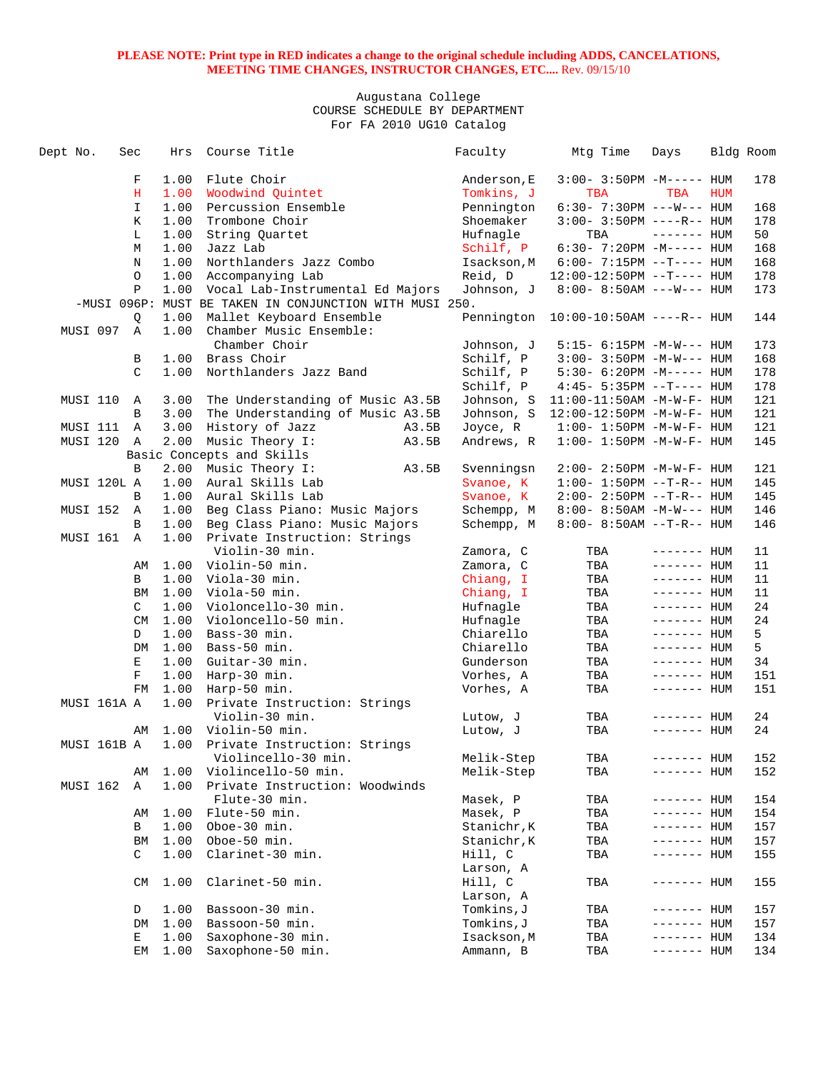| Dept No.        | Sec          | Hrs  | Course Title                                            | Faculty     | Mtg Time                          | Days               |            | Bldg Room |
|-----------------|--------------|------|---------------------------------------------------------|-------------|-----------------------------------|--------------------|------------|-----------|
|                 | F            | 1.00 | Flute Choir                                             | Anderson, E | $3:00-3:50PM -M--- HUM$           |                    |            | 178       |
|                 | Η            | 1.00 | Woodwind Quintet                                        | Tomkins, J  | <b>TBA</b>                        | TBA                | <b>HUM</b> |           |
|                 | I.           | 1.00 | Percussion Ensemble                                     | Pennington  | 6:30- 7:30PM ---W--- HUM          |                    |            | 168       |
|                 | K            | 1.00 | Trombone Choir                                          | Shoemaker   | $3:00 - 3:50PM$ ----R-- HUM       |                    |            | 178       |
|                 | L            | 1.00 | String Quartet                                          | Hufnagle    | TBA                               | $------$ HUM       |            | 50        |
|                 | М            | 1.00 | Jazz Lab                                                | Schilf, P   | $6:30 - 7:20PM -M-----$ HUM       |                    |            | 168       |
|                 | N            | 1.00 | Northlanders Jazz Combo                                 | Isackson, M | $6:00 - 7:15PM -T--- HUM$         |                    |            | 168       |
|                 | 0            | 1.00 | Accompanying Lab                                        | Reid, D     | $12:00-12:50PM$ --T---- HUM       |                    |            | 178       |
|                 | $\, {\bf P}$ | 1.00 | Vocal Lab-Instrumental Ed Majors                        | Johnson, J  | $8:00 - 8:50AM$ ---W--- HUM       |                    |            | 173       |
|                 |              |      | -MUSI 096P: MUST BE TAKEN IN CONJUNCTION WITH MUSI 250. |             |                                   |                    |            |           |
|                 | Q            | 1.00 | Mallet Keyboard Ensemble<br>Chamber Music Ensemble:     | Pennington  | $10:00-10:50AM$ ----R-- HUM       |                    |            | 144       |
| MUSI 097        | A            | 1.00 | Chamber Choir                                           |             |                                   |                    |            |           |
|                 |              |      |                                                         | Johnson, J  | $5:15- 6:15PM -M-W--- HUM$        |                    |            | 173       |
|                 | B            | 1.00 | Brass Choir                                             | Schilf, P   | $3:00 - 3:50PM -M-W---$ HUM       |                    |            | 168       |
|                 | C            | 1.00 | Northlanders Jazz Band                                  | Schilf, P   | $5:30-6:20PM -M--- HUM$           |                    |            | 178       |
|                 |              |      |                                                         | Schilf, P   | $4:45-5:35PM -T--- HUM$           |                    |            | 178       |
| MUSI 110        | Α            | 3.00 | The Understanding of Music A3.5B                        | Johnson, S  | $11:00-11:50AM$ -M-W-F- HUM       |                    |            | 121       |
|                 | B            | 3.00 | The Understanding of Music A3.5B                        | Johnson, S  | 12:00-12:50PM -M-W-F- HUM         |                    |            | 121       |
| MUSI 111        | $\mathbb{A}$ | 3.00 | History of Jazz<br>A3.5B                                | Joyce, R    | $1:00 - 1:50PM - M - W - F - HUM$ |                    |            | 121       |
| MUSI 120        | A            | 2.00 | Music Theory I:<br>A3.5B                                | Andrews, R  | $1:00 - 1:50PM - M - W - F - HUM$ |                    |            | 145       |
|                 |              |      | Basic Concepts and Skills                               |             |                                   |                    |            |           |
|                 | B            | 2.00 | Music Theory I:<br>A3.5B                                | Svenningsn  | 2:00- 2:50PM -M-W-F- HUM          |                    |            | 121       |
| MUSI 120L A     |              | 1.00 | Aural Skills Lab                                        | Svanoe, K   | $1:00 - 1:50PM -T-R--HUM$         |                    |            | 145       |
|                 | B            | 1.00 | Aural Skills Lab                                        | Svanoe, K   | 2:00- 2:50PM --T-R-- HUM          |                    |            | 145       |
| MUSI 152        | A            | 1.00 | Beg Class Piano: Music Majors                           | Schempp, M  | $8:00 - 8:50AM - M-W---$ HUM      |                    |            | 146       |
|                 | B            | 1.00 | Beg Class Piano: Music Majors                           | Schempp, M  | 8:00- 8:50AM --T-R-- HUM          |                    |            | 146       |
| MUSI 161        | A            | 1.00 | Private Instruction: Strings                            |             |                                   |                    |            |           |
|                 |              |      | Violin-30 min.                                          | Zamora, C   | TBA                               | $------$ HUM       |            | 11        |
|                 | AΜ           | 1.00 | Violin-50 min.                                          | Zamora, C   | TBA                               | $------$ HUM       |            | 11        |
|                 | B            | 1.00 | Viola-30 min.                                           | Chiang, I   | TBA                               | $------$ HUM       |            | 11        |
|                 | BM           | 1.00 | Viola-50 min.                                           | Chiang, I   | TBA                               | ------- HUM        |            | 11        |
|                 | C            | 1.00 | Violoncello-30 min.                                     | Hufnagle    | TBA                               | ------- HUM        |            | 24        |
|                 | CM           | 1.00 | Violoncello-50 min.                                     | Hufnagle    | TBA                               | $------$ HUM       |            | 24        |
|                 | D            | 1.00 | Bass-30 min.                                            | Chiarello   | TBA                               | $------$ HUM       |            | 5         |
|                 | DM           | 1.00 | Bass-50 min.                                            | Chiarello   | TBA                               | $------HHUM$       |            | 5         |
|                 | Е            | 1.00 | Guitar-30 min.                                          | Gunderson   | TBA                               | $------$ HUM       |            | 34        |
|                 | $\mathbf F$  | 1.00 | Harp-30 min.                                            | Vorhes, A   | TBA                               | ------- HUM        |            | 151       |
|                 | FM           | 1.00 | Harp-50 min.                                            | Vorhes, A   | TBA                               | ------- HUM        |            | 151       |
| MUSI 161A A     |              | 1.00 | Private Instruction: Strings                            |             |                                   |                    |            |           |
|                 |              |      | Violin-30 min.                                          | Lutow, J    | TBA                               | ------- HUM        |            | 24        |
|                 | AΜ           | 1.00 | Violin-50 min.                                          | Lutow, J    | TBA                               | ------- <b>HUM</b> |            | 24        |
| MUSI 161B A     |              | 1.00 | Private Instruction: Strings                            |             |                                   |                    |            |           |
|                 |              |      | Violincello-30 min.                                     | Melik-Step  | TBA                               | ------- <b>HUM</b> |            | 152       |
|                 | AΜ           | 1.00 | Violincello-50 min.                                     | Melik-Step  | TBA                               | ------- HUM        |            | 152       |
| <b>MUSI 162</b> | Α            | 1.00 | Private Instruction: Woodwinds                          |             |                                   |                    |            |           |
|                 |              |      | Flute-30 min.                                           | Masek, P    | TBA                               | ------- HUM        |            | 154       |
|                 | AΜ           | 1.00 | Flute-50 min.                                           | Masek, P    | TBA                               | ------- HUM        |            | 154       |
|                 | В            | 1.00 | Oboe-30 min.                                            | Stanichr, K | TBA                               | ------- <b>HUM</b> |            | 157       |
|                 | BM           | 1.00 | Oboe-50 min.                                            | Stanichr, K | TBA                               | ------- HUM        |            | 157       |
|                 | C            | 1.00 | Clarinet-30 min.                                        | Hill, C     | TBA                               | ------- HUM        |            | 155       |
|                 |              |      |                                                         | Larson, A   |                                   |                    |            |           |
|                 | CМ           | 1.00 | Clarinet-50 min.                                        | Hill, C     | TBA                               | ------- HUM        |            | 155       |
|                 |              |      |                                                         | Larson, A   |                                   |                    |            |           |
|                 | D            | 1.00 | Bassoon-30 min.                                         | Tomkins, J  | TBA                               | ------- HUM        |            | 157       |
|                 | DM           | 1.00 | Bassoon-50 min.                                         | Tomkins, J  | TBA                               | ------- HUM        |            | 157       |
|                 | Е            | 1.00 | Saxophone-30 min.                                       | Isackson, M | TBA                               | ------- HUM        |            | 134       |
|                 | ЕM           | 1.00 | Saxophone-50 min.                                       | Ammann, B   | TBA                               | ------- HUM        |            | 134       |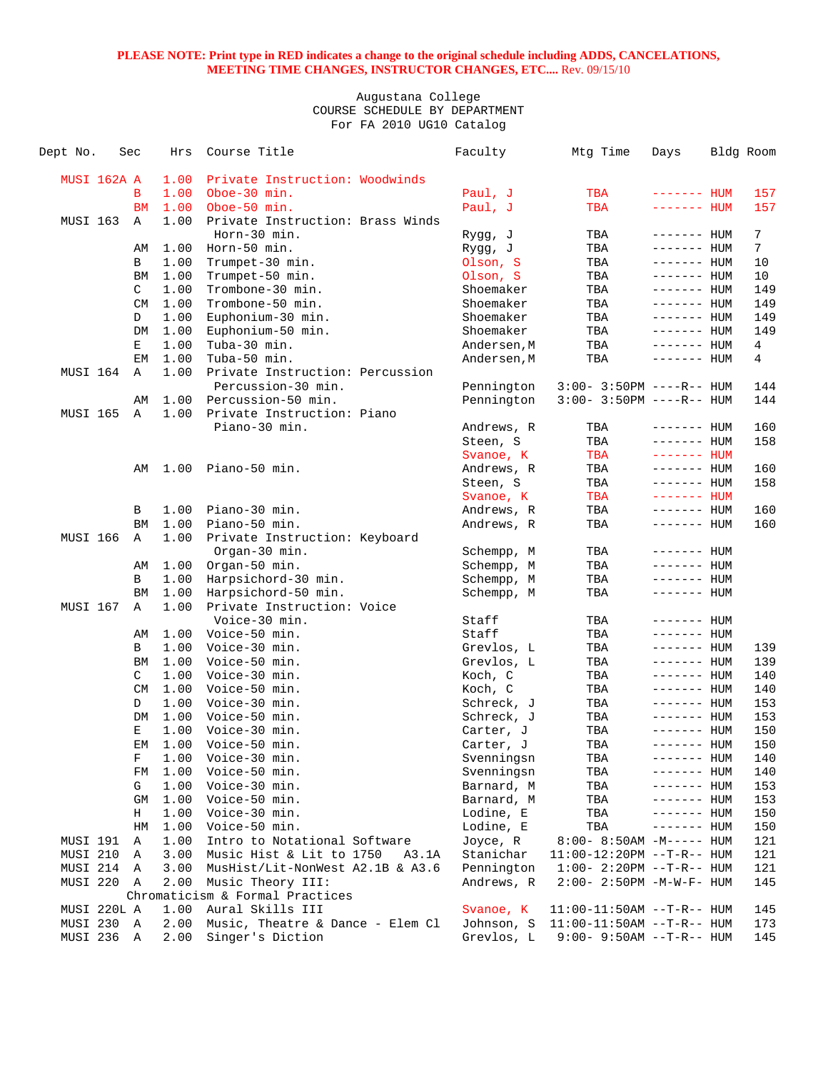| Dept No.        |             | Sec            | Hrs  | Course Title                      | Faculty     | Mtg Time                     | Days               | Bldg Room |
|-----------------|-------------|----------------|------|-----------------------------------|-------------|------------------------------|--------------------|-----------|
|                 |             |                |      |                                   |             |                              |                    |           |
|                 | MUSI 162A A |                | 1.00 | Private Instruction: Woodwinds    |             |                              |                    |           |
|                 |             | B              | 1.00 | Oboe-30 min.                      | Paul, J     | TBA                          | $------$ HUM       | 157       |
|                 |             | <b>BM</b>      | 1.00 | Oboe-50 min.                      | Paul, J     | TBA                          | ------- HUM        | 157       |
| <b>MUSI 163</b> |             | Α              | 1.00 | Private Instruction: Brass Winds  |             |                              |                    |           |
|                 |             |                |      | Horn-30 min.                      | Rygg, J     | TBA                          | ------- HUM        | 7         |
|                 |             | AΜ             | 1.00 | Horn-50 min.                      | Rygg, J     | TBA                          | $------$ HUM       | 7         |
|                 |             | В              | 1.00 | Trumpet-30 min.                   | Olson, S    | TBA                          | $------$ HUM       | 10        |
|                 |             | BM             | 1.00 | Trumpet-50 min.                   | Olson, S    | TBA                          | $------$ HUM       | 10        |
|                 |             | C              | 1.00 | Trombone-30 min.                  | Shoemaker   | TBA                          | $------$ HUM       | 149       |
|                 |             | <b>CM</b>      | 1.00 | Trombone-50 min.                  | Shoemaker   | TBA                          | $------$ HUM       | 149       |
|                 |             | D              | 1.00 | Euphonium-30 min.                 | Shoemaker   | TBA                          | ------- HUM        | 149       |
|                 |             | DM             | 1.00 | Euphonium-50 min.                 | Shoemaker   | TBA                          | ------- HUM        | 149       |
|                 |             | Е              | 1.00 | Tuba-30 min.                      | Andersen, M | TBA                          | ------- HUM        | 4         |
|                 |             | EM             | 1.00 | Tuba-50 min.                      | Andersen, M | TBA                          | ------- <b>HUM</b> | 4         |
| MUSI 164        |             | A              | 1.00 | Private Instruction: Percussion   |             |                              |                    |           |
|                 |             |                |      | Percussion-30 min.                | Pennington  | $3:00 - 3:50PM$ ----R-- HUM  |                    | 144       |
|                 |             | AΜ             | 1.00 | Percussion-50 min.                | Pennington  | $3:00 - 3:50PM$ ----R-- HUM  |                    | 144       |
| <b>MUSI 165</b> |             | $\mathbb A$    | 1.00 | Private Instruction: Piano        |             |                              |                    |           |
|                 |             |                |      | Piano-30 min.                     | Andrews, R  | TBA                          | $------$ HUM       | 160       |
|                 |             |                |      |                                   | Steen, S    | TBA                          | $------$ HUM       | 158       |
|                 |             |                |      |                                   | Svanoe, K   | TBA                          | $------$ HUM       |           |
|                 |             | AΜ             | 1.00 | Piano-50 min.                     | Andrews, R  | TBA                          | $------$ HUM       | 160       |
|                 |             |                |      |                                   | Steen, S    | TBA                          | $------$ HUM       | 158       |
|                 |             |                |      |                                   | Svanoe, K   | TBA                          | $------$ HUM       |           |
|                 |             | B              | 1.00 | Piano-30 min.                     | Andrews, R  | TBA                          | $------$ HUM       | 160       |
|                 |             | BM             | 1.00 | Piano-50 min.                     | Andrews, R  | TBA                          | $------$ HUM       | 160       |
| MUSI 166        |             | Α              | 1.00 | Private Instruction: Keyboard     |             |                              |                    |           |
|                 |             |                |      | Organ-30 min.                     | Schempp, M  | TBA                          | $------$ HUM       |           |
|                 |             | AΜ             | 1.00 | Organ-50 min.                     | Schempp, M  | TBA                          | $------$ HUM       |           |
|                 |             | B              | 1.00 | Harpsichord-30 min.               | Schempp, M  | TBA                          | $------$ HUM       |           |
|                 |             | BM             | 1.00 | Harpsichord-50 min.               | Schempp, M  | TBA                          | $------$ HUM       |           |
| <b>MUSI 167</b> |             | A              | 1.00 | Private Instruction: Voice        |             |                              |                    |           |
|                 |             |                |      | Voice-30 min.                     | Staff       | TBA                          | $------$ HUM       |           |
|                 |             | AΜ             | 1.00 | Voice-50 min.                     | Staff       | TBA                          | $------$ HUM       |           |
|                 |             | B              | 1.00 | Voice-30 min.                     | Grevlos, L  | TBA                          | $------$ HUM       | 139       |
|                 |             | BM             | 1.00 | Voice-50 min.                     | Grevlos, L  | TBA                          | $------$ HUM       | 139       |
|                 |             | C              | 1.00 | Voice-30 min.                     | Koch, C     | TBA                          | ------- HUM        | 140       |
|                 |             | CM             | 1.00 | Voice-50 min.                     | Koch, C     | TBA                          | $------$ HUM       | 140       |
|                 |             | D              | 1.00 | Voice-30 min.                     | Schreck, J  | TBA                          | ------- HUM        | 153       |
|                 |             | DM             | 1.00 | Voice-50 min.                     | Schreck, J  | TBA                          | $------$ HUM       | 153       |
|                 |             | Е              | 1.00 | Voice-30 min.                     | Carter, J   | TBA                          | ------- HUM        | 150       |
|                 |             | EМ             | 1.00 | Voice-50 min.                     | Carter, J   | TBA                          | ------- HUM        | 150       |
|                 |             | F              | 1.00 | Voice-30 min.                     | Svenningsn  | TBA                          | ------- <b>HUM</b> | 140       |
|                 |             | FM             | 1.00 | Voice-50 min.                     | Svenningsn  | TBA                          | $------$ HUM       | 140       |
|                 |             | G              | 1.00 | Voice-30 min.                     | Barnard, M  | TBA                          | ------- HUM        | 153       |
|                 |             | GM             | 1.00 | Voice-50 min.                     | Barnard, M  | TBA                          | ------- HUM        | 153       |
|                 |             | Н              | 1.00 | Voice-30 min.                     | Lodine, E   | TBA                          | ------- HUM        | 150       |
|                 |             | HM             | 1.00 | Voice-50 min.                     | Lodine, E   | TBA                          | ------- HUM        | 150       |
| MUSI 191        |             | Α              | 1.00 | Intro to Notational Software      | Joyce, R    | $8:00 - 8:50AM - M---HUM$    |                    | 121       |
| MUSI 210        |             | Α              | 3.00 | Music Hist & Lit to 1750<br>A3.1A | Stanichar   | $11:00-12:20PM --T-R--HUM$   |                    | 121       |
|                 | MUSI 214 A  |                | 3.00 | MusHist/Lit-NonWest A2.1B & A3.6  | Pennington  | $1:00 - 2:20PM -T-R--HUM$    |                    | 121       |
| MUSI 220        |             | A              | 2.00 | Music Theory III:                 | Andrews, R  | $2:00 - 2:50PM -M-W-F - HUM$ |                    | 145       |
|                 |             |                |      | Chromaticism & Formal Practices   |             |                              |                    |           |
|                 | MUSI 220L A |                | 1.00 | Aural Skills III                  | Svanoe, K   | $11:00-11:50AM$ --T-R-- HUM  |                    | 145       |
| MUSI 230        |             | $\overline{A}$ | 2.00 | Music, Theatre & Dance - Elem Cl  | Johnson, S  | 11:00-11:50AM --T-R-- HUM    |                    | 173       |
| MUSI 236        |             | $\mathbb{A}$   | 2.00 | Singer's Diction                  | Grevlos, L  | $9:00 - 9:50AM -T-R-- HUM$   |                    | 145       |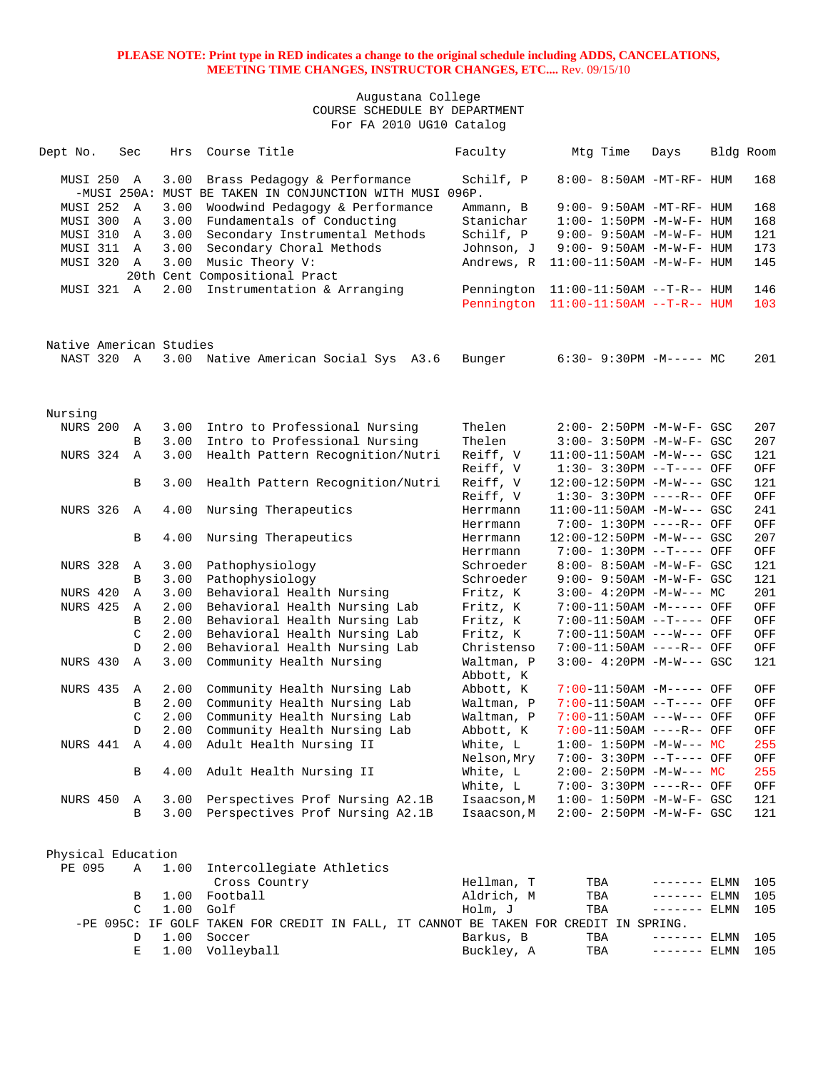| Dept No. |                 | Sec                     | Hrs          | Course Title                                                                             | Faculty                  | Mtg Time                                                 | Days          | Bldg Room  |
|----------|-----------------|-------------------------|--------------|------------------------------------------------------------------------------------------|--------------------------|----------------------------------------------------------|---------------|------------|
|          | MUSI 250        | A                       | 3.00         | Brass Pedagogy & Performance<br>-MUSI 250A: MUST BE TAKEN IN CONJUNCTION WITH MUSI 096P. | Schilf, P                | 8:00- 8:50AM -MT-RF- HUM                                 |               | 168        |
|          | MUSI 252        | $\overline{A}$          | 3.00         | Woodwind Pedagogy & Performance                                                          | Ammann, B                | 9:00- 9:50AM -MT-RF- HUM                                 |               | 168        |
|          | MUSI 300        | $\mathbb{A}$            | 3.00         | Fundamentals of Conducting                                                               | Stanichar                | $1:00 - 1:50PM -M-W-F - HUM$                             |               | 168        |
|          | MUSI 310        | A                       | 3.00         | Secondary Instrumental Methods                                                           | Schilf, P                | $9:00 - 9:50AM - M - W - F - HUM$                        |               | 121        |
|          | MUSI 311        | A                       | 3.00         | Secondary Choral Methods                                                                 | Johnson, J               | $9:00 - 9:50AM - M - W - F - HUM$                        |               | 173        |
|          | MUSI 320        | A                       | 3.00         | Music Theory V:                                                                          | Andrews, R               | 11:00-11:50AM -M-W-F- HUM                                |               | 145        |
|          |                 |                         |              | 20th Cent Compositional Pract                                                            |                          |                                                          |               |            |
|          | MUSI 321 A      |                         | 2.00         | Instrumentation & Arranging                                                              | Pennington<br>Pennington | 11:00-11:50AM --T-R-- HUM<br>$11:00-11:50AM$ --T-R-- HUM |               | 146<br>103 |
|          |                 | Native American Studies |              |                                                                                          |                          |                                                          |               |            |
|          | NAST 320 A      |                         |              | 3.00 Native American Social Sys A3.6                                                     | Bunger                   | $6:30 - 9:30PM -M--- - M$                                |               | 201        |
| Nursing  |                 |                         |              |                                                                                          |                          |                                                          |               |            |
|          | NURS 200        | Α                       | 3.00         | Intro to Professional Nursing                                                            | Thelen                   | $2:00 - 2:50PM -M-W-F - GSC$                             |               | 207        |
|          |                 | B                       | 3.00         | Intro to Professional Nursing                                                            | Thelen                   | $3:00 - 3:50PM -M-W-F - GSC$                             |               | 207        |
|          | NURS 324        | $\mathbf{A}$            | 3.00         | Health Pattern Recognition/Nutri                                                         | Reiff, V                 | $11:00-11:50AM$ -M-W--- GSC                              |               | 121        |
|          |                 |                         |              |                                                                                          | Reiff, V                 | $1:30-3:30PM --T---$ OFF                                 |               | OFF        |
|          |                 | В                       | 3.00         | Health Pattern Recognition/Nutri                                                         | Reiff, V                 | $12:00-12:50PM -M-W--- GSC$                              |               | 121        |
|          |                 |                         |              |                                                                                          | Reiff, V                 | $1:30 - 3:30PM$ ----R-- OFF                              |               | OFF        |
|          | <b>NURS 326</b> | $\mathbb{A}$            | 4.00         | Nursing Therapeutics                                                                     | Herrmann                 | 11:00-11:50AM -M-W--- GSC                                |               | 241        |
|          |                 |                         |              |                                                                                          | Herrmann                 | 7:00- 1:30PM ----R-- OFF                                 |               | OFF        |
|          |                 | B                       | 4.00         | Nursing Therapeutics                                                                     | Herrmann                 | $12:00-12:50PM -M-W--- GSC$                              |               | 207        |
|          |                 |                         |              |                                                                                          | Herrmann                 | 7:00- 1:30PM --T---- OFF                                 |               | OFF        |
|          | NURS 328        | Α                       | 3.00         | Pathophysiology                                                                          | Schroeder                | 8:00- 8:50AM -M-W-F- GSC                                 |               | 121        |
|          |                 | B                       | 3.00         | Pathophysiology                                                                          | Schroeder                | 9:00- 9:50AM -M-W-F- GSC                                 |               | 121        |
|          | NURS 420        | Α                       | 3.00         | Behavioral Health Nursing                                                                | Fritz, K                 | $3:00-4:20PM -M-W--- MC$                                 |               | 201        |
|          | NURS 425        | Α                       | 2.00         | Behavioral Health Nursing Lab                                                            | Fritz, K                 | 7:00-11:50AM -M----- OFF                                 |               | OFF        |
|          |                 | B                       | 2.00         | Behavioral Health Nursing Lab                                                            | Fritz, K                 | 7:00-11:50AM --T---- OFF                                 |               | OFF        |
|          |                 | C                       | 2.00         | Behavioral Health Nursing Lab                                                            | Fritz, K                 | 7:00-11:50AM ---W--- OFF                                 |               | OFF        |
|          | NURS 430        | D<br>$\mathbb{A}$       | 2.00<br>3.00 | Behavioral Health Nursing Lab                                                            | Christenso               | 7:00-11:50AM ----R-- OFF<br>$3:00 - 4:20PM -M-W---$ GSC  |               | OFF<br>121 |
|          |                 |                         |              | Community Health Nursing<br>Community Health Nursing Lab                                 | Waltman, P<br>Abbott, K  |                                                          |               |            |
|          | NURS 435        | Α<br>B                  | 2.00<br>2.00 | Community Health Nursing Lab                                                             | Abbott, K<br>Waltman, P  | 7:00-11:50AM -M----- OFF<br>7:00-11:50AM --T---- OFF     |               | OFF<br>OFF |
|          |                 | $\mathcal{C}$           | 2.00         | Community Health Nursing Lab                                                             | Waltman, P               | $7:00-11:50AM$ ---W--- OFF                               |               | OFF        |
|          |                 | D                       | 2.00         | Community Health Nursing Lab                                                             | Abbott, K                | 7:00-11:50AM ----R-- OFF                                 |               | OFF        |
|          | NURS 441        | A                       | 4.00         | Adult Health Nursing II                                                                  | White, L                 | $1:00-1:50PM -M-W--- MC$                                 |               | 255        |
|          |                 |                         |              |                                                                                          | Nelson, Mry              | 7:00- 3:30PM --T---- OFF                                 |               | OFF        |
|          |                 | В                       | 4.00         | Adult Health Nursing II                                                                  | White, L                 | $2:00 - 2:50PM -M-W--- MC$                               |               | 255        |
|          |                 |                         |              |                                                                                          | White, L                 | 7:00- 3:30PM ----R-- OFF                                 |               | OFF        |
|          | NURS 450        | Α                       | 3.00         | Perspectives Prof Nursing A2.1B                                                          | Isaacson, M              | $1:00 - 1:50PM - M - W - F - GSC$                        |               | 121        |
|          |                 | B                       | 3.00         | Perspectives Prof Nursing A2.1B                                                          | Isaacson, M              | $2:00 - 2:50PM - M - W - F - GSC$                        |               | 121        |
|          |                 | Physical Education      |              |                                                                                          |                          |                                                          |               |            |
|          | PE 095          | Α                       | 1.00         | Intercollegiate Athletics                                                                |                          |                                                          |               |            |
|          |                 |                         |              | Cross Country                                                                            | Hellman, T               | TBA                                                      | $------$ ELMN | 105        |
|          |                 | В                       | 1.00         | Football                                                                                 | Aldrich, M               | TBA                                                      | $------$ ELMN | 105        |
|          |                 | $\mathcal{C}$           | 1.00         | Golf                                                                                     | Holm, J                  | TBA                                                      | $------ELMN$  | 105        |
|          |                 |                         |              | -PE 095C: IF GOLF TAKEN FOR CREDIT IN FALL, IT CANNOT BE TAKEN FOR CREDIT IN SPRING.     |                          |                                                          |               |            |
|          |                 | D                       | 1.00         | Soccer                                                                                   | Barkus, B                | TBA                                                      | $------$ ELMN | 105        |
|          |                 | E                       | 1.00         | Volleyball                                                                               | Buckley, A               | TBA                                                      | $------$ ELMN | 105        |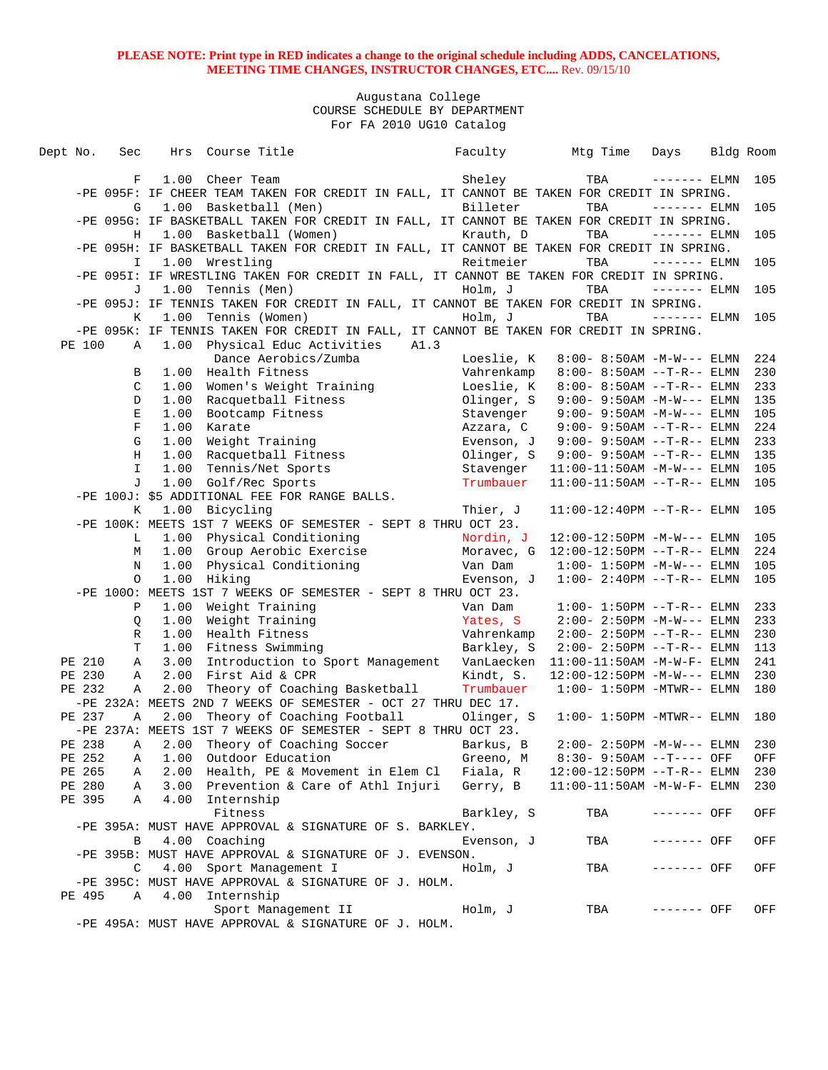| Dept No. |        | Sec          |      | Hrs Course Title                                                                           |      | Faculty               | Mtg Time                                                    | Days          | Bldg Room |            |
|----------|--------|--------------|------|--------------------------------------------------------------------------------------------|------|-----------------------|-------------------------------------------------------------|---------------|-----------|------------|
|          |        | F            |      | 1.00 Cheer Team                                                                            |      | Sheley                | TBA                                                         | $------ELMN$  |           | 105        |
|          |        |              |      | -PE 095F: IF CHEER TEAM TAKEN FOR CREDIT IN FALL, IT CANNOT BE TAKEN FOR CREDIT IN SPRING. |      |                       |                                                             |               |           |            |
|          |        | G            |      | 1.00 Basketball (Men)                                                                      |      | Billeter              | TBA                                                         | $------$ ELMN |           | 105        |
|          |        |              |      | -PE 095G: IF BASKETBALL TAKEN FOR CREDIT IN FALL, IT CANNOT BE TAKEN FOR CREDIT IN SPRING. |      |                       |                                                             |               |           |            |
|          |        | H            |      | 1.00 Basketball (Women)                                                                    |      | Krauth, D             | TBA                                                         | $------ELMN$  |           | 105        |
|          |        |              |      | -PE 095H: IF BASKETBALL TAKEN FOR CREDIT IN FALL, IT CANNOT BE TAKEN FOR CREDIT IN SPRING. |      |                       |                                                             |               |           |            |
|          |        | I.           |      | 1.00 Wrestling                                                                             |      | Reitmeier             | TBA                                                         | $------$ ELMN |           | 105        |
|          |        |              |      | -PE 0951: IF WRESTLING TAKEN FOR CREDIT IN FALL, IT CANNOT BE TAKEN FOR CREDIT IN SPRING.  |      |                       |                                                             |               |           |            |
|          |        | J            | 1.00 | Tennis (Men)                                                                               |      | Holm, J               | TBA                                                         | $------ELMN$  |           | 105        |
|          |        |              |      | -PE 095J: IF TENNIS TAKEN FOR CREDIT IN FALL, IT CANNOT BE TAKEN FOR CREDIT IN SPRING.     |      |                       |                                                             |               |           |            |
|          |        | K            |      | 1.00 Tennis (Women)                                                                        |      | Holm, J               | TBA                                                         | $------ELMN$  |           | 105        |
|          |        |              |      | -PE 095K: IF TENNIS TAKEN FOR CREDIT IN FALL, IT CANNOT BE TAKEN FOR CREDIT IN SPRING.     |      |                       |                                                             |               |           |            |
|          | PE 100 | A            | 1.00 | Physical Educ Activities                                                                   | A1.3 |                       |                                                             |               |           |            |
|          |        |              |      | Dance Aerobics/Zumba                                                                       |      | Loeslie, K            | $8:00 - 8:50AM - M - W - - -$ ELMN                          |               |           | 224        |
|          |        | В            | 1.00 | Health Fitness                                                                             |      | Vahrenkamp            | $8:00 - 8:50AM -T-R--ELMN$                                  |               |           | 230        |
|          |        | C            |      | 1.00 Women's Weight Training                                                               |      | Loeslie, K            | $8:00 - 8:50AM -T-R-- ELMN$                                 |               |           | 233        |
|          |        | D            | 1.00 | Racquetball Fitness                                                                        |      | Olinger, S            | $9:00 - 9:50AM -M-W---$ ELMN                                |               |           | 135        |
|          |        | Ε            | 1.00 | Bootcamp Fitness                                                                           |      | Stavenger             | $9:00 - 9:50AM -M-W---$ ELMN                                |               |           | 105        |
|          |        | $\mathbf F$  | 1.00 | Karate                                                                                     |      | Azzara, C             | $9:00 - 9:50AM -T-R--ELMN$                                  |               |           | 224        |
|          |        | G            | 1.00 | Weight Training                                                                            |      | Evenson, J            | $9:00 - 9:50AM -T-R--ELMN$                                  |               |           | 233        |
|          |        | Н            | 1.00 | Racquetball Fitness                                                                        |      | Olinger, S            | $9:00 - 9:50AM -T-R--ELMN$                                  |               |           | 135        |
|          |        | I.           | 1.00 | Tennis/Net Sports                                                                          |      | Stavenger             | $11:00-11:50AM -M-W---$ ELMN                                |               |           | 105        |
|          |        | J            | 1.00 | Golf/Rec Sports                                                                            |      | Trumbauer             | $11:00-11:50AM$ --T-R-- ELMN                                |               |           | 105        |
|          |        |              |      | -PE 100J: \$5 ADDITIONAL FEE FOR RANGE BALLS.                                              |      |                       |                                                             |               |           |            |
|          |        | K            | 1.00 | Bicycling                                                                                  |      | Thier, J              | $11:00-12:40PM --T-R-- ELMN$                                |               |           | 105        |
|          |        |              |      | -PE 100K: MEETS 1ST 7 WEEKS OF SEMESTER - SEPT 8 THRU OCT 23.                              |      |                       |                                                             |               |           |            |
|          |        | L            | 1.00 | Physical Conditioning                                                                      |      | Nordin, J             | 12:00-12:50PM -M-W--- ELMN                                  |               |           | 105<br>224 |
|          |        | М<br>N       | 1.00 | 1.00 Group Aerobic Exercise<br>Physical Conditioning                                       |      |                       | Moravec, $G$ 12:00-12:50PM --T-R-- ELMN                     |               |           | 105        |
|          |        | $\circ$      | 1.00 | Hiking                                                                                     |      | Van Dam<br>Evenson, J | $1:00 - 1:50PM -M-W---$ ELMN<br>$1:00 - 2:40PM -T-R-- ELMN$ |               |           | 105        |
|          |        |              |      | -PE 1000: MEETS 1ST 7 WEEKS OF SEMESTER - SEPT 8 THRU OCT 23.                              |      |                       |                                                             |               |           |            |
|          |        | P            | 1.00 | Weight Training                                                                            |      | Van Dam               | $1:00 - 1:50PM -T-R-- ELMN$                                 |               |           | 233        |
|          |        | Q            |      | 1.00 Weight Training                                                                       |      | Yates, S              | $2:00 - 2:50PM -M-W---$ ELMN                                |               |           | 233        |
|          |        | R            | 1.00 | Health Fitness                                                                             |      | Vahrenkamp            | $2:00 - 2:50PM -T-R-- ELMN$                                 |               |           | 230        |
|          |        | T            | 1.00 | Fitness Swimming                                                                           |      | Barkley, S            | $2:00 - 2:50PM -T-R-- ELMN$                                 |               |           | 113        |
|          | PE 210 | Α            | 3.00 | Introduction to Sport Management                                                           |      |                       | VanLaecken 11:00-11:50AM -M-W-F- ELMN                       |               |           | 241        |
|          | PE 230 | Α            | 2.00 | First Aid & CPR                                                                            |      | Kindt, S.             | $12:00-12:50PM -M-W---$ ELMN                                |               |           | 230        |
|          | PE 232 | Α            | 2.00 | Theory of Coaching Basketball                                                              |      | Trumbauer             | $1:00-1:50PM -MTWR--ELMN$                                   |               |           | 180        |
|          |        |              |      | -PE 232A: MEETS 2ND 7 WEEKS OF SEMESTER - OCT 27 THRU DEC 17.                              |      |                       |                                                             |               |           |            |
|          | PE 237 | Α            | 2.00 | Theory of Coaching Football                                                                |      | Olinger, S            | $1:00-1:50PM -MTWR--ELMN$                                   |               |           | 180        |
|          |        |              |      | -PE 237A: MEETS 1ST 7 WEEKS OF SEMESTER - SEPT 8 THRU OCT 23.                              |      |                       |                                                             |               |           |            |
|          | PE 238 | Α            |      | 2.00 Theory of Coaching Soccer                                                             |      | Barkus, B             | $2:00 - 2:50PM -M-W---$ ELMN                                |               |           | 230        |
|          | PE 252 | A            |      | 1.00 Outdoor Education                                                                     |      | Greeno, M             | 8:30- 9:50AM --T---- OFF                                    |               |           | OFF        |
|          | PE 265 | Α            | 2.00 | Health, PE & Movement in Elem Cl                                                           |      | Fiala, R              | 12:00-12:50PM --T-R-- ELMN                                  |               |           | 230        |
|          | PE 280 | Α            |      | 3.00 Prevention & Care of Athl Injuri                                                      |      | Gerry, B              | $11:00-11:50AM - M-W-F- ELMN$                               |               |           | 230        |
|          | PE 395 | Α            |      | 4.00 Internship                                                                            |      |                       |                                                             |               |           |            |
|          |        |              |      | Fitness                                                                                    |      | Barkley, S            | TBA                                                         | ------- OFF   |           | OFF        |
|          |        |              |      | -PE 395A: MUST HAVE APPROVAL & SIGNATURE OF S. BARKLEY.                                    |      |                       |                                                             |               |           |            |
|          |        | $\mathbf{B}$ |      | 4.00 Coaching                                                                              |      | Evenson, J            | TBA                                                         | ------- OFF   |           | OFF        |
|          |        |              |      | -PE 395B: MUST HAVE APPROVAL & SIGNATURE OF J. EVENSON.                                    |      |                       |                                                             |               |           |            |
|          |        | C            |      | 4.00 Sport Management I                                                                    |      | Holm, J               | TBA                                                         | ------- OFF   |           | OFF        |
|          |        |              |      | -PE 395C: MUST HAVE APPROVAL & SIGNATURE OF J. HOLM.                                       |      |                       |                                                             |               |           |            |
|          | PE 495 | Α            |      | 4.00 Internship                                                                            |      |                       |                                                             |               |           |            |
|          |        |              |      | Sport Management II                                                                        |      | Holm, J               | TBA                                                         | ------- OFF   |           | OFF        |
|          |        |              |      | -PE 495A: MUST HAVE APPROVAL & SIGNATURE OF J. HOLM.                                       |      |                       |                                                             |               |           |            |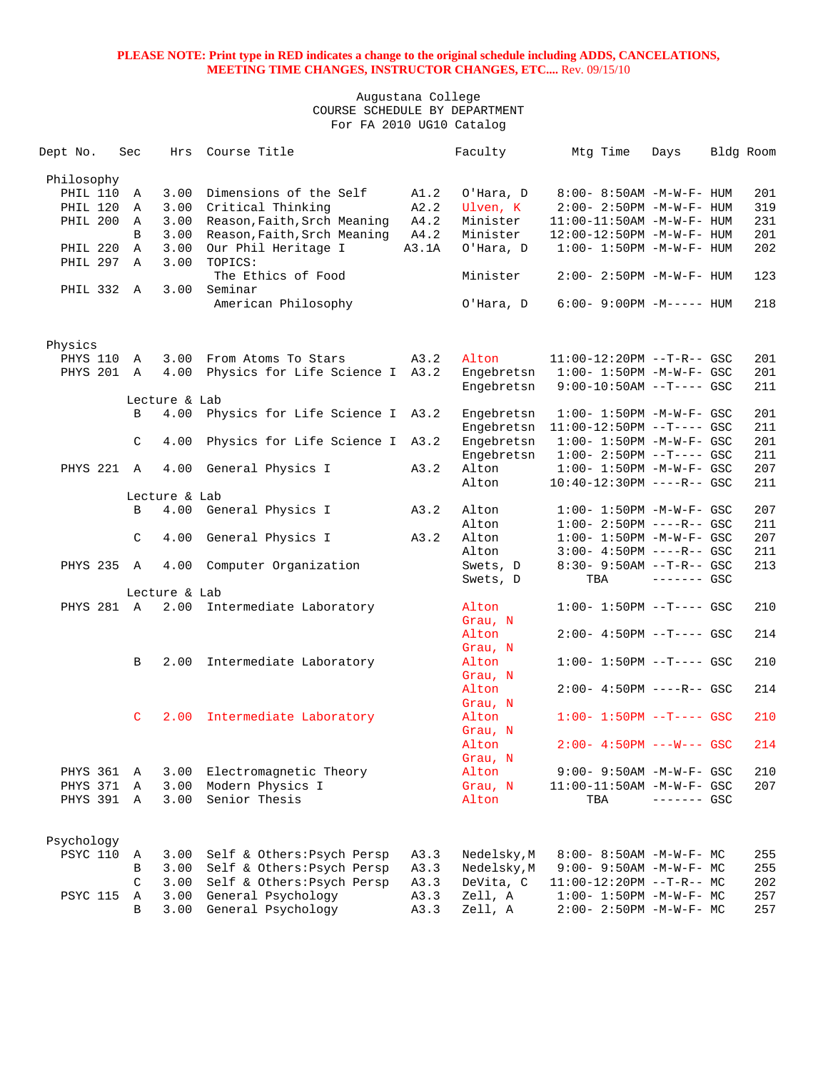| Dept No.        | Sec           | Hrs           | Course Title                         |       | Faculty          | Mtg Time                          | Days         | Bldg Room |
|-----------------|---------------|---------------|--------------------------------------|-------|------------------|-----------------------------------|--------------|-----------|
| Philosophy      |               |               |                                      |       |                  |                                   |              |           |
| PHIL 110 A      |               | 3.00          | Dimensions of the Self               | A1.2  | O'Hara, D        | 8:00- 8:50AM -M-W-F- HUM          |              | 201       |
| PHIL 120 A      |               | 3.00          | Critical Thinking                    | A2.2  | Ulven, K         | $2:00 - 2:50PM -M-W-F - HUM$      |              | 319       |
| PHIL 200 A      |               | 3.00          | Reason, Faith, Srch Meaning          | A4.2  | Minister         | 11:00-11:50AM -M-W-F- HUM         |              | 231       |
|                 | B             | 3.00          | Reason, Faith, Srch Meaning          | A4.2  | Minister         | 12:00-12:50PM -M-W-F- HUM         |              | 201       |
| PHIL 220 A      |               | 3.00          | Our Phil Heritage I                  | A3.1A | O'Hara, D        | $1:00 - 1:50PM -M -W -F - HUM$    |              | 202       |
| PHIL 297 A      |               | 3.00          | TOPICS:                              |       |                  |                                   |              |           |
|                 |               |               | The Ethics of Food                   |       | Minister         | $2:00 - 2:50PM -M-W-F - HUM$      |              | 123       |
| PHIL 332 A      |               | 3.00          | Seminar                              |       |                  |                                   |              |           |
|                 |               |               | American Philosophy                  |       | O'Hara, D        | $6:00 - 9:00PM -M---$ HUM         |              | 218       |
| Physics         |               |               |                                      |       |                  |                                   |              |           |
| PHYS 110 A      |               |               | 3.00 From Atoms To Stars             | A3.2  | Alton            | $11:00-12:20PM$ --T-R-- GSC       |              | 201       |
| PHYS 201 A      |               |               | 4.00 Physics for Life Science I A3.2 |       | Engebretsn       | $1:00 - 1:50PM - M - W - F - GSC$ |              | 201       |
|                 |               |               |                                      |       | Engebretsn       | $9:00-10:50AM$ --T---- GSC        |              | 211       |
|                 |               | Lecture & Lab |                                      |       |                  |                                   |              |           |
|                 | B             | 4.00          | Physics for Life Science I A3.2      |       | Engebretsn       | $1:00 - 1:50PM -M-W-F - GSC$      |              | 201       |
|                 |               |               |                                      |       | Engebretsn       | 11:00-12:50PM --T---- GSC         |              | 211       |
|                 | C             | 4.00          | Physics for Life Science I A3.2      |       | Engebretsn       | $1:00 - 1:50PM - M - W - F - GSC$ |              | 201       |
|                 |               |               |                                      |       | Engebretsn       | $1:00-2:50PM -T---GSC$            |              | 211       |
| PHYS 221 A      |               |               | 4.00 General Physics I               | A3.2  | Alton            | $1:00 - 1:50PM - M - W - F - GSC$ |              | 207       |
|                 |               |               |                                      |       | Alton            | 10:40-12:30PM ----R-- GSC         |              | 211       |
|                 |               | Lecture & Lab |                                      |       |                  |                                   |              |           |
|                 | B             |               | 4.00 General Physics I               | A3.2  | Alton            | $1:00 - 1:50PM - M - W - F - GSC$ |              | 207       |
|                 |               |               |                                      |       | Alton            | $1:00-2:50PM$ ----R-- GSC         |              | 211       |
|                 | C             | 4.00          | General Physics I                    | A3.2  | Alton            | $1:00 - 1:50PM -M-W-F - GSC$      |              | 207       |
|                 |               |               |                                      |       | Alton            | $3:00-4:50PM$ ----R-- GSC         |              | 211       |
| PHYS 235 A      |               |               | 4.00 Computer Organization           |       | Swets, D         | $8:30 - 9:50AM -T-R - GSC$        |              | 213       |
|                 |               |               |                                      |       | Swets, D         | TBA                               | $------$ GSC |           |
|                 |               | Lecture & Lab |                                      |       |                  |                                   |              |           |
| PHYS 281 A      |               |               | 2.00 Intermediate Laboratory         |       | Alton            | $1:00 - 1:50PM -T---$ GSC         |              | 210       |
|                 |               |               |                                      |       | Grau, N          |                                   |              |           |
|                 |               |               |                                      |       | Alton            | $2:00 - 4:50PM -T---$ GSC         |              | 214       |
|                 |               |               |                                      |       | Grau, N          |                                   |              |           |
|                 | B             | 2.00          | Intermediate Laboratory              |       | Alton            | $1:00 - 1:50PM -T---$ GSC         |              | 210       |
|                 |               |               |                                      |       | Grau, N<br>Alton | $2:00-4:50PM$ ----R-- GSC         |              | 214       |
|                 |               |               |                                      |       | Grau, N          |                                   |              |           |
|                 | C             | 2.00          | Intermediate Laboratory              |       | Alton            | $1:00-1:50PM$ --T---- GSC         |              | 210       |
|                 |               |               |                                      |       | Grau, N          |                                   |              |           |
|                 |               |               |                                      |       | Alton            | $2:00 - 4:50PM$ ---W--- GSC       |              | 214       |
|                 |               |               |                                      |       | Grau, N          |                                   |              |           |
| PHYS 361 A      |               | 3.00          | Electromagnetic Theory               |       | Alton            | 9:00- 9:50AM -M-W-F- GSC          |              | 210       |
| PHYS 371 A      |               | 3.00          | Modern Physics I                     |       | Grau, N          | $11:00-11:50AM$ -M-W-F- GSC       |              | 207       |
| PHYS 391 A      |               | 3.00          | Senior Thesis                        |       | Alton            | TBA                               | $------$ GSC |           |
|                 |               |               |                                      |       |                  |                                   |              |           |
| Psychology      |               |               |                                      |       |                  |                                   |              |           |
| PSYC 110        | Α             | 3.00          | Self & Others: Psych Persp           | A3.3  | Nedelsky, M      | $8:00 - 8:50AM - M - W - F - MC$  |              | 255       |
|                 | B             | 3.00          | Self & Others: Psych Persp           | A3.3  | Nedelsky, M      | $9:00 - 9:50AM - M - W - F - MC$  |              | 255       |
|                 | $\mathcal{C}$ | 3.00          | Self & Others: Psych Persp           | A3.3  | DeVita, C        | $11:00-12:20PM$ --T-R-- MC        |              | 202       |
| <b>PSYC 115</b> | $\mathbb A$   | 3.00          | General Psychology                   | A3.3  | Zell, A          | $1:00-1:50PM -M-W-F-MC$           |              | 257       |
|                 | B             | 3.00          | General Psychology                   | A3.3  | Zell, A          | $2:00 - 2:50PM -M-W-F - MC$       |              | 257       |
|                 |               |               |                                      |       |                  |                                   |              |           |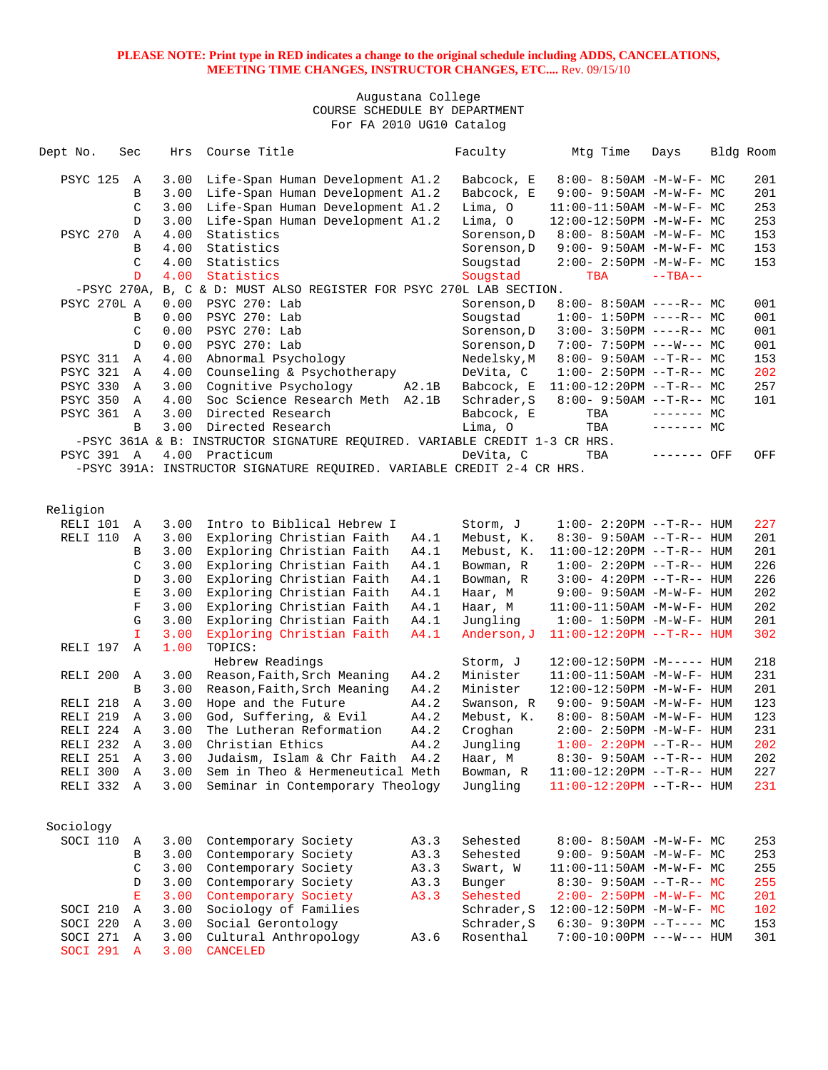| Dept No.        |                     | Sec           | Hrs  | Course Title                                                               |       | Faculty     | Mtg Time                          | Days        | Bldg Room |
|-----------------|---------------------|---------------|------|----------------------------------------------------------------------------|-------|-------------|-----------------------------------|-------------|-----------|
| <b>PSYC 125</b> |                     | Α             | 3.00 | Life-Span Human Development A1.2                                           |       | Babcock, E  | $8:00 - 8:50AM - M - W - F - MC$  |             | 201       |
|                 |                     | B             | 3.00 | Life-Span Human Development A1.2                                           |       | Babcock, E  | $9:00 - 9:50AM - M - W - F - MC$  |             | 201       |
|                 |                     | C             | 3.00 | Life-Span Human Development A1.2                                           |       | Lima, O     | $11:00-11:50AM$ -M-W-F- MC        |             | 253       |
|                 |                     | D             | 3.00 | Life-Span Human Development A1.2                                           |       | Lima, O     | 12:00-12:50PM -M-W-F- MC          |             | 253       |
| PSYC 270        |                     | Α             | 4.00 | Statistics                                                                 |       | Sorenson, D | $8:00 - 8:50AM - M - W - F - MC$  |             | 153       |
|                 |                     | B             | 4.00 | Statistics                                                                 |       | Sorenson, D | 9:00- 9:50AM -M-W-F- MC           |             | 153       |
|                 |                     | C             | 4.00 | Statistics                                                                 |       | Sougstad    | $2:00 - 2:50PM -M-W-F - MC$       |             | 153       |
|                 |                     | $\mathbb{D}$  | 4.00 | Statistics                                                                 |       |             |                                   | $--TBA--$   |           |
|                 |                     |               |      | -PSYC 270A, B, C & D: MUST ALSO REGISTER FOR PSYC 270L LAB SECTION.        |       | Sougstad    | TBA                               |             |           |
|                 | PSYC 270L A         |               |      |                                                                            |       |             |                                   |             |           |
|                 |                     |               | 0.00 | PSYC 270: Lab                                                              |       | Sorenson, D | $8:00 - 8:50AM$ ----R-- MC        |             | 001       |
|                 |                     | B             | 0.00 | PSYC 270: Lab                                                              |       | Sougstad    | $1:00-1:50PM$ ----R-- MC          |             | 001       |
|                 |                     | C             | 0.00 | PSYC 270: Lab                                                              |       | Sorenson, D | $3:00-3:50PM$ ----R-- MC          |             | 001       |
|                 |                     | D             | 0.00 | PSYC 270: Lab                                                              |       | Sorenson, D | $7:00-7:50PM$ ---W--- MC          |             | 001       |
| <b>PSYC 311</b> |                     | $\mathbb A$   | 4.00 | Abnormal Psychology                                                        |       | Nedelsky, M | $8:00 - 9:50AM -T-R-- MC$         |             | 153       |
| PSYC 321        |                     | Α             | 4.00 | Counseling & Psychotherapy                                                 |       | DeVita, C   | $1:00-2:50PM -T-R--MC$            |             | 202       |
| PSYC 330        |                     | A             | 3.00 | Cognitive Psychology                                                       | A2.1B | Babcock, E  | $11:00-12:20PM$ --T-R-- MC        |             | 257       |
| <b>PSYC 350</b> |                     | Α             | 4.00 | Soc Science Research Meth A2.1B                                            |       | Schrader, S | $8:00 - 9:50AM -T-R-- MC$         |             | 101       |
|                 | <b>PSYC 361</b>     | A             | 3.00 | Directed Research                                                          |       | Babcock, E  | TBA                               | $------$ MC |           |
|                 |                     | B             | 3.00 | Directed Research                                                          |       | Lima, O     | TBA                               | $------MC$  |           |
|                 |                     |               |      | -PSYC 361A & B: INSTRUCTOR SIGNATURE REQUIRED. VARIABLE CREDIT 1-3 CR HRS. |       |             |                                   |             |           |
|                 | <b>PSYC 391 A</b>   |               |      | 4.00 Practicum                                                             |       | DeVita, C   | TBA                               | ------- OFF | OFF       |
|                 |                     |               |      | -PSYC 391A: INSTRUCTOR SIGNATURE REQUIRED. VARIABLE CREDIT 2-4 CR HRS.     |       |             |                                   |             |           |
| Religion        |                     |               |      |                                                                            |       |             |                                   |             |           |
|                 | RELI 101            | Α             | 3.00 | Intro to Biblical Hebrew I                                                 |       | Storm, J    | $1:00 - 2:20PM -T-R--HUM$         |             | 227       |
| RELI 110        |                     | Α             | 3.00 | Exploring Christian Faith                                                  | A4.1  | Mebust, K.  | 8:30- 9:50AM --T-R-- HUM          |             | 201       |
|                 |                     | В             | 3.00 | Exploring Christian Faith                                                  | A4.1  | Mebust, K.  | $11:00-12:20PM -T-R--HUM$         |             | 201       |
|                 |                     | $\mathcal{C}$ | 3.00 | Exploring Christian Faith                                                  | A4.1  | Bowman, R   | $1:00 - 2:20PM -T-R-- HUM$        |             | 226       |
|                 |                     | D             | 3.00 | Exploring Christian Faith                                                  | A4.1  | Bowman, R   | $3:00-4:20PM -T-R--HUM$           |             | 226       |
|                 |                     | E             | 3.00 | Exploring Christian Faith                                                  | A4.1  | Haar, M     | 9:00- 9:50AM -M-W-F- HUM          |             | 202       |
|                 |                     | $\mathbf F$   | 3.00 | Exploring Christian Faith                                                  | A4.1  | Haar, M     | $11:00-11:50AM$ -M-W-F- HUM       |             | 202       |
|                 |                     | G             | 3.00 | Exploring Christian Faith                                                  | A4.1  | Jungling    | $1:00 - 1:50PM - M - W - F - HUM$ |             | 201       |
|                 |                     | I.            | 3.00 | Exploring Christian Faith                                                  | A4.1  | Anderson, J | $11:00-12:20PM -T-R--HUM$         |             | 302       |
|                 | RELI 197            | $\mathbf{A}$  | 1.00 | TOPICS:                                                                    |       |             |                                   |             |           |
|                 |                     |               |      | Hebrew Readings                                                            |       |             |                                   |             |           |
|                 |                     |               |      |                                                                            |       | Storm, J    | $12:00-12:50PM -M-----$ HUM       |             | 218       |
| RELI 200        |                     | Α             | 3.00 | Reason, Faith, Srch Meaning                                                | A4.2  | Minister    | $11:00-11:50AM$ -M-W-F- HUM       |             | 231       |
|                 |                     | B             | 3.00 | Reason, Faith, Srch Meaning                                                | A4.2  | Minister    | 12:00-12:50PM -M-W-F- HUM         |             | 201       |
| RELI 218        |                     | Α             | 3.00 | Hope and the Future                                                        | A4.2  | Swanson, R  | 9:00- 9:50AM -M-W-F- HUM          |             | 123       |
| RELI 219        |                     | Α             | 3.00 | God, Suffering, & Evil                                                     | A4.2  | Mebust, K.  | 8:00- 8:50AM -M-W-F- HUM          |             | 123       |
| RELI 224        |                     | Α             | 3.00 | The Lutheran Reformation                                                   | A4.2  | Croghan     | 2:00- 2:50PM -M-W-F- HUM          |             | 231       |
|                 | RELI <sub>232</sub> | $\mathbf{A}$  | 3.00 | Christian Ethics                                                           | A4.2  | Jungling    | $1:00 - 2:20PM -T-R--HUM$         |             | 202       |
| RELI 251        |                     | Α             | 3.00 | Judaism, Islam & Chr Faith A4.2                                            |       | Haar, M     | $8:30-9:50AM --T-R--HUM$          |             | 202       |
| RELI 300        |                     | Α             | 3.00 | Sem in Theo & Hermeneutical Meth                                           |       | Bowman, R   | $11:00-12:20PM -T-R--HUM$         |             | 227       |
|                 | RELI 332            | A             | 3.00 | Seminar in Contemporary Theology                                           |       | Jungling    | $11:00-12:20PM$ --T-R-- HUM       |             | 231       |
|                 |                     |               |      |                                                                            |       |             |                                   |             |           |
| Sociology       |                     |               |      |                                                                            |       |             |                                   |             |           |
| SOCI 110        |                     | Α             | 3.00 | Contemporary Society                                                       | A3.3  | Sehested    | 8:00- 8:50AM -M-W-F- MC           |             | 253       |
|                 |                     | В             | 3.00 | Contemporary Society                                                       | A3.3  | Sehested    | $9:00 - 9:50AM -M-W-F - MC$       |             | 253       |
|                 |                     | C             | 3.00 | Contemporary Society                                                       | A3.3  | Swart, W    | $11:00-11:50AM$ -M-W-F- MC        |             | 255       |
|                 |                     | D             | 3.00 | Contemporary Society                                                       | A3.3  | Bunger      | $8:30 - 9:50AM -T-R-- MC$         |             | 255       |
|                 |                     | Е             | 3.00 | Contemporary Society                                                       | A3.3  | Sehested    | $2:00 - 2:50PM -M-W-F - MC$       |             | 201       |
| SOCI 210        |                     | Α             | 3.00 | Sociology of Families                                                      |       | Schrader, S | $12:00-12:50PM -M-W-F-MC$         |             | 102       |
| SOCI 220        |                     | Α             | 3.00 | Social Gerontology                                                         |       | Schrader, S | $6:30-9:30PM --T---MC$            |             | 153       |
|                 | SOCI 271            | Α             | 3.00 | Cultural Anthropology                                                      | A3.6  | Rosenthal   | $7:00-10:00PM$ ---W--- HUM        |             | 301       |
|                 | SOCI 291            | $\mathbf{A}$  | 3.00 | <b>CANCELED</b>                                                            |       |             |                                   |             |           |
|                 |                     |               |      |                                                                            |       |             |                                   |             |           |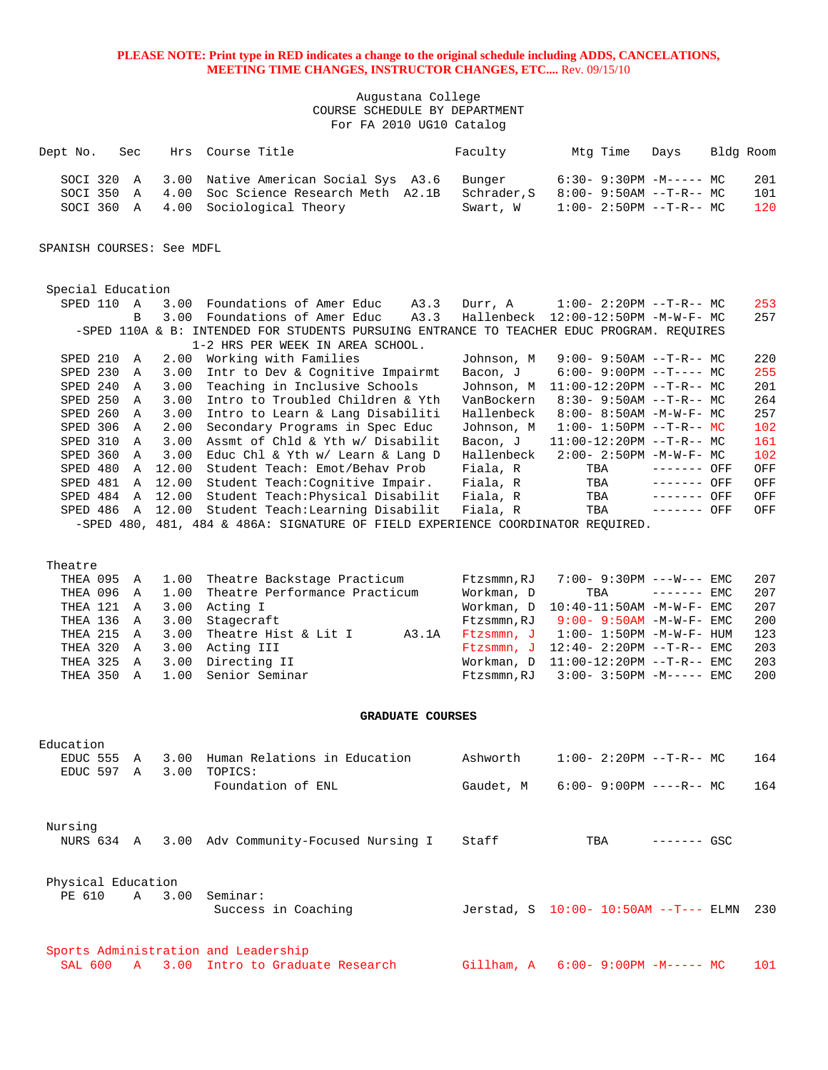### Augustana College COURSE SCHEDULE BY DEPARTMENT For FA 2010 UG10 Catalog

| Dept No. Sec |  | Hrs Course Title                                                                                                               | Faculty                          | Mtq Time | Davs                                                                         | Bldg Room |                   |
|--------------|--|--------------------------------------------------------------------------------------------------------------------------------|----------------------------------|----------|------------------------------------------------------------------------------|-----------|-------------------|
| SOCI 350 A   |  | SOCI 320 A 3.00 Native American Social Sys A3.6<br>4.00 Soc Science Research Meth A2.1B<br>SOCI 360 A 4.00 Sociological Theory | Bunger<br>Schrader,S<br>Swart, W |          | 6:30- 9:30PM -M----- MC<br>$8:00-9:50AM -T-R--MC$<br>1:00- 2:50PM --T-R-- MC |           | 201<br>101<br>120 |

SPANISH COURSES: See MDFL

| Special Education        |       |                                                                                           |            |                                     |             |     |     |
|--------------------------|-------|-------------------------------------------------------------------------------------------|------------|-------------------------------------|-------------|-----|-----|
| SPED 110<br>A            | 3.00  | Foundations of Amer Educ<br>A3.3                                                          | Durr, A    | 1:00- 2:20PM --T-R-- MC             |             |     | 253 |
| R                        | 3.00  | A3.3<br>Foundations of Amer Educ                                                          |            | Hallenbeck 12:00-12:50PM -M-W-F- MC |             |     | 257 |
|                          |       | -SPED 110A & B: INTENDED FOR STUDENTS PURSUING ENTRANCE TO TEACHER EDUC PROGRAM. REOUIRES |            |                                     |             |     |     |
|                          |       | 1-2 HRS PER WEEK IN AREA SCHOOL.                                                          |            |                                     |             |     |     |
| SPED 210<br>A            | 2.00  | Working with Families                                                                     | Johnson, M | $9:00 - 9:50AM -T-R--MC$            |             |     | 220 |
| SPED 230<br>A            | 3.00  | Intr to Dev & Cognitive Impairmt                                                          | Bacon, J   | $6:00 - 9:00PM -T--- MC$            |             |     | 255 |
| SPED 240<br>$\mathbb{A}$ | 3.00  | Teaching in Inclusive Schools                                                             | Johnson, M | $11:00-12:20PM --T-R--MC$           |             |     | 201 |
| SPED 250<br>$\mathbb{A}$ | 3.00  | Intro to Troubled Children & Yth                                                          | VanBockern | $8:30 - 9:50AM -T-R-- MC$           |             |     | 264 |
| SPED 260<br>$\mathbf{A}$ | 3.00  | Intro to Learn & Lang Disabiliti                                                          | Hallenbeck | $8:00 - 8:50AM - M - W - F - MC$    |             |     | 257 |
| SPED 306<br>$\mathbb{A}$ | 2.00  | Secondary Programs in Spec Educ                                                           | Johnson, M | $1:00-1:50PM --T-R--MC$             |             |     | 102 |
| SPED 310<br>A            | 3.00  | Assmt of Chld & Yth w/ Disabilit                                                          | Bacon, J   | $11:00-12:20PM -T-R-- MC$           |             |     | 161 |
| SPED 360<br>A            | 3.00  | Educ Chl & Yth w/ Learn & Lang D                                                          | Hallenbeck | $2:00 - 2:50PM - M - W - F - MC$    |             |     | 102 |
| SPED 480<br>$\mathbb{A}$ | 12.00 | Student Teach: Emot/Behav Prob                                                            | Fiala, R   | TBA                                 | --------    | OFF | OFF |
| SPED 481<br>$\mathbb A$  | 12.00 | Student Teach: Cognitive Impair.                                                          | Fiala, R   | TBA                                 | ------- OFF |     | OFF |
| SPED 484<br>$\mathbb{A}$ | 12.00 | Student Teach: Physical Disabilit                                                         | Fiala, R   | TBA                                 | ------- OFF |     | OFF |
| SPED 486<br>$\mathbb{A}$ | 12.00 | Student Teach: Learning Disabilit                                                         | Fiala, R   | TBA                                 | ------- OFF |     | OFF |
|                          |       | -SPED 480, 481, 484 & 486A: SIGNATURE OF FIELD EXPERIENCE COORDINATOR REOUIRED.           |            |                                     |             |     |     |

| Theatre |  |                                               |       |                                           |     |
|---------|--|-----------------------------------------------|-------|-------------------------------------------|-----|
|         |  | THEA 095 A 1.00 Theatre Backstage Practicum   |       | Ftzsmmn, RJ 7:00-9:30PM ---W--- EMC       | 207 |
|         |  | THEA 096 A 1.00 Theatre Performance Practicum |       | $Workman$ . D TBA $-----$ EMC             | 207 |
|         |  | THEA 121 A 3.00 Acting I                      |       | Workman, $D = 10:40-11:50AM -M-W-F-EMC$   | 207 |
|         |  | THEA 136 A 3.00 Stagecraft                    |       | $F$ tzsmmn, RJ $9:00-9:50$ AM -M-W-F- EMC | 200 |
|         |  | THEA 215 A 3.00 Theatre Hist & Lit I          | A3.1A | Ftzsmmn, J 1:00- 1:50PM -M-W-F- HUM       | 123 |
|         |  | THEA 320 A 3.00 Acting III                    |       | Ftzsmmn, J $12:40 - 2:20PM -T-R--EMC$     | 203 |
|         |  | THEA 325 A 3.00 Directing II                  |       | Workman, $D = 11:00-12:20PM -T-R--EMC$    | 203 |
|         |  | THEA 350 A 1.00 Senior Seminar                |       | Ftzsmmn, RJ 3:00-3:50PM -M----- EMC       | 200 |

#### **GRADUATE COURSES**

| Education<br>EDUC 555        | A              | 3.00 | Human Relations in Education                                            | Ashworth  | $1:00-2:20PM --T-R--MC$               | 164 |
|------------------------------|----------------|------|-------------------------------------------------------------------------|-----------|---------------------------------------|-----|
| EDUC 597                     | $\mathbb{A}$   | 3.00 | TOPICS:<br>Foundation of ENL                                            | Gaudet, M | $6:00 - 9:00PM$ ----R-- MC            | 164 |
| Nursing<br>NURS 634 A        |                |      | 3.00 Adv Community-Focused Nursing I                                    | Staff     | TBA<br>------- GSC                    |     |
| Physical Education<br>PE 610 | $\mathbb A$    | 3.00 | Seminar:<br>Success in Coaching                                         |           | Jerstad, S 10:00- 10:50AM --T--- ELMN | 230 |
| <b>SAL 600</b>               | $\overline{A}$ |      | Sports Administration and Leadership<br>3.00 Intro to Graduate Research |           | $Gillham. A 6:00-9:00PM -M----- MC$   | 101 |